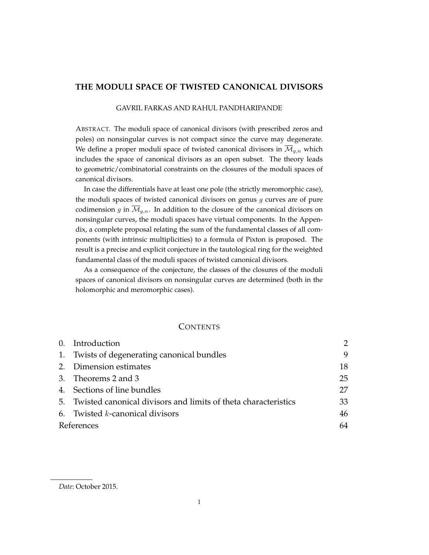# **THE MODULI SPACE OF TWISTED CANONICAL DIVISORS**

#### GAVRIL FARKAS AND RAHUL PANDHARIPANDE

ABSTRACT. The moduli space of canonical divisors (with prescribed zeros and poles) on nonsingular curves is not compact since the curve may degenerate. We define a proper moduli space of twisted canonical divisors in  $\overline{\mathcal{M}}_{g,n}$  which includes the space of canonical divisors as an open subset. The theory leads to geometric/combinatorial constraints on the closures of the moduli spaces of canonical divisors.

In case the differentials have at least one pole (the strictly meromorphic case), the moduli spaces of twisted canonical divisors on genus  $g$  curves are of pure codimension g in  $\overline{\mathcal{M}}_{g,n}$ . In addition to the closure of the canonical divisors on nonsingular curves, the moduli spaces have virtual components. In the Appendix, a complete proposal relating the sum of the fundamental classes of all components (with intrinsic multiplicities) to a formula of Pixton is proposed. The result is a precise and explicit conjecture in the tautological ring for the weighted fundamental class of the moduli spaces of twisted canonical divisors.

As a consequence of the conjecture, the classes of the closures of the moduli spaces of canonical divisors on nonsingular curves are determined (both in the holomorphic and meromorphic cases).

## **CONTENTS**

|            | 0. Introduction                                                   |    |
|------------|-------------------------------------------------------------------|----|
|            | 1. Twists of degenerating canonical bundles                       | 9  |
|            | 2. Dimension estimates                                            | 18 |
|            | 3. Theorems 2 and 3                                               | 25 |
|            | 4. Sections of line bundles                                       | 27 |
|            | 5. Twisted canonical divisors and limits of theta characteristics | 33 |
|            | 6. Twisted $k$ -canonical divisors                                | 46 |
| References |                                                                   | 64 |

*Date*: October 2015.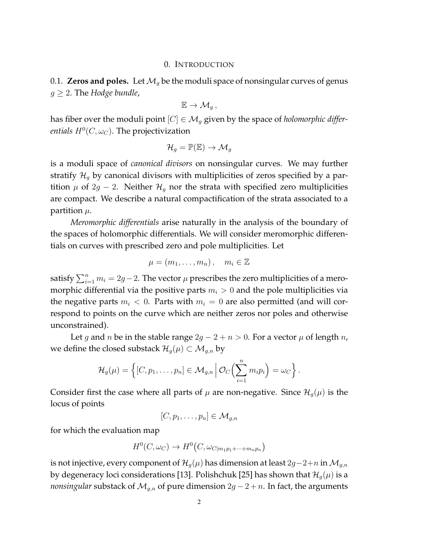#### 0. INTRODUCTION

0.1. **Zeros and poles.** Let  $\mathcal{M}_q$  be the moduli space of nonsingular curves of genus  $g \geq 2$ . The *Hodge bundle*,

$$
\mathbb{E}\to \mathcal{M}_g\,,
$$

has fiber over the moduli point  $[C] \in \mathcal{M}_g$  given by the space of *holomorphic differentials*  $H^0(C, \omega_C)$ *. The projectivization* 

$$
\mathcal{H}_g = \mathbb{P}(\mathbb{E}) \to \mathcal{M}_g
$$

is a moduli space of *canonical divisors* on nonsingular curves. We may further stratify  $\mathcal{H}_g$  by canonical divisors with multiplicities of zeros specified by a partition  $\mu$  of 2g − 2. Neither  $\mathcal{H}_g$  nor the strata with specified zero multiplicities are compact. We describe a natural compactification of the strata associated to a partition  $\mu$ .

*Meromorphic differentials* arise naturally in the analysis of the boundary of the spaces of holomorphic differentials. We will consider meromorphic differentials on curves with prescribed zero and pole multiplicities. Let

$$
\mu = (m_1, \ldots, m_n), \quad m_i \in \mathbb{Z}
$$

satisfy  $\sum_{i=1}^n m_i = 2g-2$ . The vector  $\mu$  prescribes the zero multiplicities of a meromorphic differential via the positive parts  $m_i > 0$  and the pole multiplicities via the negative parts  $m_i < 0$ . Parts with  $m_i = 0$  are also permitted (and will correspond to points on the curve which are neither zeros nor poles and otherwise unconstrained).

Let g and n be in the stable range  $2g - 2 + n > 0$ . For a vector  $\mu$  of length n, we define the closed substack  $\mathcal{H}_g(\mu) \subset \mathcal{M}_{g,n}$  by

$$
\mathcal{H}_g(\mu) = \left\{ [C, p_1, \ldots, p_n] \in \mathcal{M}_{g,n} \, \middle| \, \mathcal{O}_C\Big(\sum_{i=1}^n m_i p_i\Big) = \omega_C \right\}.
$$

Consider first the case where all parts of  $\mu$  are non-negative. Since  $\mathcal{H}_g(\mu)$  is the locus of points

$$
[C, p_1, \ldots, p_n] \in \mathcal{M}_{g,n}
$$

for which the evaluation map

$$
H^0(C, \omega_C) \to H^0(C, \omega_{C|m_1p_1+\cdots+m_np_n})
$$

is not injective, every component of  $\mathcal{H}_g(\mu)$  has dimension at least 2g−2+n in  $\mathcal{M}_{g,n}$ by degeneracy loci considerations [13]. Polishchuk [25] has shown that  $\mathcal{H}_g(\mu)$  is a *nonsingular* substack of  $\mathcal{M}_{g,n}$  of pure dimension  $2g - 2 + n$ . In fact, the arguments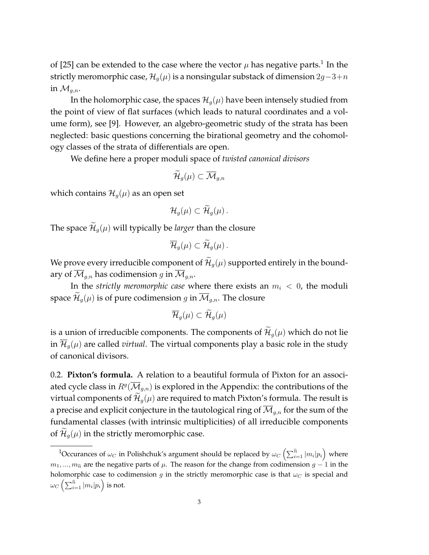of [25] can be extended to the case where the vector  $\mu$  has negative parts. $^1$  In the strictly meromorphic case,  $\mathcal{H}_q(\mu)$  is a nonsingular substack of dimension 2g−3+n in  $\mathcal{M}_{a,n}$ .

In the holomorphic case, the spaces  $\mathcal{H}_q(\mu)$  have been intensely studied from the point of view of flat surfaces (which leads to natural coordinates and a volume form), see [9]. However, an algebro-geometric study of the strata has been neglected: basic questions concerning the birational geometry and the cohomology classes of the strata of differentials are open.

We define here a proper moduli space of *twisted canonical divisors*

$$
\widetilde{\mathcal{H}}_g(\mu)\subset \overline{\mathcal{M}}_{g,n}
$$

which contains  $\mathcal{H}_g(\mu)$  as an open set

$$
\mathcal{H}_g(\mu) \subset \mathcal{H}_g(\mu).
$$

The space  $\widetilde{\mathcal{H}}_q(\mu)$  will typically be *larger* than the closure

$$
\overline{\mathcal{H}}_g(\mu) \subset \widetilde{\mathcal{H}}_g(\mu).
$$

We prove every irreducible component of  $\mathcal{H}_q(\mu)$  supported entirely in the boundary of  $\overline{\mathcal{M}}_{q,n}$  has codimension g in  $\overline{\mathcal{M}}_{q,n}$ .

In the *strictly meromorphic case* where there exists an  $m_i < 0$ , the moduli space  $\mathcal{H}_q(\mu)$  is of pure codimension g in  $\overline{\mathcal{M}}_{q,n}$ . The closure

$$
\overline{\mathcal{H}}_g(\mu)\subset \widetilde{\mathcal{H}}_g(\mu)
$$

is a union of irreducible components. The components of  $\mathcal{H}_q(\mu)$  which do not lie in  $\overline{\mathcal{H}}_q(\mu)$  are called *virtual*. The virtual components play a basic role in the study of canonical divisors.

0.2. **Pixton's formula.** A relation to a beautiful formula of Pixton for an associated cycle class in  $R^g(\overline{\mathcal M}_{g,n})$  is explored in the Appendix: the contributions of the virtual components of  $\mathcal{H}_g(\mu)$  are required to match Pixton's formula. The result is a precise and explicit conjecture in the tautological ring of  $\overline{\mathcal{M}}_{q,n}$  for the sum of the fundamental classes (with intrinsic multiplicities) of all irreducible components of  $\mathcal{H}_q(\mu)$  in the strictly meromorphic case.

 $^1$ Occurances of  $\omega_C$  in Polishchuk's argument should be replaced by  $\omega_C\left(\sum_{i=1}^{\widehat{n}} |m_i| p_i\right)$  where  $m_1, ..., m_{\hat{n}}$  are the negative parts of  $\mu$ . The reason for the change from codimension  $g - 1$  in the holomorphic case to codimension g in the strictly meromorphic case is that  $\omega_C$  is special and  $\omega_C\left(\sum_{i=1}^{\widehat{n}} |m_i| p_i\right)$  is not.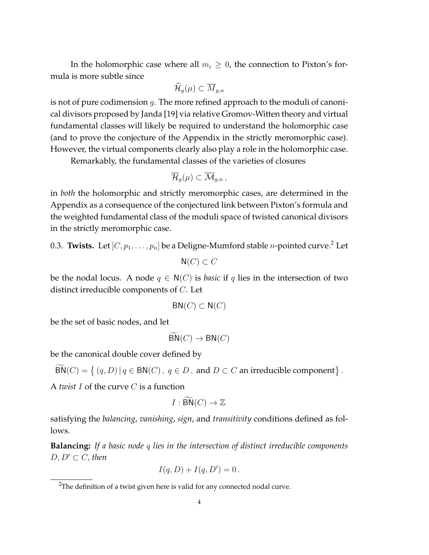In the holomorphic case where all  $m_i \geq 0$ , the connection to Pixton's formula is more subtle since

$$
\widetilde{\mathcal{H}}_g(\mu)\subset \overline{M}_{g,n}
$$

is not of pure codimension  $g$ . The more refined approach to the moduli of canonical divisors proposed by Janda [19] via relative Gromov-Witten theory and virtual fundamental classes will likely be required to understand the holomorphic case (and to prove the conjecture of the Appendix in the strictly meromorphic case). However, the virtual components clearly also play a role in the holomorphic case.

Remarkably, the fundamental classes of the varieties of closures

$$
\overline{\mathcal{H}}_g(\mu)\subset \overline{\mathcal{M}}_{g,n},
$$

in *both* the holomorphic and strictly meromorphic cases, are determined in the Appendix as a consequence of the conjectured link between Pixton's formula and the weighted fundamental class of the moduli space of twisted canonical divisors in the strictly meromorphic case.

0.3. **Twists.** Let  $[C, p_1, \ldots, p_n]$  be a Deligne-Mumford stable *n*-pointed curve.<sup>2</sup> Let

$$
\mathsf{N}(C) \subset C
$$

be the nodal locus. A node  $q \in N(C)$  is *basic* if q lies in the intersection of two distinct irreducible components of C. Let

$$
BN(C) \subset N(C)
$$

be the set of basic nodes, and let

$$
BN(C) \to BN(C)
$$

be the canonical double cover defined by

$$
BN(C) = \{ (q, D) | q \in BN(C), q \in D, \text{ and } D \subset C \text{ an irreducible component} \}.
$$

A *twist* I of the curve C is a function

$$
I : \widetilde{\mathsf{BN}}(C) \to \mathbb{Z}
$$

satisfying the *balancing*, *vanishing*, *sign*, and *transitivity* conditions defined as follows.

**Balancing:** *If a basic node* q *lies in the intersection of distinct irreducible components*  $D, D' \subset C$ , then

$$
I(q, D) + I(q, D') = 0.
$$

<sup>&</sup>lt;sup>2</sup>The definition of a twist given here is valid for any connected nodal curve.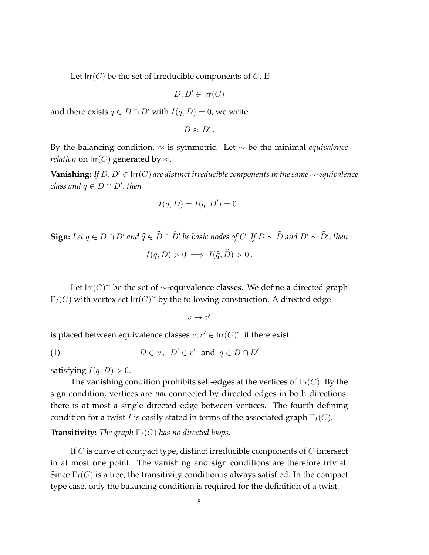Let  $\text{Irr}(C)$  be the set of irreducible components of C. If

$$
D, D' \in \mathsf{Irr}(C)
$$

and there exists  $q \in D \cap D'$  with  $I(q, D) = 0$ , we write

$$
D\approx D'\,.
$$

By the balancing condition, ≈ is symmetric. Let ∼ be the minimal *equivalence relation* on  $\text{Irr}(C)$  generated by  $\approx$ .

**Vanishing:** *If*  $D, D' \in \text{Irr}(C)$  *are distinct irreducible components in the same* ∼*-equivalence*  $class and q \in D \cap D'$ , then

$$
I(q, D) = I(q, D') = 0.
$$

**Sign:** Let  $q \in D \cap D'$  and  $\widehat{q} \in \widehat{D} \cap \widehat{D}'$  be basic nodes of C. If  $D \sim \widehat{D}$  and  $D' \sim \widehat{D}'$ , then

$$
I(q, D) > 0 \implies I(\widehat{q}, \widehat{D}) > 0.
$$

Let  $\mathsf{Irr}(C)^\sim$  be the set of  $\sim$ -equivalence classes. We define a directed graph  $\Gamma_I(C)$  with vertex set  $\textsf{Irr}(C)^\sim$  by the following construction. A directed edge

$$
v\to v'
$$

is placed between equivalence classes  $v, v' \in \mathsf{Irr}(C)^\sim$  if there exist

(1) 
$$
D \in v, \ D' \in v' \text{ and } q \in D \cap D'
$$

satisfying  $I(q, D) > 0$ .

The vanishing condition prohibits self-edges at the vertices of  $\Gamma_I(C)$ . By the sign condition, vertices are *not* connected by directed edges in both directions: there is at most a single directed edge between vertices. The fourth defining condition for a twist I is easily stated in terms of the associated graph  $\Gamma_I(C)$ .

**Transitivity:** *The graph*  $\Gamma_I(C)$  *has no directed loops.* 

If  $C$  is curve of compact type, distinct irreducible components of  $C$  intersect in at most one point. The vanishing and sign conditions are therefore trivial. Since  $\Gamma_I(C)$  is a tree, the transitivity condition is always satisfied. In the compact type case, only the balancing condition is required for the definition of a twist.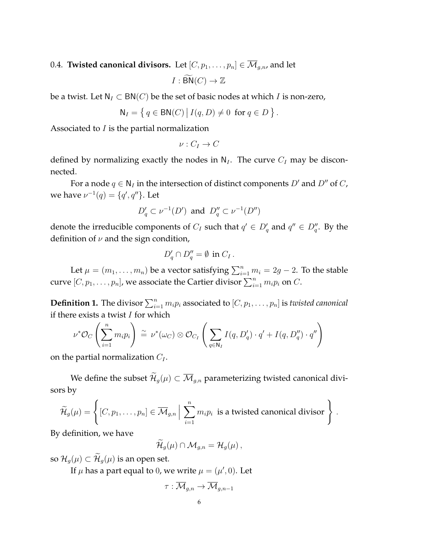0.4. **Twisted canonical divisors.** Let  $[C, p_1, \ldots, p_n] \in \overline{\mathcal{M}}_{g,n}$ , and let

$$
I : \widetilde{\mathsf{BN}}(C) \to \mathbb{Z}
$$

be a twist. Let  $N_I \subset BN(C)$  be the set of basic nodes at which I is non-zero,

$$
\mathsf{N}_I = \left\{ \, q \in \mathsf{BN}(C) \, \big| \, I(q, D) \neq 0 \, \text{ for } q \in D \, \right\}
$$

.

.

Associated to  $I$  is the partial normalization

$$
\nu:C_I\to C
$$

defined by normalizing exactly the nodes in  $N_I$ . The curve  $C_I$  may be disconnected.

For a node  $q \in N_I$  in the intersection of distinct components  $D'$  and  $D''$  of  $C$ , we have  $\nu^{-1}(q) = \{q', q''\}$ . Let

$$
D'_q \subset \nu^{-1}(D')
$$
 and  $D''_q \subset \nu^{-1}(D'')$ 

denote the irreducible components of  $C_I$  such that  $q' \in D'_q$  and  $q'' \in D''_q$ . By the definition of  $\nu$  and the sign condition,

$$
D'_q \cap D''_q = \emptyset \text{ in } C_I.
$$

Let  $\mu = (m_1, \ldots, m_n)$  be a vector satisfying  $\sum_{i=1}^n m_i = 2g - 2$ . To the stable curve  $[C, p_1, \ldots, p_n]$ , we associate the Cartier divisor  $\sum_{i=1}^n m_i p_i$  on  $C$ .

**Definition 1.** The divisor  $\sum_{i=1}^{n} m_i p_i$  associated to  $[C, p_1, \ldots, p_n]$  is *twisted canonical* if there exists a twist  $I$  for which

$$
\nu^* \mathcal{O}_C \left( \sum_{i=1}^n m_i p_i \right) \stackrel{\sim}{=} \nu^* (\omega_C) \otimes \mathcal{O}_{C_I} \left( \sum_{q \in \mathbb{N}_I} I(q, D'_q) \cdot q' + I(q, D''_q) \cdot q'' \right)
$$

on the partial normalization  $C_I$ .

We define the subset  $\widetilde{\mathcal{H}}_q(\mu) \subset \overline{\mathcal{M}}_{q,n}$  parameterizing twisted canonical divisors by

$$
\widetilde{\mathcal{H}}_g(\mu) = \left\{ [C, p_1, \dots, p_n] \in \overline{\mathcal{M}}_{g,n} \, \Big| \, \sum_{i=1}^n m_i p_i \text{ is a twisted canonical divisor} \right\}
$$

By definition, we have

$$
\mathcal{H}_g(\mu) \cap \mathcal{M}_{g,n} = \mathcal{H}_g(\mu) ,
$$

so  $\mathcal{H}_g(\mu) \subset \widetilde{\mathcal{H}}_g(\mu)$  is an open set.

If  $\mu$  has a part equal to 0, we write  $\mu = (\mu', 0)$ . Let

$$
\tau: \overline{\mathcal{M}}_{g,n} \to \overline{\mathcal{M}}_{g,n-1}
$$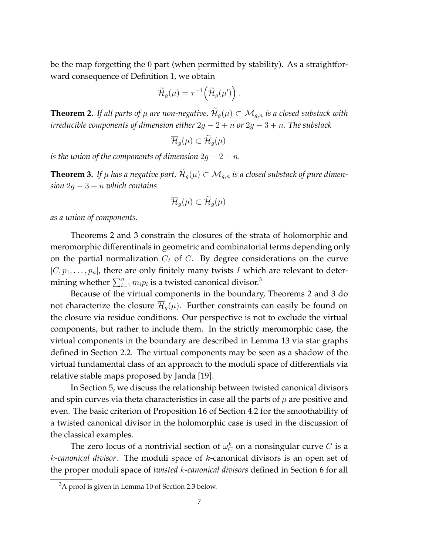be the map forgetting the 0 part (when permitted by stability). As a straightforward consequence of Definition 1, we obtain

$$
\widetilde{\mathcal{H}}_g(\mu)=\tau^{-1}\Big(\widetilde{\mathcal{H}}_g(\mu')\Big)\,.
$$

**Theorem 2.** If all parts of  $\mu$  are non-negative,  $\widetilde{\mathcal{H}}_q(\mu) \subset \overline{\mathcal{M}}_{q,n}$  is a closed substack with *irreducible components of dimension either* 2g − 2 + n *or* 2g − 3 + n*. The substack*

$$
\overline{\mathcal{H}}_g(\mu) \subset \widetilde{\mathcal{H}}_g(\mu)
$$

*is the union of the components of dimension*  $2g - 2 + n$ .

**Theorem 3.** If  $\mu$  has a negative part,  $\widetilde{\mathcal{H}}_q(\mu) \subset \overline{\mathcal{M}}_{q,n}$  is a closed substack of pure dimen*sion* 2g − 3 + n *which contains*

$$
\overline{\mathcal{H}}_g(\mu)\subset \widetilde{\mathcal{H}}_g(\mu)
$$

*as a union of components.*

Theorems 2 and 3 constrain the closures of the strata of holomorphic and meromorphic differentinals in geometric and combinatorial terms depending only on the partial normalization  $C_I$  of C. By degree considerations on the curve  $[C, p_1, \ldots, p_n]$ , there are only finitely many twists I which are relevant to determining whether  $\sum_{i=1}^n m_i p_i$  is a twisted canonical divisor.<sup>3</sup>

Because of the virtual components in the boundary, Theorems 2 and 3 do not characterize the closure  $\mathcal{H}_q(\mu)$ . Further constraints can easily be found on the closure via residue conditions. Our perspective is not to exclude the virtual components, but rather to include them. In the strictly meromorphic case, the virtual components in the boundary are described in Lemma 13 via star graphs defined in Section 2.2. The virtual components may be seen as a shadow of the virtual fundamental class of an approach to the moduli space of differentials via relative stable maps proposed by Janda [19].

In Section 5, we discuss the relationship between twisted canonical divisors and spin curves via theta characteristics in case all the parts of  $\mu$  are positive and even. The basic criterion of Proposition 16 of Section 4.2 for the smoothability of a twisted canonical divisor in the holomorphic case is used in the discussion of the classical examples.

The zero locus of a nontrivial section of  $\omega_C^k$  on a nonsingular curve  $C$  is a k*-canonical divisor*. The moduli space of k-canonical divisors is an open set of the proper moduli space of *twisted* k*-canonical divisors* defined in Section 6 for all

 $3A$  proof is given in Lemma 10 of Section 2.3 below.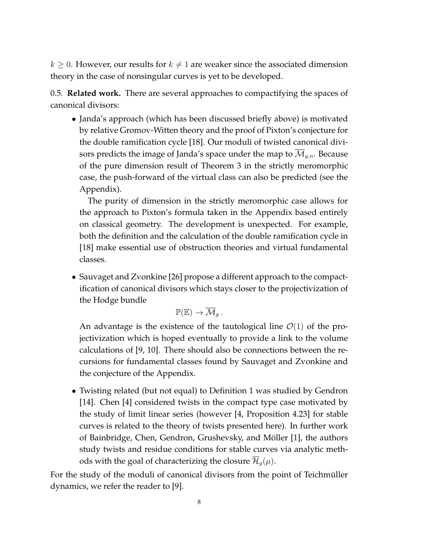$k \geq 0$ . However, our results for  $k \neq 1$  are weaker since the associated dimension theory in the case of nonsingular curves is yet to be developed.

0.5. **Related work.** There are several approaches to compactifying the spaces of canonical divisors:

• Janda's approach (which has been discussed briefly above) is motivated by relative Gromov-Witten theory and the proof of Pixton's conjecture for the double ramification cycle [18]. Our moduli of twisted canonical divisors predicts the image of Janda's space under the map to  $\overline{\mathcal{M}}_{q,n}$ . Because of the pure dimension result of Theorem 3 in the strictly meromorphic case, the push-forward of the virtual class can also be predicted (see the Appendix).

The purity of dimension in the strictly meromorphic case allows for the approach to Pixton's formula taken in the Appendix based entirely on classical geometry. The development is unexpected. For example, both the definition and the calculation of the double ramification cycle in [18] make essential use of obstruction theories and virtual fundamental classes.

• Sauvaget and Zvonkine [26] propose a different approach to the compactification of canonical divisors which stays closer to the projectivization of the Hodge bundle

$$
\mathbb{P}(\mathbb{E}) \to \overline{\mathcal{M}}_g.
$$

An advantage is the existence of the tautological line  $\mathcal{O}(1)$  of the projectivization which is hoped eventually to provide a link to the volume calculations of [9, 10]. There should also be connections between the recursions for fundamental classes found by Sauvaget and Zvonkine and the conjecture of the Appendix.

• Twisting related (but not equal) to Definition 1 was studied by Gendron [14]. Chen [4] considered twists in the compact type case motivated by the study of limit linear series (however [4, Proposition 4.23] for stable curves is related to the theory of twists presented here). In further work of Bainbridge, Chen, Gendron, Grushevsky, and Möller [1], the authors study twists and residue conditions for stable curves via analytic methods with the goal of characterizing the closure  $\mathcal{H}_{q}(\mu)$ .

For the study of the moduli of canonical divisors from the point of Teichmüller dynamics, we refer the reader to [9].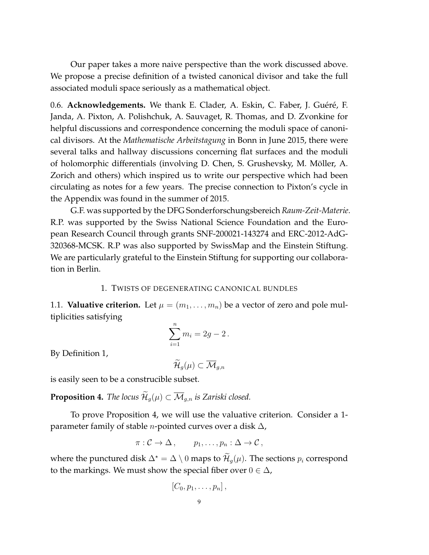Our paper takes a more naive perspective than the work discussed above. We propose a precise definition of a twisted canonical divisor and take the full associated moduli space seriously as a mathematical object.

0.6. **Acknowledgements.** We thank E. Clader, A. Eskin, C. Faber, J. Guéré, F. Janda, A. Pixton, A. Polishchuk, A. Sauvaget, R. Thomas, and D. Zvonkine for helpful discussions and correspondence concerning the moduli space of canonical divisors. At the *Mathematische Arbeitstagung* in Bonn in June 2015, there were several talks and hallway discussions concerning flat surfaces and the moduli of holomorphic differentials (involving D. Chen, S. Grushevsky, M. Moller, A. ¨ Zorich and others) which inspired us to write our perspective which had been circulating as notes for a few years. The precise connection to Pixton's cycle in the Appendix was found in the summer of 2015.

G.F. was supported by the DFG Sonderforschungsbereich *Raum-Zeit-Materie*. R.P. was supported by the Swiss National Science Foundation and the European Research Council through grants SNF-200021-143274 and ERC-2012-AdG-320368-MCSK. R.P was also supported by SwissMap and the Einstein Stiftung. We are particularly grateful to the Einstein Stiftung for supporting our collaboration in Berlin.

## 1. TWISTS OF DEGENERATING CANONICAL BUNDLES

1.1. **Valuative criterion.** Let  $\mu = (m_1, \ldots, m_n)$  be a vector of zero and pole multiplicities satisfying

$$
\sum_{i=1}^{n} m_i = 2g - 2 \, .
$$

By Definition 1,

$$
\widetilde{\mathcal{H}}_g(\mu)\subset \overline{\mathcal{M}}_{g,n}
$$

is easily seen to be a construcible subset.

**Proposition 4.** *The locus*  $\mathcal{H}_q(\mu) \subset \overline{\mathcal{M}}_{q,n}$  *is Zariski closed.* 

To prove Proposition 4, we will use the valuative criterion. Consider a 1 parameter family of stable *n*-pointed curves over a disk  $\Delta$ ,

$$
\pi: \mathcal{C} \to \Delta, \qquad p_1, \ldots, p_n: \Delta \to \mathcal{C},
$$

where the punctured disk  $\Delta^* = \Delta \setminus 0$  maps to  $\mathcal{H}_q(\mu)$ . The sections  $p_i$  correspond to the markings. We must show the special fiber over  $0 \in \Delta$ ,

$$
[C_0, p_1, \ldots, p_n],
$$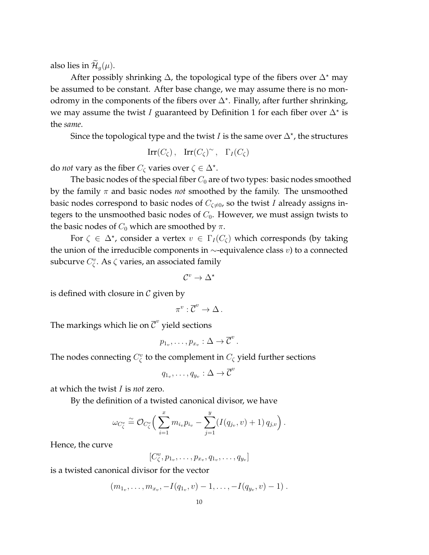also lies in  $\mathcal{H}_q(\mu)$ .

After possibly shrinking  $\Delta$ , the topological type of the fibers over  $\Delta^*$  may be assumed to be constant. After base change, we may assume there is no monodromy in the components of the fibers over  $\Delta^*$ . Finally, after further shrinking, we may assume the twist I guaranteed by Definition 1 for each fiber over  $\Delta^*$  is the *same*.

Since the topological type and the twist I is the same over  $\Delta^*$ , the structures

$$
\operatorname{Irr}(C_{\zeta}), \quad \operatorname{Irr}(C_{\zeta})^{\sim}, \quad \Gamma_{I}(C_{\zeta})
$$

do *not* vary as the fiber  $C_{\zeta}$  varies over  $\zeta \in \Delta^*$ .

The basic nodes of the special fiber  $C_0$  are of two types: basic nodes smoothed by the family  $\pi$  and basic nodes *not* smoothed by the family. The unsmoothed basic nodes correspond to basic nodes of  $C_{\zeta\neq0}$ , so the twist I already assigns integers to the unsmoothed basic nodes of  $C_0$ . However, we must assign twists to the basic nodes of  $C_0$  which are smoothed by  $\pi$ .

For  $\zeta \in \Delta^*$ , consider a vertex  $v \in \Gamma_I(C_\zeta)$  which corresponds (by taking the union of the irreducible components in  $\sim$ -equivalence class v) to a connected subcurve  $C_{\zeta}^v$ . As  $\zeta$  varies, an associated family

$$
\mathcal{C}^v\to \Delta^\star
$$

is defined with closure in  $\mathcal C$  given by

$$
\pi^v:\overline{\mathcal{C}}^v\to \Delta\,.
$$

The markings which lie on  $\overline{\mathcal{C}}^v$  yield sections

$$
p_{1_v},\ldots,p_{x_v}:\Delta\to\overline{\mathcal{C}}^v.
$$

The nodes connecting  $C_{\zeta}^v$  to the complement in  $C_{\zeta}$  yield further sections

$$
q_{1_v},\ldots,q_{y_v}:\Delta\to\overline{\mathcal{C}}^v
$$

at which the twist I is *not* zero.

By the definition of a twisted canonical divisor, we have

$$
\omega_{C_{\zeta}^v} \stackrel{\simeq}{=} \mathcal{O}_{C_{\zeta}^v} \bigg( \sum_{i=1}^x m_{i_v} p_{i_v} - \sum_{j=1}^y (I(q_{j_v}, v) + 1) q_{j,v} \bigg) .
$$

Hence, the curve

$$
[C^v_{\zeta}, p_{1_v},\ldots,p_{x_v}, q_{1_v},\ldots,q_{y_v}]
$$

is a twisted canonical divisor for the vector

$$
(m_{1_v},\ldots,m_{x_v},-I(q_{1_v},v)-1,\ldots,-I(q_{y_v},v)-1)
$$
.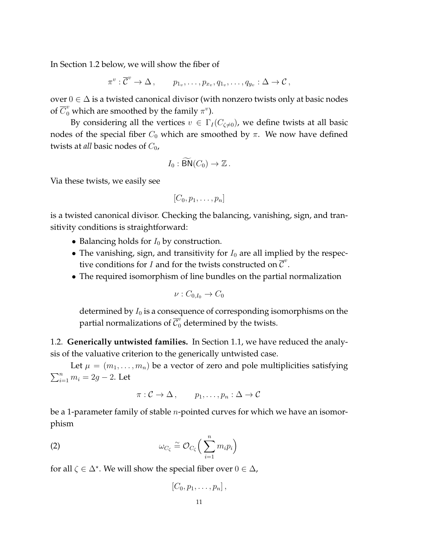In Section 1.2 below, we will show the fiber of

$$
\pi^v: \overline{\mathcal{C}}^v \to \Delta \,, \qquad p_{1_v}, \ldots, p_{x_v}, q_{1_v}, \ldots, q_{y_v}: \Delta \to \mathcal{C} \,,
$$

over  $0 \in \Delta$  is a twisted canonical divisor (with nonzero twists only at basic nodes of  $\overline{C}^v_0$  which are smoothed by the family  $\pi^v$ ).

By considering all the vertices  $v \in \Gamma_I(C_{\zeta \neq 0})$ , we define twists at all basic nodes of the special fiber  $C_0$  which are smoothed by  $\pi$ . We now have defined twists at *all* basic nodes of  $C_0$ ,

$$
I_0 : \widetilde{\mathsf{BN}}(C_0) \to \mathbb{Z} \, .
$$

Via these twists, we easily see

$$
[C_0, p_1, \ldots, p_n]
$$

is a twisted canonical divisor. Checking the balancing, vanishing, sign, and transitivity conditions is straightforward:

- Balancing holds for  $I_0$  by construction.
- The vanishing, sign, and transitivity for  $I_0$  are all implied by the respective conditions for *I* and for the twists constructed on  $\overline{C}^v$ .
- The required isomorphism of line bundles on the partial normalization

$$
\nu:C_{0,I_0}\to C_0
$$

determined by  $I_0$  is a consequence of corresponding isomorphisms on the partial normalizations of  $\overline{\mathcal{C}}_{0}^{v}$  determined by the twists.

1.2. **Generically untwisted families.** In Section 1.1, we have reduced the analysis of the valuative criterion to the generically untwisted case.

Let  $\mu = (m_1, \ldots, m_n)$  be a vector of zero and pole multiplicities satisfying  $\sum_{i=1}^{n} m_i = 2g - 2$ . Let

$$
\pi: \mathcal{C} \to \Delta, \qquad p_1, \ldots, p_n: \Delta \to \mathcal{C}
$$

be a 1-parameter family of stable  $n$ -pointed curves for which we have an isomorphism

(2) 
$$
\omega_{C_{\zeta}} \stackrel{\sim}{=} \mathcal{O}_{C_{\zeta}} \Big( \sum_{i=1}^n m_i p_i \Big)
$$

for all  $\zeta \in \Delta^*$ . We will show the special fiber over  $0 \in \Delta$ ,

$$
[C_0,p_1,\ldots,p_n],
$$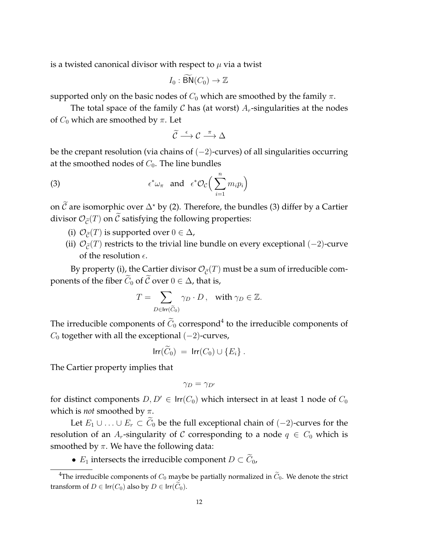is a twisted canonical divisor with respect to  $\mu$  via a twist

$$
I_0: \widetilde{\mathsf{BN}}(C_0) \to \mathbb{Z}
$$

supported only on the basic nodes of  $C_0$  which are smoothed by the family  $\pi$ .

The total space of the family  $C$  has (at worst)  $A_r$ -singularities at the nodes of  $C_0$  which are smoothed by  $\pi$ . Let

$$
\widetilde{\mathcal{C}}\overset{\epsilon}{\longrightarrow}\mathcal{C}\overset{\pi}{\longrightarrow}\Delta
$$

be the crepant resolution (via chains of (−2)-curves) of all singularities occurring at the smoothed nodes of  $C_0$ . The line bundles

(3) 
$$
\epsilon^* \omega_{\pi} \text{ and } \epsilon^* \mathcal{O}_{\mathcal{C}} \Big( \sum_{i=1}^n m_i p_i \Big)
$$

on  $\tilde{C}$  are isomorphic over  $\Delta^*$  by (2). Therefore, the bundles (3) differ by a Cartier divisor  $\mathcal{O}_{\tilde{C}}(T)$  on  $\tilde{C}$  satisfying the following properties:

- (i)  $\mathcal{O}_{\tilde{C}}(T)$  is supported over  $0 \in \Delta$ ,
- (ii)  $\mathcal{O}_{\tilde{C}}(T)$  restricts to the trivial line bundle on every exceptional (−2)-curve of the resolution  $\epsilon$ .

By property (i), the Cartier divisor  $\mathcal{O}_{\tilde{C}}(T)$  must be a sum of irreducible components of the fiber  $\widetilde{C}_0$  of  $\widetilde{C}$  over  $0 \in \Delta$ , that is,

$$
T = \sum_{D \in \text{Irr}(\widetilde{C}_0)} \gamma_D \cdot D, \quad \text{with } \gamma_D \in \mathbb{Z}.
$$

The irreducible components of  $C_0$  correspond<sup>4</sup> to the irreducible components of  $C_0$  together with all the exceptional  $(-2)$ -curves,

$$
\mathsf{Irr}(\tilde{C}_0) = \mathsf{Irr}(C_0) \cup \{E_i\} .
$$

The Cartier property implies that

$$
\gamma_D=\gamma_{D'}
$$

for distinct components  $D, D' \in \text{Irr}(C_0)$  which intersect in at least 1 node of  $C_0$ which is *not* smoothed by π.

Let  $E_1 \cup \ldots \cup E_r \subset C_0$  be the full exceptional chain of  $(-2)$ -curves for the resolution of an A<sub>r</sub>-singularity of C corresponding to a node  $q \in C_0$  which is smoothed by  $\pi$ . We have the following data:

•  $E_1$  intersects the irreducible component  $D \subset \widetilde{C}_0$ ,

<sup>&</sup>lt;sup>4</sup>The irreducible components of  $C_0$  maybe be partially normalized in  $\tilde{C}_0$ . We denote the strict transform of  $D \in \text{Irr}(C_0)$  also by  $D \in \text{Irr}(\widetilde{C}_0)$ .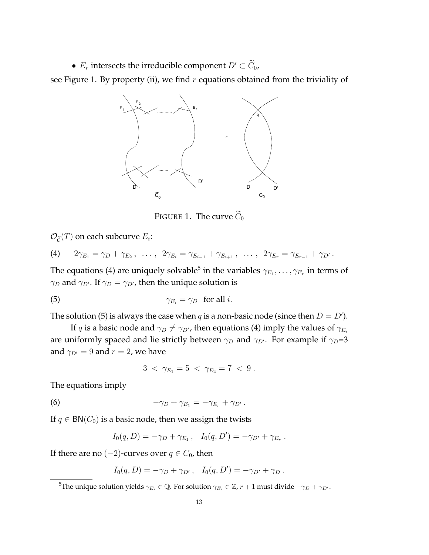•  $E_r$  intersects the irreducible component  $D' \subset \widetilde{C}_0$ ,

see Figure 1. By property (ii), we find  $r$  equations obtained from the triviality of



FIGURE 1. The curve  $\widetilde{C}_0$ 

 $\mathcal{O}_{\widetilde{\mathcal{C}}}(T)$  on each subcurve  $E_i$ :

(4) 
$$
2\gamma_{E_1} = \gamma_D + \gamma_{E_2}, \ldots, 2\gamma_{E_i} = \gamma_{E_{i-1}} + \gamma_{E_{i+1}}, \ldots, 2\gamma_{E_r} = \gamma_{E_{r-1}} + \gamma_{D'}.
$$

The equations (4) are uniquely solvable<sup>5</sup> in the variables  $\gamma_{E_1},\ldots,\gamma_{E_r}$  in terms of  $\gamma_D$  and  $\gamma_{D'}$ . If  $\gamma_D = \gamma_{D'}$ , then the unique solution is

(5) 
$$
\gamma_{E_i} = \gamma_D \text{ for all } i.
$$

The solution (5) is always the case when q is a non-basic node (since then  $D = D'$ ).

If q is a basic node and  $\gamma_D \neq \gamma_{D}$ , then equations (4) imply the values of  $\gamma_{E_i}$ are uniformly spaced and lie strictly between  $\gamma_D$  and  $\gamma_{D'}$ . For example if  $\gamma_D=3$ and  $\gamma_{D'} = 9$  and  $r = 2$ , we have

$$
3 \; < \; \gamma_{E_1} = 5 \; < \; \gamma_{E_2} = 7 \; < \; 9 \; .
$$

The equations imply

(6) 
$$
-\gamma_D + \gamma_{E_1} = -\gamma_{E_r} + \gamma_{D'}.
$$

If  $q \in BN(C_0)$  is a basic node, then we assign the twists

$$
I_0(q, D) = -\gamma_D + \gamma_{E_1}, \quad I_0(q, D') = -\gamma_{D'} + \gamma_{E_r}.
$$

If there are no  $(-2)$ -curves over  $q \in C_0$ , then

$$
I_0(q, D) = -\gamma_D + \gamma_{D'}, \quad I_0(q, D') = -\gamma_{D'} + \gamma_D.
$$

<sup>&</sup>lt;sup>5</sup>The unique solution yields  $\gamma_{E_i} \in \mathbb{Q}$ . For solution  $\gamma_{E_i} \in \mathbb{Z}$ ,  $r + 1$  must divide  $-\gamma_D + \gamma_{D'}$ .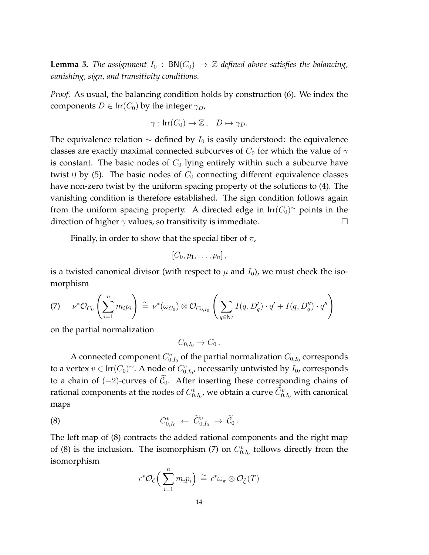**Lemma 5.** *The assignment*  $I_0$  :  $BN(C_0) \rightarrow \mathbb{Z}$  *defined above satisfies the balancing*, *vanishing, sign, and transitivity conditions.*

*Proof.* As usual, the balancing condition holds by construction (6). We index the components  $D \in \text{Irr}(C_0)$  by the integer  $\gamma_D$ ,

$$
\gamma: \mathsf{Irr}(C_0) \to \mathbb{Z}\,, \quad D \mapsto \gamma_D.
$$

The equivalence relation  $\sim$  defined by  $I_0$  is easily understood: the equivalence classes are exactly maximal connected subcurves of  $C_0$  for which the value of  $\gamma$ is constant. The basic nodes of  $C_0$  lying entirely within such a subcurve have twist 0 by (5). The basic nodes of  $C_0$  connecting different equivalence classes have non-zero twist by the uniform spacing property of the solutions to (4). The vanishing condition is therefore established. The sign condition follows again from the uniform spacing property. A directed edge in  $\text{Irr}(C_0)^\sim$  points in the direction of higher  $\gamma$  values, so transitivity is immediate.

Finally, in order to show that the special fiber of  $\pi$ ,

$$
[C_0,p_1,\ldots,p_n],
$$

is a twisted canonical divisor (with respect to  $\mu$  and  $I_0$ ), we must check the isomorphism

$$
(7) \qquad \nu^* \mathcal{O}_{C_0}\left(\sum_{i=1}^n m_i p_i\right) \stackrel{\sim}{=} \nu^* (\omega_{C_0}) \otimes \mathcal{O}_{C_{0,I_0}}\left(\sum_{q \in \mathbb{N}_I} I(q, D'_q) \cdot q' + I(q, D''_q) \cdot q''\right)
$$

on the partial normalization

$$
C_{0,I_0}\to C_0.
$$

A connected component  $C_{0,I_0}^v$  of the partial normalization  $C_{0,I_0}$  corresponds to a vertex  $v \in \text{Irr}(C_0)^\sim$ . A node of  $C^v_{0,I_0}$ , necessarily untwisted by  $I_0$ , corresponds to a chain of  $(-2)$ -curves of  $C_0$ . After inserting these corresponding chains of rational components at the nodes of  $C^v_{0,I_0}$ , we obtain a curve  $\widetilde{C}^v_{0,I_0}$  with canonical maps

$$
(8) \tC_{0,I_0}^v \leftarrow \widetilde{C}_{0,I_0}^v \rightarrow \widetilde{\mathcal{C}}_0.
$$

The left map of (8) contracts the added rational components and the right map of (8) is the inclusion. The isomorphism (7) on  $C_{0,I_0}^v$  follows directly from the isomorphism

$$
\epsilon^* \mathcal{O}_{\mathcal{C}} \Big( \sum_{i=1}^n m_i p_i \Big) \stackrel{\sim}{=} \epsilon^* \omega_{\pi} \otimes \mathcal{O}_{\widetilde{\mathcal{C}}}(T)
$$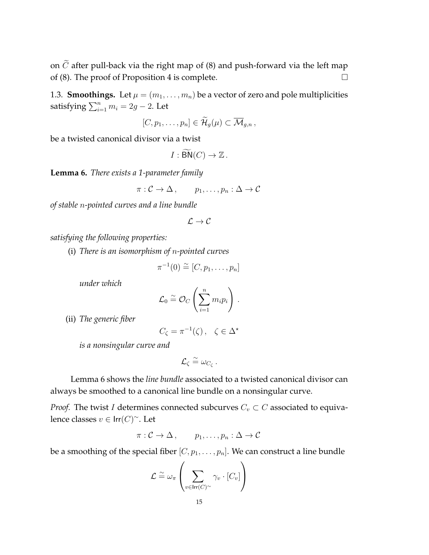on  $\tilde{C}$  after pull-back via the right map of (8) and push-forward via the left map of (8). The proof of Proposition 4 is complete. of (8). The proof of Proposition 4 is complete.

1.3. **Smoothings.** Let  $\mu = (m_1, \ldots, m_n)$  be a vector of zero and pole multiplicities satisfying  $\sum_{i=1}^n m_i = 2g - 2$ . Let

$$
[C,p_1,\ldots,p_n]\in \widetilde{\mathcal{H}}_g(\mu)\subset \overline{\mathcal{M}}_{g,n},
$$

be a twisted canonical divisor via a twist

$$
I:\widetilde{\mathsf{BN}}(C)\to\mathbb{Z}\,.
$$

**Lemma 6.** *There exists a 1-parameter family*

$$
\pi: \mathcal{C} \to \Delta \,, \qquad p_1, \ldots, p_n: \Delta \to \mathcal{C}
$$

*of stable* n*-pointed curves and a line bundle*

$$
\mathcal{L} \to \mathcal{C}
$$

*satisfying the following properties:*

(i) *There is an isomorphism of* n*-pointed curves*

$$
\pi^{-1}(0) \stackrel{\sim}{=} [C, p_1, \ldots, p_n]
$$

*under which*

$$
\mathcal{L}_0 \stackrel{\sim}{=} \mathcal{O}_C \left( \sum_{i=1}^n m_i p_i \right) \, .
$$

(ii) *The generic fiber*

$$
C_\zeta=\pi^{-1}(\zeta)\,,\quad \zeta\in\Delta^\star
$$

*is a nonsingular curve and*

$$
\mathcal{L}_{\zeta} \stackrel{\sim}{=} \omega_{C_{\zeta}}.
$$

Lemma 6 shows the *line bundle* associated to a twisted canonical divisor can always be smoothed to a canonical line bundle on a nonsingular curve.

*Proof.* The twist *I* determines connected subcurves  $C_v \subset C$  associated to equivalence classes  $v \in \mathsf{Irr}(C)^\sim$ . Let

$$
\pi: \mathcal{C} \to \Delta \,, \qquad p_1, \ldots, p_n: \Delta \to \mathcal{C}
$$

be a smoothing of the special fiber  $[C, p_1, \ldots, p_n]$ . We can construct a line bundle

$$
\mathcal{L} \stackrel{\sim}{=} \omega_{\pi} \left( \sum_{v \in \mathsf{Irr}(C)^{\sim}} \gamma_v \cdot [C_v] \right)
$$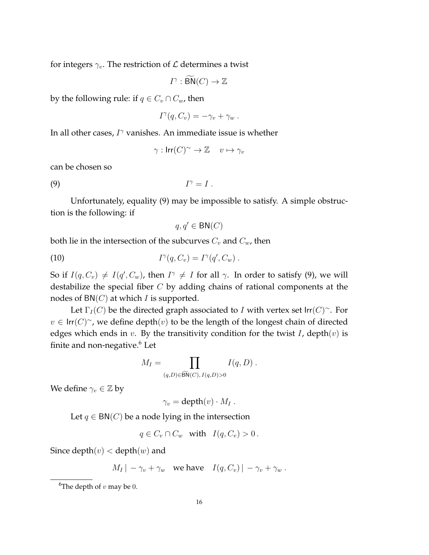for integers  $\gamma_v$ . The restriction of  $\mathcal L$  determines a twist

$$
I^{\gamma}: \widetilde{\mathsf{BN}}(C) \to \mathbb{Z}
$$

by the following rule: if  $q \in C_v \cap C_w$ , then

$$
I^{\gamma}(q, C_v) = -\gamma_v + \gamma_w.
$$

In all other cases,  $I^{\gamma}$  vanishes. An immediate issue is whether

$$
\gamma: \mathsf{Irr}(C)^{\sim} \to \mathbb{Z} \quad v \mapsto \gamma_v
$$

can be chosen so

 $(9)$   $I$  $I^{\gamma} = I$ 

Unfortunately, equality (9) may be impossible to satisfy. A simple obstruction is the following: if

$$
q, q' \in \mathsf{BN}(C)
$$

both lie in the intersection of the subcurves  $C_v$  and  $C_w$ , then

(10) 
$$
I^{\gamma}(q, C_v) = I^{\gamma}(q', C_w).
$$

So if  $I(q, C_v) \neq I(q', C_w)$ , then  $I^{\gamma} \neq I$  for all  $\gamma$ . In order to satisfy (9), we will destabilize the special fiber  $C$  by adding chains of rational components at the nodes of  $BN(C)$  at which *I* is supported.

Let  $\Gamma_I(C)$  be the directed graph associated to *I* with vertex set  $\text{Irr}(C)^\sim$ . For  $v \in \text{Irr}(C)^\sim$ , we define depth $(v)$  to be the length of the longest chain of directed edges which ends in  $v$ . By the transitivity condition for the twist  $I$ , depth $(v)$  is finite and non-negative.<sup>6</sup> Let

$$
M_I = \prod_{(q,D)\in \widetilde{\text{BN}}(C), I(q,D)>0} I(q,D) .
$$

We define  $\gamma_v \in \mathbb{Z}$  by

 $\gamma_v = \text{depth}(v) \cdot M_I$ .

Let  $q \in BN(C)$  be a node lying in the intersection

$$
q \in C_v \cap C_w \quad \text{with} \quad I(q, C_v) > 0 \, .
$$

Since depth $(v)$  < depth $(w)$  and

$$
M_I | -\gamma_v + \gamma_w
$$
 we have  $I(q, C_v) | -\gamma_v + \gamma_w$ .

<sup>&</sup>lt;sup>6</sup>The depth of  $v$  may be 0.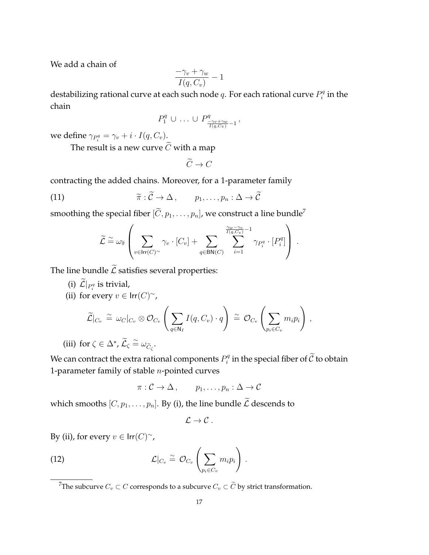We add a chain of

$$
\frac{-\gamma_v + \gamma_w}{I(q, C_v)} - 1
$$

destabilizing rational curve at each such node  $q$ . For each rational curve  $P_i^q$  $\mathbf{e}_i^q$  in the chain

$$
P_1^q \cup \ldots \cup P_{\frac{-\gamma_v + \gamma_w}{I(q, C_v)} - 1}^q,
$$

we define  $\gamma_{P_i^q} = \gamma_v + i \cdot I(q, C_v).$ 

The result is a new curve  $\widetilde{C}$  with a map

 $\widetilde{C}\to C$ 

contracting the added chains. Moreover, for a 1-parameter family

(11) 
$$
\widetilde{\pi}: \widetilde{\mathcal{C}} \to \Delta, \qquad p_1, \ldots, p_n: \Delta \to \widetilde{\mathcal{C}}
$$

smoothing the special fiber  $[\widetilde{C}, p_1, \ldots, p_n]$ , we construct a line bundle<sup>7</sup>

$$
\widetilde{\mathcal{L}} \stackrel{\sim}{=} \omega_{\widetilde{\pi}} \left( \sum_{v \in \text{Irr}(C)^{\sim}} \gamma_v \cdot [C_v] + \sum_{q \in \text{BN}(C)} \sum_{i=1}^{\frac{\gamma_w - \gamma_v}{I(q, C_v)} - 1} \gamma_{P_i^q} \cdot [P_i^q] \right).
$$

The line bundle  $\widetilde{\mathcal{L}}$  satisfies several properties:

- (i)  $\mathcal{L}|_{P_i^q}$  is trivial,
- (ii) for every  $v \in \text{Irr}(C)^\sim$ ,

$$
\widetilde{\mathcal{L}}|_{C_v} \cong \omega_C|_{C_v} \otimes \mathcal{O}_{C_v} \left( \sum_{q \in \mathbb{N}_I} I(q, C_v) \cdot q \right) \cong \mathcal{O}_{C_v} \left( \sum_{p_i \in C_v} m_i p_i \right),
$$
  
or  $\zeta \in \Delta^* \widetilde{C} \subseteq \omega \widetilde{\zeta}$ 

(iii) for  $\zeta \in \Delta^*$ ,  $\widetilde{\mathcal{L}}_{\zeta} \cong \omega_{\widetilde{C}_{\zeta}}$ .

We can contract the extra rational components  $P_i^q$  $i_i^q$  in the special fiber of  $\mathcal C$  to obtain 1-parameter family of stable  $n$ -pointed curves

$$
\pi:\mathcal{C}\to\Delta\,,\qquad p_1,\ldots,p_n:\Delta\to\mathcal{C}
$$

which smooths  $[C, p_1, \ldots, p_n]$ . By (i), the line bundle  $\widetilde{\mathcal{L}}$  descends to

$$
\mathcal{L}\to\mathcal{C}~.
$$

By (ii), for every  $v \in \mathsf{Irr}(C)^\sim$ ,

(12) 
$$
\mathcal{L}|_{C_v} \cong \mathcal{O}_{C_v} \left( \sum_{p_i \in C_v} m_i p_i \right).
$$

<sup>7</sup>The subcurve  $C_v \subset C$  corresponds to a subcurve  $C_v \subset \widetilde{C}$  by strict transformation.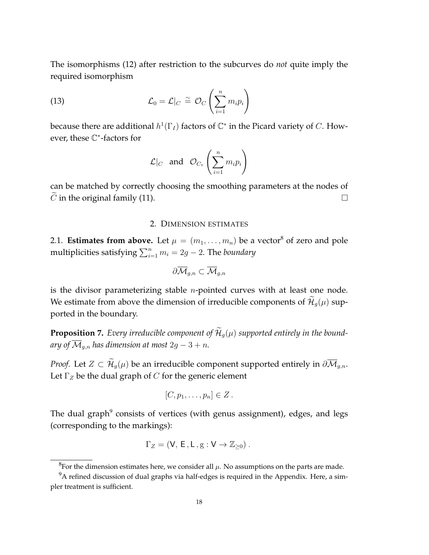The isomorphisms (12) after restriction to the subcurves do *not* quite imply the required isomorphism

(13) 
$$
\mathcal{L}_0 = \mathcal{L}|_C \stackrel{\sim}{=} \mathcal{O}_C \left( \sum_{i=1}^n m_i p_i \right)
$$

because there are additional  $h^1(\Gamma_I)$  factors of  $\mathbb{C}^*$  in the Picard variety of  $C.$  However, these C ∗ -factors for

$$
\mathcal{L}|_C \text{ and } \mathcal{O}_{C_v}\left(\sum_{i=1}^n m_i p_i\right)
$$

can be matched by correctly choosing the smoothing parameters at the nodes of  $\widetilde{C}$  in the original family (11).

# 2. DIMENSION ESTIMATES

2.1. **Estimates from above.** Let  $\mu = (m_1, \ldots, m_n)$  be a vector<sup>8</sup> of zero and pole multiplicities satisfying  $\sum_{i=1}^n m_i = 2g - 2$ . The *boundary* 

$$
\partial \overline{\mathcal{M}}_{g,n} \subset \overline{\mathcal{M}}_{g,n}
$$

is the divisor parameterizing stable  $n$ -pointed curves with at least one node. We estimate from above the dimension of irreducible components of  $\widetilde{\mathcal{H}}_g(\mu)$  supported in the boundary.

**Proposition 7.** Every irreducible component of  $\widetilde{\mathcal{H}}_q(\mu)$  supported entirely in the bound*ary of*  $\overline{\mathcal{M}}_{g,n}$  *has dimension at most* 2g – 3 + *n*.

*Proof.* Let  $Z \subset \widetilde{\mathcal{H}}_q(\mu)$  be an irreducible component supported entirely in  $\partial \overline{\mathcal{M}}_{q,n}$ . Let  $\Gamma_Z$  be the dual graph of C for the generic element

$$
[C, p_1, \ldots, p_n] \in Z.
$$

The dual graph<sup>9</sup> consists of vertices (with genus assignment), edges, and legs (corresponding to the markings):

$$
\Gamma_Z=(V,\,E\,,L\,,{\rm g}:V\to\mathbb{Z}_{\geq 0})\;.
$$

 ${}^{8}$ For the dimension estimates here, we consider all  $\mu$ . No assumptions on the parts are made.

 $9A$  refined discussion of dual graphs via half-edges is required in the Appendix. Here, a simpler treatment is sufficient.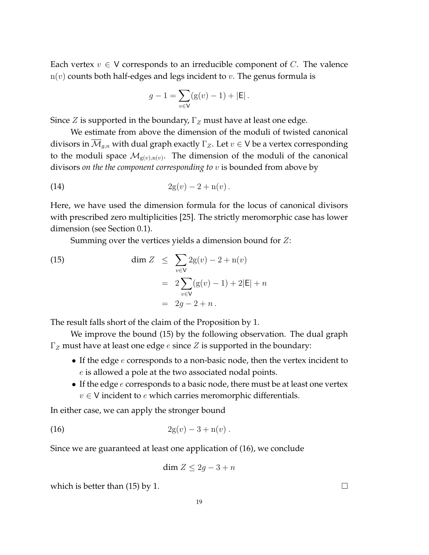Each vertex  $v \in V$  corresponds to an irreducible component of C. The valence  $n(v)$  counts both half-edges and legs incident to v. The genus formula is

$$
g - 1 = \sum_{v \in V} (g(v) - 1) + |E|.
$$

Since Z is supported in the boundary,  $\Gamma$ <sub>Z</sub> must have at least one edge.

We estimate from above the dimension of the moduli of twisted canonical divisors in  $\overline{\mathcal{M}}_{q,n}$  with dual graph exactly  $\Gamma_Z$ . Let  $v \in V$  be a vertex corresponding to the moduli space  $\mathcal{M}_{g(v),n(v)}$ . The dimension of the moduli of the canonical divisors *on the the component corresponding to* v is bounded from above by

(14) 
$$
2g(v) - 2 + n(v).
$$

Here, we have used the dimension formula for the locus of canonical divisors with prescribed zero multiplicities [25]. The strictly meromorphic case has lower dimension (see Section 0.1).

Summing over the vertices yields a dimension bound for Z:

(15) 
$$
\dim Z \leq \sum_{v \in V} 2g(v) - 2 + n(v) \n= 2 \sum_{v \in V} (g(v) - 1) + 2|E| + n \n= 2g - 2 + n.
$$

The result falls short of the claim of the Proposition by 1.

We improve the bound (15) by the following observation. The dual graph  $\Gamma_Z$  must have at least one edge *e* since *Z* is supported in the boundary:

- If the edge  $e$  corresponds to a non-basic node, then the vertex incident to e is allowed a pole at the two associated nodal points.
- If the edge  $e$  corresponds to a basic node, there must be at least one vertex  $v \in V$  incident to e which carries meromorphic differentials.

In either case, we can apply the stronger bound

(16) 
$$
2g(v) - 3 + n(v).
$$

Since we are guaranteed at least one application of (16), we conclude

$$
\dim Z \le 2g - 3 + n
$$

which is better than  $(15)$  by 1.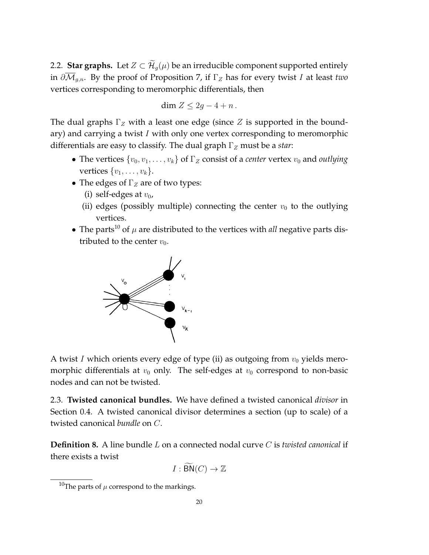2.2. **Star graphs.** Let  $Z \subset \widetilde{\mathcal{H}}_q(\mu)$  be an irreducible component supported entirely in  $\partial \overline{\mathcal{M}}_{g,n}$ . By the proof of Proposition 7, if  $\Gamma_Z$  has for every twist I at least *two* vertices corresponding to meromorphic differentials, then

$$
\dim Z \leq 2g - 4 + n.
$$

The dual graphs  $\Gamma_Z$  with a least one edge (since Z is supported in the boundary) and carrying a twist I with only one vertex corresponding to meromorphic differentials are easy to classify. The dual graph  $\Gamma$ <sub>Z</sub> must be a *star*:

- The vertices  $\{v_0, v_1, \ldots, v_k\}$  of  $\Gamma_Z$  consist of a *center* vertex  $v_0$  and *outlying* vertices  $\{v_1, \ldots, v_k\}.$
- The edges of  $\Gamma$ <sub>Z</sub> are of two types:
	- (i) self-edges at  $v_0$ ,
	- (ii) edges (possibly multiple) connecting the center  $v_0$  to the outlying vertices.
- The parts<sup>10</sup> of  $\mu$  are distributed to the vertices with *all* negative parts distributed to the center  $v_0$ .



A twist I which orients every edge of type (ii) as outgoing from  $v_0$  yields meromorphic differentials at  $v_0$  only. The self-edges at  $v_0$  correspond to non-basic nodes and can not be twisted.

2.3. **Twisted canonical bundles.** We have defined a twisted canonical *divisor* in Section 0.4. A twisted canonical divisor determines a section (up to scale) of a twisted canonical *bundle* on C.

**Definition 8.** A line bundle L on a connected nodal curve C is *twisted canonical* if there exists a twist

$$
I : \widetilde{\mathsf{BN}}(C) \to \mathbb{Z}
$$

<sup>&</sup>lt;sup>10</sup>The parts of  $\mu$  correspond to the markings.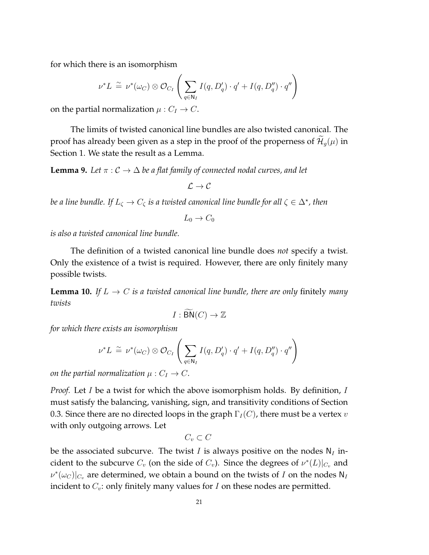for which there is an isomorphism

$$
\nu^* L \stackrel{\sim}{=} \nu^*(\omega_C) \otimes \mathcal{O}_{C_I} \left( \sum_{q \in \mathbb{N}_I} I(q, D'_q) \cdot q' + I(q, D''_q) \cdot q'' \right)
$$

on the partial normalization  $\mu: C_I \to C$ .

The limits of twisted canonical line bundles are also twisted canonical. The proof has already been given as a step in the proof of the properness of  $\mathcal{H}_g(\mu)$  in Section 1. We state the result as a Lemma.

**Lemma 9.** Let  $\pi$  :  $C \to \Delta$  be a flat family of connected nodal curves, and let

$$
\mathcal{L} \to \mathcal{C}
$$

*be a line bundle. If*  $L_\zeta \to C_\zeta$  *is a twisted canonical line bundle for all*  $\zeta \in \Delta^\star$ *, then* 

$$
L_0 \to C_0
$$

*is also a twisted canonical line bundle.*

The definition of a twisted canonical line bundle does *not* specify a twist. Only the existence of a twist is required. However, there are only finitely many possible twists.

**Lemma 10.** *If*  $L \rightarrow C$  *is a twisted canonical line bundle, there are only finitely many twists*

$$
I : \widetilde{\mathsf{BN}}(C) \to \mathbb{Z}
$$

*for which there exists an isomorphism*

$$
\nu^* L \stackrel{\sim}{=} \nu^*(\omega_C) \otimes \mathcal{O}_{C_I} \left( \sum_{q \in \mathbb{N}_I} I(q, D'_q) \cdot q' + I(q, D''_q) \cdot q'' \right)
$$

*on the partial normalization*  $\mu$  :  $C_I \rightarrow C$ *.* 

*Proof.* Let *I* be a twist for which the above isomorphism holds. By definition, *I* must satisfy the balancing, vanishing, sign, and transitivity conditions of Section 0.3. Since there are no directed loops in the graph  $\Gamma_I(C)$ , there must be a vertex v with only outgoing arrows. Let

$$
C_v\subset C
$$

be the associated subcurve. The twist I is always positive on the nodes  $N_I$  incident to the subcurve  $C_v$  (on the side of  $C_v$ ). Since the degrees of  $\nu^*(L)|_{C_v}$  and  $\nu^*(\omega_C)|_{C_v}$  are determined, we obtain a bound on the twists of I on the nodes N<sub>I</sub> incident to  $C_v$ : only finitely many values for I on these nodes are permitted.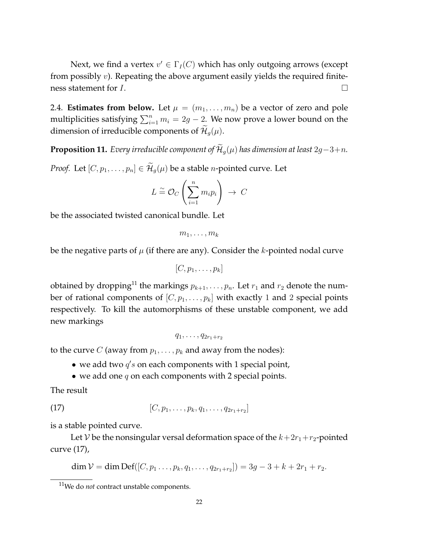Next, we find a vertex  $v' \in \Gamma_I(C)$  which has only outgoing arrows (except from possibly  $v$ ). Repeating the above argument easily yields the required finiteness statement for  $I$ .

2.4. **Estimates from below.** Let  $\mu = (m_1, \ldots, m_n)$  be a vector of zero and pole multiplicities satisfying  $\sum_{i=1}^n m_i = 2g - 2$ . We now prove a lower bound on the dimension of irreducible components of  $\mathcal{H}_q(\mu)$ .

**Proposition 11.** *Every irreducible component of*  $\widetilde{\mathcal{H}}_q(\mu)$  *has dimension at least* 2g−3+n.

*Proof.* Let  $[C, p_1, \ldots, p_n] \in \widetilde{\mathcal{H}}_q(\mu)$  be a stable *n*-pointed curve. Let

$$
L \stackrel{\sim}{=} \mathcal{O}_C\left(\sum_{i=1}^n m_i p_i\right) \ \to \ C
$$

be the associated twisted canonical bundle. Let

$$
m_1,\ldots,m_k
$$

be the negative parts of  $\mu$  (if there are any). Consider the k-pointed nodal curve

$$
[C, p_1, \ldots, p_k]
$$

obtained by dropping<sup>11</sup> the markings  $p_{k+1}, \ldots, p_n$ . Let  $r_1$  and  $r_2$  denote the number of rational components of  $[C, p_1, \ldots, p_k]$  with exactly 1 and 2 special points respectively. To kill the automorphisms of these unstable component, we add new markings

$$
q_1,\ldots,q_{2r_1+r_2}
$$

to the curve C (away from  $p_1, \ldots, p_k$  and away from the nodes):

- we add two  $q's$  on each components with 1 special point,
- we add one  $q$  on each components with 2 special points.

The result

(17) 
$$
[C, p_1, \ldots, p_k, q_1, \ldots, q_{2r_1+r_2}]
$$

is a stable pointed curve.

Let V be the nonsingular versal deformation space of the  $k+2r_1+r_2$ -pointed curve (17),

$$
\dim \mathcal{V} = \dim Def([C, p_1 \ldots, p_k, q_1, \ldots, q_{2r_1+r_2}]) = 3g - 3 + k + 2r_1 + r_2.
$$

<sup>11</sup>We do *not* contract unstable components.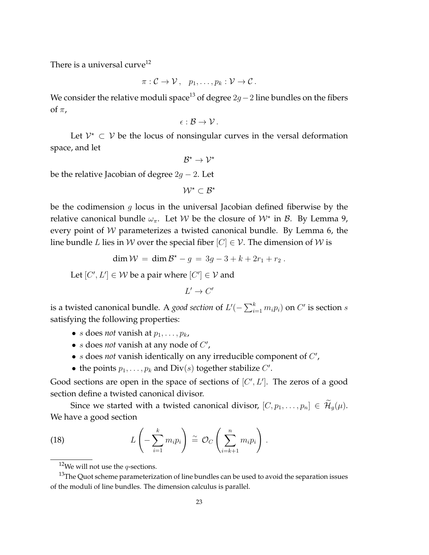There is a universal curve<sup>12</sup>

 $\pi: \mathcal{C} \to \mathcal{V}, \quad p_1, \ldots, p_k: \mathcal{V} \to \mathcal{C}.$ 

We consider the relative moduli space<sup>13</sup> of degree  $2g-2$  line bundles on the fibers of  $\pi$ ,

$$
\epsilon:\mathcal{B}\to\mathcal{V}\,.
$$

Let  $V^* \subset V$  be the locus of nonsingular curves in the versal deformation space, and let

$$
\mathcal{B}^\star \to \mathcal{V}^\star
$$

be the relative Jacobian of degree  $2g - 2$ . Let

$$
\mathcal{W}^\star \subset \mathcal{B}^\star
$$

be the codimension  $g$  locus in the universal Jacobian defined fiberwise by the relative canonical bundle  $\omega_{\pi}$ . Let W be the closure of  $\mathcal{W}^*$  in  $\mathcal{B}$ . By Lemma 9, every point of W parameterizes a twisted canonical bundle. By Lemma 6, the line bundle L lies in W over the special fiber  $[C] \in \mathcal{V}$ . The dimension of W is

$$
\dim W = \dim \mathcal{B}^* - g = 3g - 3 + k + 2r_1 + r_2.
$$

Let  $[C', L'] \in W$  be a pair where  $[C'] \in V$  and

$$
L' \to C'
$$

is a twisted canonical bundle. A *good section* of  $L'(-\sum_{i=1}^k m_i p_i)$  on  $C'$  is section  $s$ satisfying the following properties:

- *s* does *not* vanish at  $p_1, \ldots, p_k$ ,
- *s* does *not* vanish at any node of  $C'$ ,
- $\bullet$  s does *not* vanish identically on any irreducible component of  $C'$ ,
- the points  $p_1, \ldots, p_k$  and  $Div(s)$  together stabilize  $C'$ .

Good sections are open in the space of sections of  $[C', L']$ . The zeros of a good section define a twisted canonical divisor.

Since we started with a twisted canonical divisor,  $[C, p_1, \ldots, p_n] \in \widetilde{\mathcal{H}}_g(\mu)$ . We have a good section

(18) 
$$
L\left(-\sum_{i=1}^k m_i p_i\right) \cong \mathcal{O}_C\left(\sum_{i=k+1}^n m_i p_i\right).
$$

<sup>&</sup>lt;sup>12</sup>We will not use the *q*-sections.

 $13$ The Quot scheme parameterization of line bundles can be used to avoid the separation issues of the moduli of line bundles. The dimension calculus is parallel.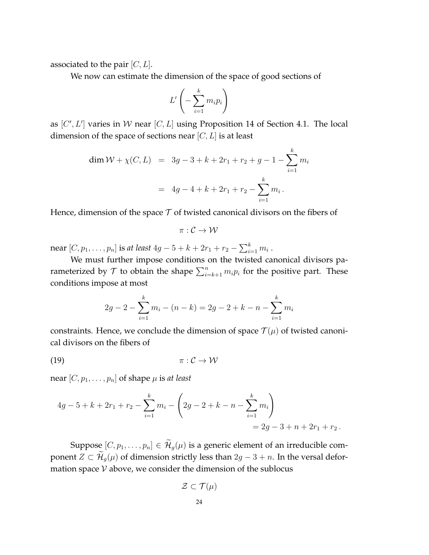associated to the pair  $[C, L]$ .

We now can estimate the dimension of the space of good sections of

$$
L'\left(-\sum_{i=1}^k m_i p_i\right)
$$

as  $[C', L']$  varies in W near  $[C, L]$  using Proposition 14 of Section 4.1. The local dimension of the space of sections near  $[C, L]$  is at least

$$
\dim \mathcal{W} + \chi(C, L) = 3g - 3 + k + 2r_1 + r_2 + g - 1 - \sum_{i=1}^{k} m_i
$$

$$
= 4g - 4 + k + 2r_1 + r_2 - \sum_{i=1}^{k} m_i.
$$

Hence, dimension of the space  $\mathcal T$  of twisted canonical divisors on the fibers of

$$
\pi:\mathcal{C}\to\mathcal{W}
$$

near  $[C, p_1, \ldots, p_n]$  is *at least*  $4g - 5 + k + 2r_1 + r_2 - \sum_{i=1}^k m_i$  .

We must further impose conditions on the twisted canonical divisors parameterized by  $\mathcal T$  to obtain the shape  $\sum_{i=k+1}^n m_i p_i$  for the positive part. These conditions impose at most

$$
2g - 2 - \sum_{i=1}^{k} m_i - (n - k) = 2g - 2 + k - n - \sum_{i=1}^{k} m_i
$$

constraints. Hence, we conclude the dimension of space  $\mathcal{T}(\mu)$  of twisted canonical divisors on the fibers of

$$
\pi: \mathcal{C} \to \mathcal{W}
$$

near  $[C, p_1, \ldots, p_n]$  of shape  $\mu$  is *at least* 

$$
4g - 5 + k + 2r_1 + r_2 - \sum_{i=1}^{k} m_i - \left(2g - 2 + k - n - \sum_{i=1}^{k} m_i\right)
$$
  
= 2g - 3 + n + 2r\_1 + r\_2.

Suppose  $[C, p_1, \ldots, p_n] \in \widetilde{\mathcal{H}}_g(\mu)$  is a generic element of an irreducible component  $Z \subset \widetilde{\mathcal{H}}_g(\mu)$  of dimension strictly less than  $2g - 3 + n$ . In the versal deformation space  $V$  above, we consider the dimension of the sublocus

$$
\mathcal{Z} \subset \mathcal{T}(\mu)
$$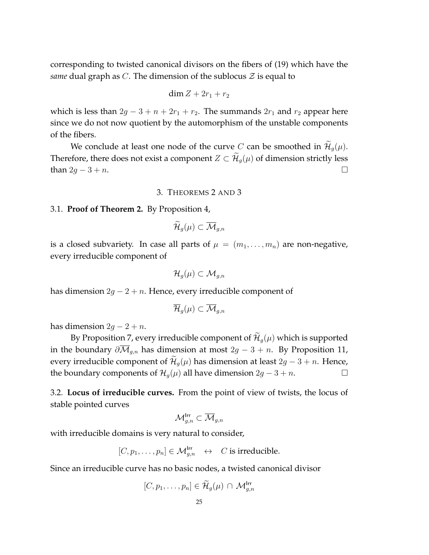corresponding to twisted canonical divisors on the fibers of (19) which have the *same* dual graph as C. The dimension of the sublocus  $\mathcal Z$  is equal to

$$
\dim Z + 2r_1 + r_2
$$

which is less than  $2g - 3 + n + 2r_1 + r_2$ . The summands  $2r_1$  and  $r_2$  appear here since we do not now quotient by the automorphism of the unstable components of the fibers.

We conclude at least one node of the curve C can be smoothed in  $\mathcal{H}_q(\mu)$ . Therefore, there does not exist a component  $Z \subset \mathcal{H}_g(\mu)$  of dimension strictly less than  $2g - 3 + n$ . □

# 3. THEOREMS 2 AND 3

## 3.1. **Proof of Theorem 2.** By Proposition 4,

$$
\widetilde{\mathcal{H}}_g(\mu)\subset \overline{\mathcal{M}}_{g,n}
$$

is a closed subvariety. In case all parts of  $\mu = (m_1, \ldots, m_n)$  are non-negative, every irreducible component of

$$
\mathcal{H}_{g}(\mu)\subset \mathcal{M}_{g,n}
$$

has dimension  $2g - 2 + n$ . Hence, every irreducible component of

$$
\overline{\mathcal{H}}_g(\mu)\subset \overline{\mathcal{M}}_{g,n}
$$

has dimension  $2g - 2 + n$ .

By Proposition 7, every irreducible component of  $\widetilde{\mathcal{H}}_g(\mu)$  which is supported in the boundary  $\partial \overline{\mathcal{M}}_{q,n}$  has dimension at most  $2g - 3 + n$ . By Proposition 11, every irreducible component of  $\mathcal{H}_q(\mu)$  has dimension at least 2g – 3 + n. Hence, the boundary components of  $\mathcal{H}_q(\mu)$  all have dimension  $2g - 3 + n$ .  $\Box$ 

3.2. **Locus of irreducible curves.** From the point of view of twists, the locus of stable pointed curves

$$
\mathcal M_{g,n}^{\mathsf{Irr}}\subset\overline{\mathcal M}_{g,n}
$$

with irreducible domains is very natural to consider,

$$
[C, p_1, \ldots, p_n] \in \mathcal{M}_{g,n}^{\text{Irr}} \leftrightarrow C
$$
 is irreducible.

Since an irreducible curve has no basic nodes, a twisted canonical divisor

$$
[C, p_1, \ldots, p_n] \in \widetilde{\mathcal{H}}_g(\mu) \cap \mathcal{M}_{g,n}^{\mathsf{Irr}}
$$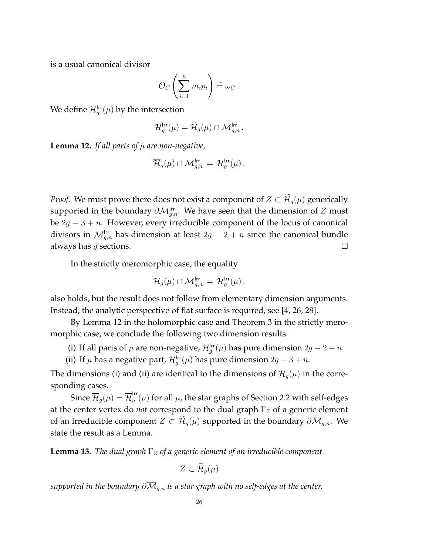is a usual canonical divisor

$$
\mathcal{O}_C\left(\sum_{i=1}^n m_i p_i\right) \stackrel{\sim}{=} \omega_C .
$$

We define  $\mathcal{H}^{\mathsf{Irr}}_g(\mu)$  by the intersection

$$
{\mathcal H}^{\mathsf{Irr}}_g(\mu) = \widetilde {\mathcal H}_g(\mu) \cap {\mathcal M}_{g,n}^{\mathsf{Irr}}\,.
$$

**Lemma 12.** *If all parts of*  $\mu$  *are non-negative,* 

$$
\overline{\mathcal{H}}_g(\mu)\cap \mathcal{M}_{g,n}^{\mathsf{Irr}} \,=\, \mathcal{H}_g^{\mathsf{Irr}}(\mu)\,.
$$

*Proof.* We must prove there does not exist a component of  $Z \subset \widetilde{\mathcal{H}}_q(\mu)$  generically supported in the boundary  $\partial \mathcal{M}^{\text{Irr}}_{g,n}$ . We have seen that the dimension of  $Z$  must be  $2g - 3 + n$ . However, every irreducible component of the locus of canonical divisors in  $\mathcal{M}_{g,n}^{\text{Irr}}$  has dimension at least  $2g-2+n$  since the canonical bundle always has g sections.  $\square$ 

In the strictly meromorphic case, the equality

$$
\overline{\mathcal{H}}_g(\mu)\cap \mathcal{M}_{g,n}^{\mathsf{Irr}} \,=\, \mathcal{H}_g^{\mathsf{Irr}}(\mu)\,.
$$

also holds, but the result does not follow from elementary dimension arguments. Instead, the analytic perspective of flat surface is required, see [4, 26, 28].

By Lemma 12 in the holomorphic case and Theorem 3 in the strictly meromorphic case, we conclude the following two dimension results:

- (i) If all parts of  $\mu$  are non-negative,  $\mathcal{H}^{\text{Irr}}_g(\mu)$  has pure dimension  $2g 2 + n$ .
- (ii) If  $\mu$  has a negative part,  $\mathcal{H}^{\mathsf{Irr}}_g(\mu)$  has pure dimension  $2g 3 + n$ .

The dimensions (i) and (ii) are identical to the dimensions of  $\mathcal{H}_q(\mu)$  in the corresponding cases.

Since  $\overline{\mathcal{H}}_g(\mu)=\overline{\mathcal{H}}^{\mathsf{Irr}}_g$  $g''_{g}(\mu)$  for all  $\mu$ , the star graphs of Section 2.2 with self-edges at the center vertex do *not* correspond to the dual graph  $\Gamma$ <sub>Z</sub> of a generic element of an irreducible component  $Z \subset \widetilde{\mathcal{H}}_g(\mu)$  supported in the boundary  $\partial \overline{\mathcal{M}}_{g,n}$ . We state the result as a Lemma.

**Lemma 13.** *The dual graph*  $\Gamma_Z$  *of a generic element of an irreducible component* 

$$
Z\subset \widetilde{\mathcal{H}}_g(\mu)
$$

*supported in the boundary*  $\partial \overline{\mathcal{M}}_{q,n}$  *is a star graph with no self-edges at the center.*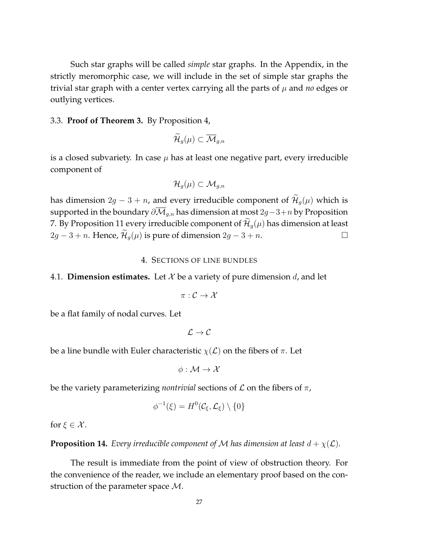Such star graphs will be called *simple* star graphs. In the Appendix, in the strictly meromorphic case, we will include in the set of simple star graphs the trivial star graph with a center vertex carrying all the parts of  $\mu$  and *no* edges or outlying vertices.

#### 3.3. **Proof of Theorem 3.** By Proposition 4,

$$
\widetilde{\mathcal{H}}_g(\mu)\subset \overline{\mathcal{M}}_{g,n}
$$

is a closed subvariety. In case  $\mu$  has at least one negative part, every irreducible component of

$$
\mathcal{H}_{g}(\mu)\subset \mathcal{M}_{g,n}
$$

has dimension  $2g - 3 + n$ , and every irreducible component of  $\widetilde{\mathcal{H}}_q(\mu)$  which is supported in the boundary  $\partial \overline{\mathcal{M}}_{g,n}$  has dimension at most 2g – 3+n by Proposition 7. By Proposition 11 every irreducible component of  $\tilde{\mathcal{H}}_g(\mu)$  has dimension at least  $2a - 3 + n$ . Hence,  $\tilde{\mathcal{H}}_g(\mu)$  is pure of dimension  $2a - 3 + n$ .  $2g - 3 + n$ . Hence,  $\mathcal{H}_g(\mu)$  is pure of dimension  $2g - 3 + n$ .

## 4. SECTIONS OF LINE BUNDLES

# 4.1. **Dimension estimates.** Let  $X$  be a variety of pure dimension  $d$ , and let

$$
\pi:\mathcal{C}\to\mathcal{X}
$$

be a flat family of nodal curves. Let

 $\mathcal{L} \to \mathcal{C}$ 

be a line bundle with Euler characteristic  $\chi(\mathcal{L})$  on the fibers of  $\pi$ . Let

$$
\phi: \mathcal{M} \to \mathcal{X}
$$

be the variety parameterizing *nontrivial* sections of  $\mathcal L$  on the fibers of  $\pi$ ,

$$
\phi^{-1}(\xi) = H^0(\mathcal{C}_{\xi}, \mathcal{L}_{\xi}) \setminus \{0\}
$$

for  $\xi \in \mathcal{X}$ .

**Proposition 14.** *Every irreducible component of* M *has dimension at least*  $d + \chi(\mathcal{L})$ *.* 

The result is immediate from the point of view of obstruction theory. For the convenience of the reader, we include an elementary proof based on the construction of the parameter space  $M$ .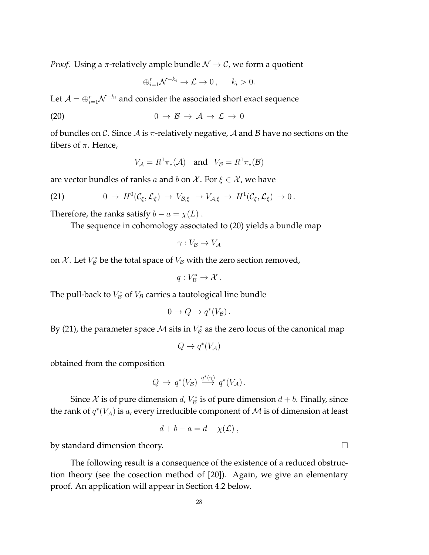*Proof.* Using a  $\pi$ -relatively ample bundle  $\mathcal{N} \to \mathcal{C}$ , we form a quotient

$$
\bigoplus_{i=1}^r \mathcal{N}^{-k_i} \to \mathcal{L} \to 0, \qquad k_i > 0.
$$

Let  $\mathcal{A}=\oplus_{i=1}^{r}\mathcal{N}^{-k_{i}}$  and consider the associated short exact sequence

$$
(20) \t\t 0 \to \mathcal{B} \to \mathcal{A} \to \mathcal{L} \to 0
$$

of bundles on C. Since A is  $\pi$ -relatively negative, A and B have no sections on the fibers of  $\pi$ . Hence,

$$
V_{\mathcal{A}} = R^1 \pi_* (\mathcal{A}) \quad \text{and} \quad V_{\mathcal{B}} = R^1 \pi_* (\mathcal{B})
$$

are vector bundles of ranks a and b on X. For  $\xi \in \mathcal{X}$ , we have

(21) 
$$
0 \to H^0(\mathcal{C}_{\xi}, \mathcal{L}_{\xi}) \to V_{\mathcal{B}, \xi} \to V_{\mathcal{A}, \xi} \to H^1(\mathcal{C}_{\xi}, \mathcal{L}_{\xi}) \to 0.
$$

Therefore, the ranks satisfy  $b - a = \chi(L)$ .

The sequence in cohomology associated to (20) yields a bundle map

$$
\gamma: V_{\mathcal{B}} \to V_{\mathcal{A}}
$$

on  $\mathcal{X}$ . Let  $V_{\mathcal{B}}^*$  be the total space of  $V_{\mathcal{B}}$  with the zero section removed,

$$
q: V_{\mathcal{B}}^* \to \mathcal{X} \, .
$$

The pull-back to  $V^*_{\mathcal{B}}$  of  $V_{\mathcal{B}}$  carries a tautological line bundle

$$
0 \to Q \to q^*(V_{\mathcal{B}}).
$$

By (21), the parameter space  $\mathcal M$  sits in  $V^*_{\mathcal B}$  as the zero locus of the canonical map

$$
Q \to q^*(V_{\mathcal{A}})
$$

obtained from the composition

$$
Q \to q^*(V_{\mathcal{B}}) \stackrel{q^*(\gamma)}{\longrightarrow} q^*(V_{\mathcal{A}}).
$$

Since  $\mathcal X$  is of pure dimension  $d$ ,  $V_{\mathcal B}^*$  is of pure dimension  $d + b$ . Finally, since the rank of  $q^*(V_\mathcal{A})$  is a, every irreducible component of  $\mathcal M$  is of dimension at least

$$
d + b - a = d + \chi(\mathcal{L}) ,
$$

by standard dimension theory.

The following result is a consequence of the existence of a reduced obstruction theory (see the cosection method of [20]). Again, we give an elementary proof. An application will appear in Section 4.2 below.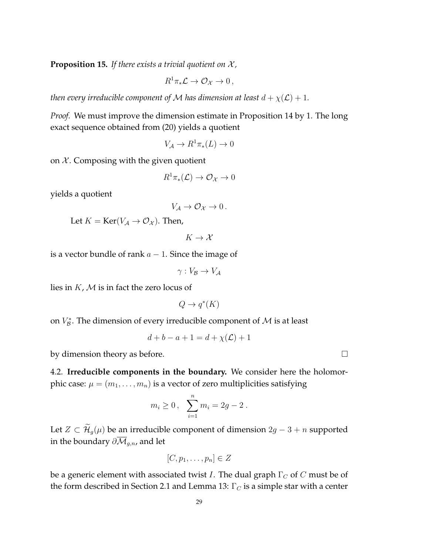**Proposition 15.** *If there exists a trivial quotient on* X *,*

$$
R^1\pi_*\mathcal{L}\to\mathcal{O}_\mathcal{X}\to 0\,,
$$

*then every irreducible component of* M *has dimension at least*  $d + \chi(\mathcal{L}) + 1$ *.* 

*Proof.* We must improve the dimension estimate in Proposition 14 by 1. The long exact sequence obtained from (20) yields a quotient

$$
V_{\mathcal{A}} \to R^1 \pi_*(L) \to 0
$$

on  $X$ . Composing with the given quotient

$$
R^1\pi_*({\mathcal L})\to {\mathcal O}_{\mathcal X}\to 0
$$

yields a quotient

$$
V_{\mathcal{A}}\to\mathcal{O}_{\mathcal{X}}\to 0\,.
$$

Let  $K = \text{Ker}(V_A \to \mathcal{O}_X)$ . Then,

 $K \to \mathcal{X}$ 

is a vector bundle of rank  $a - 1$ . Since the image of

 $\gamma: V_{\mathcal{B}} \to V_{\mathcal{A}}$ 

lies in  $K$ ,  $M$  is in fact the zero locus of

$$
Q \to q^*(K)
$$

on  $V_{\mathcal{B}}^*$ . The dimension of every irreducible component of  $\mathcal M$  is at least

$$
d + b - a + 1 = d + \chi(\mathcal{L}) + 1
$$

by dimension theory as before.

4.2. **Irreducible components in the boundary.** We consider here the holomorphic case:  $\mu = (m_1, \ldots, m_n)$  is a vector of zero multiplicities satisfying

$$
m_i \ge 0
$$
,  $\sum_{i=1}^n m_i = 2g - 2$ .

Let  $Z \subset \widetilde{\mathcal{H}}_g(\mu)$  be an irreducible component of dimension  $2g - 3 + n$  supported in the boundary  $\partial \overline{\mathcal{M}}_{g,n}$ , and let

$$
[C, p_1, \ldots, p_n] \in Z
$$

be a generic element with associated twist *I*. The dual graph  $\Gamma_C$  of C must be of the form described in Section 2.1 and Lemma 13:  $\Gamma_C$  is a simple star with a center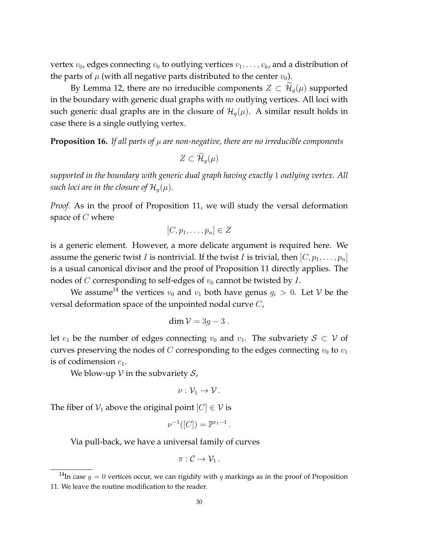vertex  $v_0$ , edges connecting  $v_0$  to outlying vertices  $v_1, \ldots, v_k$ , and a distribution of the parts of  $\mu$  (with all negative parts distributed to the center  $v_0$ ).

By Lemma 12, there are no irreducible components  $Z \subset \mathcal{H}_{q}(\mu)$  supported in the boundary with generic dual graphs with *no* outlying vertices. All loci with such generic dual graphs are in the closure of  $\mathcal{H}_q(\mu)$ . A similar result holds in case there is a single outlying vertex.

**Proposition 16.** If all parts of  $\mu$  are non-negative, there are no irreducible components

 $Z \subset \widetilde{\mathcal{H}}_{q}(\mu)$ 

*supported in the boundary with generic dual graph having exactly* 1 *outlying vertex. All such loci are in the closure of*  $\mathcal{H}_q(\mu)$ *.* 

*Proof.* As in the proof of Proposition 11, we will study the versal deformation space of  $C$  where

$$
[C, p_1, \ldots, p_n] \in Z
$$

is a generic element. However, a more delicate argument is required here. We assume the generic twist I is nontrivial. If the twist I is trivial, then  $[C, p_1, \ldots, p_n]$ is a usual canonical divisor and the proof of Proposition 11 directly applies. The nodes of C corresponding to self-edges of  $v_0$  cannot be twisted by I.

We assume<sup>14</sup> the vertices  $v_0$  and  $v_1$  both have genus  $g_i > 0$ . Let V be the versal deformation space of the unpointed nodal curve C,

$$
\dim \mathcal{V}=3g-3.
$$

let  $e_1$  be the number of edges connecting  $v_0$  and  $v_1$ . The subvariety  $S \subset V$  of curves preserving the nodes of  $C$  corresponding to the edges connecting  $v_0$  to  $v_1$ is of codimension  $e_1$ .

We blow-up  $V$  in the subvariety  $S$ ,

$$
\nu:\mathcal{V}_1\to\mathcal{V}\,.
$$

The fiber of  $V_1$  above the original point  $[C] \in V$  is

$$
\nu^{-1}([C]) = \mathbb{P}^{e_1 - 1}.
$$

Via pull-back, we have a universal family of curves

$$
\pi:\mathcal{C}\to\mathcal{V}_1\,.
$$

<sup>&</sup>lt;sup>14</sup>In case  $g = 0$  vertices occur, we can rigidify with q markings as in the proof of Proposition 11. We leave the routine modification to the reader.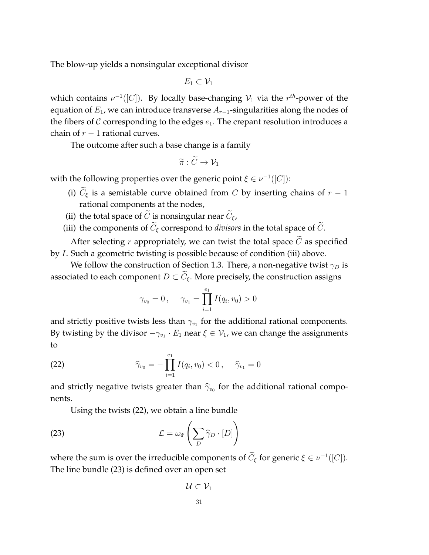The blow-up yields a nonsingular exceptional divisor

 $E_1 \subset \mathcal{V}_1$ 

which contains  $\nu^{-1}([C])$ . By locally base-changing  $\mathcal{V}_1$  via the  $r^{th}$ -power of the equation of  $E_1$ , we can introduce transverse  $A_{r-1}$ -singularities along the nodes of the fibers of  $C$  corresponding to the edges  $e_1$ . The crepant resolution introduces a chain of  $r - 1$  rational curves.

The outcome after such a base change is a family

$$
\widetilde{\pi}: \widetilde{C} \to \mathcal{V}_1
$$

with the following properties over the generic point  $\xi \in \nu^{-1}([C])$ :

- (i)  $\tilde{C}_{\xi}$  is a semistable curve obtained from C by inserting chains of  $r 1$ rational components at the nodes,
- (ii) the total space of  $\tilde{C}$  is nonsingular near  $\tilde{C}_{\epsilon}$ ,
- (iii) the components of  $\widetilde{C}_{\xi}$  correspond to *divisors* in the total space of  $\widetilde{C}_{\xi}$ .

After selecting r appropriately, we can twist the total space  $\tilde{C}$  as specified by I. Such a geometric twisting is possible because of condition (iii) above.

We follow the construction of Section 1.3. There, a non-negative twist  $\gamma_D$  is associated to each component  $D \subset \widetilde{C}_{\xi}$ . More precisely, the construction assigns

$$
\gamma_{v_0} = 0
$$
,  $\gamma_{v_1} = \prod_{i=1}^{e_1} I(q_i, v_0) > 0$ 

and strictly positive twists less than  $\gamma_{v_1}$  for the additional rational components. By twisting by the divisor  $-\gamma_{v_1} \cdot E_1$  near  $\xi \in \mathcal{V}_1$ , we can change the assignments to

(22) 
$$
\widehat{\gamma}_{v_0} = -\prod_{i=1}^{e_1} I(q_i, v_0) < 0, \quad \widehat{\gamma}_{v_1} = 0
$$

and strictly negative twists greater than  $\widehat{\gamma}_{v_0}$  for the additional rational components.

Using the twists (22), we obtain a line bundle

(23) 
$$
\mathcal{L} = \omega_{\widetilde{\pi}} \left( \sum_{D} \widehat{\gamma}_{D} \cdot [D] \right)
$$

where the sum is over the irreducible components of  $C_{\xi}$  for generic  $\xi \in \nu^{-1}([C]).$ The line bundle (23) is defined over an open set

$$
\mathcal{U} \subset \mathcal{V}_1
$$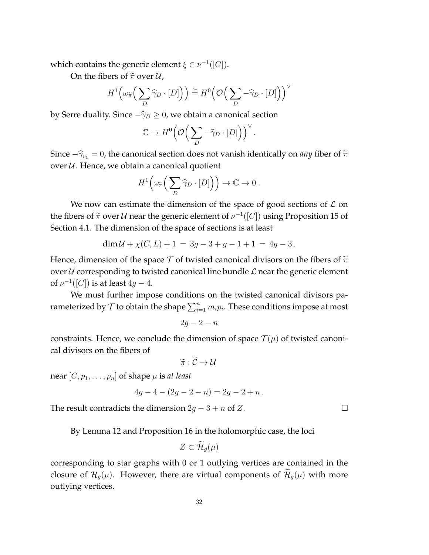which contains the generic element  $\xi \in \nu^{-1}([C]).$ 

On the fibers of  $\tilde{\pi}$  over  $\mathcal{U}$ ,

$$
H^{1}\left(\omega_{\widetilde{\pi}}\left(\sum_{D}\widehat{\gamma}_{D}\cdot[D]\right)\right)\stackrel{\sim}{=}H^{0}\left(\mathcal{O}\left(\sum_{D}-\widehat{\gamma}_{D}\cdot[D]\right)\right)^{\vee}
$$

by Serre duality. Since  $-\hat{\gamma}_D \geq 0$ , we obtain a canonical section

$$
\mathbb{C} \to H^0\Big(\mathcal{O}\Big(\sum_D -\widehat{\gamma}_D \cdot [D]\Big)\Big)^\vee.
$$

Since  $-\hat{\gamma}_{v_1} = 0$ , the canonical section does not vanish identically on *any* fiber of  $\tilde{\pi}$ over  $U$ . Hence, we obtain a canonical quotient

$$
H^1\Big(\omega_{\widetilde{\pi}}\Big(\sum_D \widehat{\gamma}_D \cdot [D]\Big)\Big) \to \mathbb{C} \to 0.
$$

We now can estimate the dimension of the space of good sections of  $\mathcal L$  on the fibers of  $\tilde{\pi}$  over U near the generic element of  $\nu^{-1}([C])$  using Proposition 15 of Section 4.1. The dimension of the space of sections is at least

$$
\dim \mathcal{U} + \chi(C, L) + 1 = 3g - 3 + g - 1 + 1 = 4g - 3.
$$

Hence, dimension of the space T of twisted canonical divisors on the fibers of  $\tilde{\pi}$ over  $U$  corresponding to twisted canonical line bundle  $L$  near the generic element of  $\nu^{-1}([C])$  is at least  $4g-4.$ 

We must further impose conditions on the twisted canonical divisors parameterized by  ${\mathcal T}$  to obtain the shape  $\sum_{i=1}^n m_i p_i.$  These conditions impose at most

$$
2g-2-n
$$

constraints. Hence, we conclude the dimension of space  $\mathcal{T}(\mu)$  of twisted canonical divisors on the fibers of

$$
\widetilde{\pi}: \widetilde{\mathcal{C}} \to \mathcal{U}
$$

near  $[C, p_1, \ldots, p_n]$  of shape  $\mu$  is *at least* 

$$
4g - 4 - (2g - 2 - n) = 2g - 2 + n.
$$

The result contradicts the dimension  $2g - 3 + n$  of Z.

By Lemma 12 and Proposition 16 in the holomorphic case, the loci

$$
Z\subset\mathcal{H}_g(\mu)
$$

corresponding to star graphs with 0 or 1 outlying vertices are contained in the closure of  $\mathcal{H}_g(\mu)$ . However, there are virtual components of  $\widetilde{\mathcal{H}}_g(\mu)$  with more outlying vertices.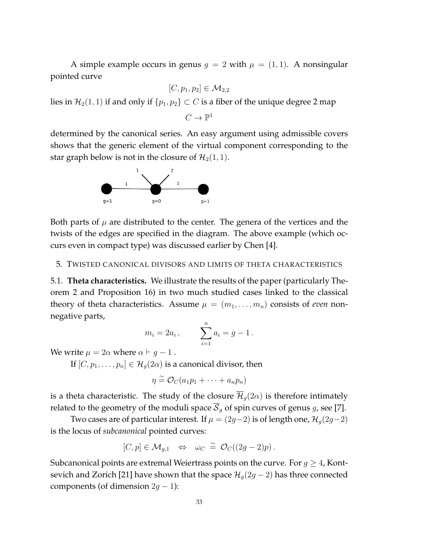A simple example occurs in genus  $g = 2$  with  $\mu = (1, 1)$ . A nonsingular pointed curve

$$
[C,p_1,p_2]\in \mathcal{M}_{2,2}
$$

lies in  $\mathcal{H}_2(1, 1)$  if and only if  $\{p_1, p_2\} \subset C$  is a fiber of the unique degree 2 map

 $C\to \mathbb{P}^1$ 

determined by the canonical series. An easy argument using admissible covers shows that the generic element of the virtual component corresponding to the star graph below is not in the closure of  $\mathcal{H}_2(1, 1)$ .



Both parts of  $\mu$  are distributed to the center. The genera of the vertices and the twists of the edges are specified in the diagram. The above example (which occurs even in compact type) was discussed earlier by Chen [4].

# 5. TWISTED CANONICAL DIVISORS AND LIMITS OF THETA CHARACTERISTICS

5.1. **Theta characteristics.** We illustrate the results of the paper (particularly Theorem 2 and Proposition 16) in two much studied cases linked to the classical theory of theta characteristics. Assume  $\mu = (m_1, \ldots, m_n)$  consists of *even* nonnegative parts,

$$
m_i = 2a_i
$$
,  $\sum_{i=1}^n a_i = g - 1$ .

We write  $\mu = 2\alpha$  where  $\alpha \vdash g - 1$ .

If  $[C, p_1, \ldots, p_n] \in \mathcal{H}_g(2\alpha)$  is a canonical divisor, then

$$
\eta \stackrel{\sim}{=} \mathcal{O}_C(a_1p_1 + \cdots + a_np_n)
$$

is a theta characteristic. The study of the closure  $\overline{\mathcal{H}}_q(2\alpha)$  is therefore intimately related to the geometry of the moduli space  $\overline{S}_q$  of spin curves of genus g, see [7].

Two cases are of particular interest. If  $\mu = (2g-2)$  is of length one,  $\mathcal{H}_q(2g-2)$ is the locus of *subcanonical* pointed curves:

$$
[C,p] \in \mathcal{M}_{g,1} \quad \Leftrightarrow \quad \omega_C \ \stackrel{\sim}{=} \ \mathcal{O}_C((2g-2)p) \, .
$$

Subcanonical points are extremal Weiertrass points on the curve. For  $g \geq 4$ , Kontsevich and Zorich [21] have shown that the space  $\mathcal{H}_g(2g-2)$  has three connected components (of dimension  $2g - 1$ ):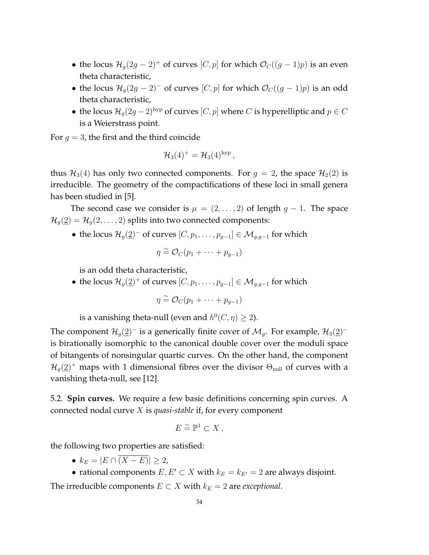- the locus  $\mathcal{H}_g(2g-2)^+$  of curves  $[C, p]$  for which  $\mathcal{O}_C((g-1)p)$  is an even theta characteristic,
- the locus  $\mathcal{H}_q(2g-2)^-$  of curves  $[C, p]$  for which  $\mathcal{O}_C((g-1)p)$  is an odd theta characteristic,
- the locus  $\mathcal{H}_g(2g-2)^{\text{hyp}}$  of curves  $[C, p]$  where  $C$  is hyperelliptic and  $p \in C$ is a Weierstrass point.

For  $g = 3$ , the first and the third coincide

$$
\mathcal{H}_3(4)^+ = \mathcal{H}_3(4)^{\text{hyp}}\,,
$$

thus  $\mathcal{H}_3(4)$  has only two connected components. For  $g = 2$ , the space  $\mathcal{H}_2(2)$  is irreducible. The geometry of the compactifications of these loci in small genera has been studied in [5].

The second case we consider is  $\mu = (2, \ldots, 2)$  of length  $g - 1$ . The space  $\mathcal{H}_q(\underline{2}) = \mathcal{H}_q(2,\ldots,2)$  splits into two connected components:

• the locus  $\mathcal{H}_g(2)^-$  of curves  $[C, p_1, \ldots, p_{g-1}] \in \mathcal{M}_{g,g-1}$  for which

$$
\eta \stackrel{\sim}{=} \mathcal{O}_C(p_1 + \cdots + p_{g-1})
$$

is an odd theta characteristic,

• the locus  $\mathcal{H}_g(\underline{2})^+$  of curves  $[C, p_1, \ldots, p_{g-1}] \in \mathcal{M}_{g,g-1}$  for which

$$
\eta \cong \mathcal{O}_C(p_1 + \cdots + p_{g-1})
$$

is a vanishing theta-null (even and  $h^0(C, \eta) \geq 2$ ).

The component  $\mathcal{H}_g(\underline{2})^-$  is a generically finite cover of  $\mathcal{M}_g$ . For example,  $\mathcal{H}_3(\underline{2})^$ is birationally isomorphic to the canonical double cover over the moduli space of bitangents of nonsingular quartic curves. On the other hand, the component  $\mathcal{H}_g(\underline{2})^+$  maps with 1 dimensional fibres over the divisor  $\Theta_{\text{null}}$  of curves with a vanishing theta-null, see [12].

5.2. **Spin curves.** We require a few basic definitions concerning spin curves. A connected nodal curve X is *quasi-stable* if, for every component

$$
E \stackrel{\sim}{=} \mathbb{P}^1 \subset X \ ,
$$

the following two properties are satisfied:

•  $k_E = |E \cap \overline{(X - E)}| \geq 2$ ,

• rational components  $E, E' \subset X$  with  $k_E = k_{E'} = 2$  are always disjoint. The irreducible components  $E \subset X$  with  $k_E = 2$  are *exceptional*.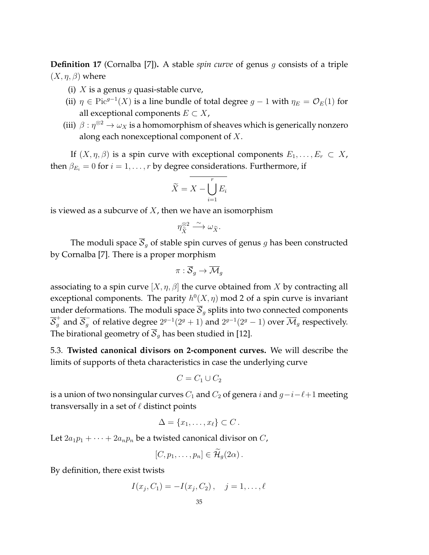**Definition 17** (Cornalba [7])**.** A stable *spin curve* of genus g consists of a triple  $(X, \eta, \beta)$  where

- (i) X is a genus q quasi-stable curve,
- (ii)  $\eta \in \text{Pic}^{g-1}(X)$  is a line bundle of total degree  $g-1$  with  $\eta_E = \mathcal{O}_E(1)$  for all exceptional components  $E \subset X$ ,
- (iii)  $\beta : \eta^{\otimes 2} \to \omega_X$  is a homomorphism of sheaves which is generically nonzero along each nonexceptional component of  $X$ .

If  $(X, \eta, \beta)$  is a spin curve with exceptional components  $E_1, \ldots, E_r \subset X$ , then  $\beta_{E_i} = 0$  for  $i = 1, \ldots, r$  by degree considerations. Furthermore, if

$$
\widetilde{X} = \overline{X} - \bigcup_{i=1}^{r} E_i
$$

is viewed as a subcurve of  $X$ , then we have an isomorphism

$$
\eta_{\tilde{X}}^{\otimes 2} \xrightarrow{\sim} \omega_{\tilde{X}}.
$$

The moduli space  $\overline{S}_g$  of stable spin curves of genus g has been constructed by Cornalba [7]. There is a proper morphism

$$
\pi: \overline{\mathcal{S}}_g \to \overline{\mathcal{M}}_g
$$

associating to a spin curve  $[X, \eta, \beta]$  the curve obtained from X by contracting all exceptional components. The parity  $h^0(X, \eta)$  mod 2 of a spin curve is invariant under deformations. The moduli space  $\overline{S}_g$  splits into two connected components  $\overline{S}_g^+$  and  $\overline{S}_g^-$  of relative degree  $2^{g-1}(2^g+1)$  and  $2^{g-1}(2^g-1)$  over  $\overline{\mathcal{M}}_g$  respectively. The birational geometry of  $\overline{S}_q$  has been studied in [12].

5.3. **Twisted canonical divisors on 2-component curves.** We will describe the limits of supports of theta characteristics in case the underlying curve

$$
C = C_1 \cup C_2
$$

is a union of two nonsingular curves  $C_1$  and  $C_2$  of genera i and  $g-i-\ell+1$  meeting transversally in a set of  $\ell$  distinct points

$$
\Delta = \{x_1, \ldots, x_\ell\} \subset C.
$$

Let  $2a_1p_1 + \cdots + 2a_np_n$  be a twisted canonical divisor on C,

$$
[C, p_1, \ldots, p_n] \in \mathcal{H}_g(2\alpha) .
$$

By definition, there exist twists

$$
I(x_j, C_1) = -I(x_j, C_2), \quad j = 1, \dots, \ell
$$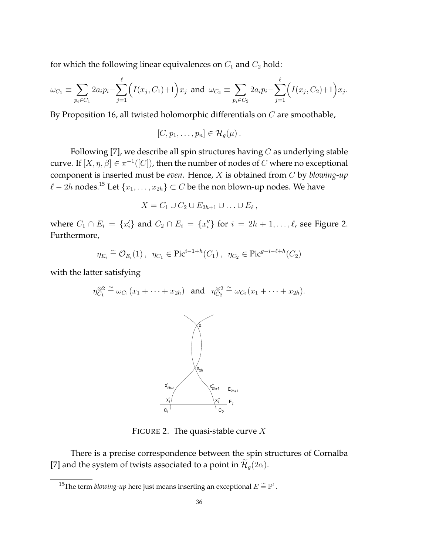for which the following linear equivalences on  $C_1$  and  $C_2$  hold:

$$
\omega_{C_1} \equiv \sum_{p_i \in C_1} 2a_i p_i - \sum_{j=1}^{\ell} \Big( I(x_j, C_1) + 1 \Big) x_j \text{ and } \omega_{C_2} \equiv \sum_{p_i \in C_2} 2a_i p_i - \sum_{j=1}^{\ell} \Big( I(x_j, C_2) + 1 \Big) x_j.
$$

By Proposition 16, all twisted holomorphic differentials on C are smoothable,

$$
[C, p_1, \ldots, p_n] \in \overline{\mathcal{H}}_g(\mu).
$$

Following [7], we describe all spin structures having  $C$  as underlying stable curve. If  $[X, \eta, \beta] \in \pi^{-1}([C])$ , then the number of nodes of  $C$  where no exceptional component is inserted must be *even*. Hence, X is obtained from C by *blowing-up*  $\ell - 2h$  nodes.<sup>15</sup> Let  $\{x_1, \ldots, x_{2h}\} \subset C$  be the non blown-up nodes. We have

$$
X=C_1\cup C_2\cup E_{2h+1}\cup\ldots\cup E_\ell\,,
$$

where  $C_1 \cap E_i = \{x_i'\}$  and  $C_2 \cap E_i = \{x_i''\}$  for  $i = 2h + 1, \ldots, \ell$ , see Figure 2. Furthermore,

$$
\eta_{E_i} \stackrel{\sim}{=} \mathcal{O}_{E_i}(1), \ \ \eta_{C_1} \in \text{Pic}^{i-1+h}(C_1), \ \ \eta_{C_2} \in \text{Pic}^{g-i-\ell+h}(C_2)
$$

with the latter satisfying

$$
\eta_{C_1}^{\otimes 2} \cong \omega_{C_1}(x_1 + \cdots + x_{2h}) \quad \text{and} \quad \eta_{C_2}^{\otimes 2} \cong \omega_{C_2}(x_1 + \cdots + x_{2h}).
$$



FIGURE 2. The quasi-stable curve  $X$ 

There is a precise correspondence between the spin structures of Cornalba [7] and the system of twists associated to a point in  $\mathcal{H}_g(2\alpha)$ .

<sup>&</sup>lt;sup>15</sup>The term *blowing-up* here just means inserting an exceptional  $E \stackrel{\sim}{=} \mathbb{P}^1$ .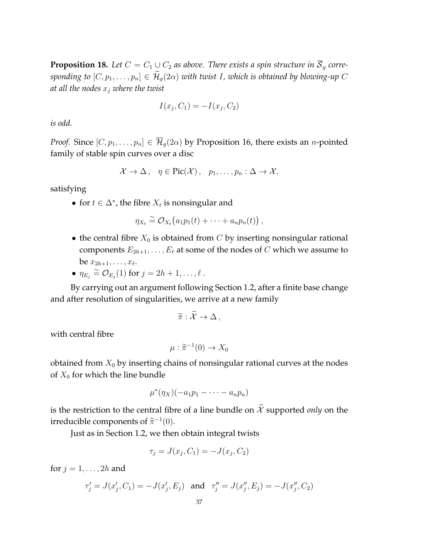**Proposition 18.** Let  $C = C_1 \cup C_2$  as above. There exists a spin structure in  $\overline{S}_q$  corre*sponding to*  $[C, p_1, \ldots, p_n] \in \mathcal{H}_q(2\alpha)$  *with twist I, which is obtained by blowing-up* C *at all the nodes* x<sup>j</sup> *where the twist*

$$
I(x_j, C_1) = -I(x_j, C_2)
$$

*is odd.*

*Proof.* Since  $[C, p_1, \ldots, p_n] \in \overline{\mathcal{H}}_q(2\alpha)$  by Proposition 16, there exists an *n*-pointed family of stable spin curves over a disc

$$
\mathcal{X} \to \Delta
$$
,  $\eta \in \text{Pic}(\mathcal{X})$ ,  $p_1, \ldots, p_n : \Delta \to \mathcal{X}$ ,

satisfying

• for  $t \in \Delta^*$ , the fibre  $X_t$  is nonsingular and

$$
\eta_{X_t} \stackrel{\sim}{=} \mathcal{O}_{X_t}(a_1 p_1(t) + \cdots + a_n p_n(t)),
$$

- the central fibre  $X_0$  is obtained from C by inserting nonsingular rational components  $E_{2h+1}, \ldots, E_{\ell}$  at some of the nodes of C which we assume to be  $x_{2h+1}, \ldots, x_{\ell}$ .
- $\eta_{E_j} \stackrel{\sim}{=} \mathcal{O}_{E_j}(1)$  for  $j = 2h + 1, \ldots, \ell$ .

By carrying out an argument following Section 1.2, after a finite base change and after resolution of singularities, we arrive at a new family

$$
\widetilde{\pi}:\mathcal{X}\to\Delta\,,
$$

with central fibre

$$
\mu : \widetilde{\pi}^{-1}(0) \to X_0
$$

obtained from  $X_0$  by inserting chains of nonsingular rational curves at the nodes of  $X_0$  for which the line bundle

$$
\mu^*(\eta_X)(-a_1p_1-\cdots-a_np_n)
$$

is the restriction to the central fibre of a line bundle on  $\widetilde{\mathcal{X}}$  supported *only* on the irreducible components of  $\tilde{\pi}^{-1}(0)$ .

Just as in Section 1.2, we then obtain integral twists

$$
\tau_j = J(x_j, C_1) = -J(x_j, C_2)
$$

for  $j = 1, \ldots, 2h$  and

$$
\tau'_j = J(x'_j, C_1) = -J(x'_j, E_j) \text{ and } \tau''_j = J(x''_j, E_j) = -J(x''_j, C_2)
$$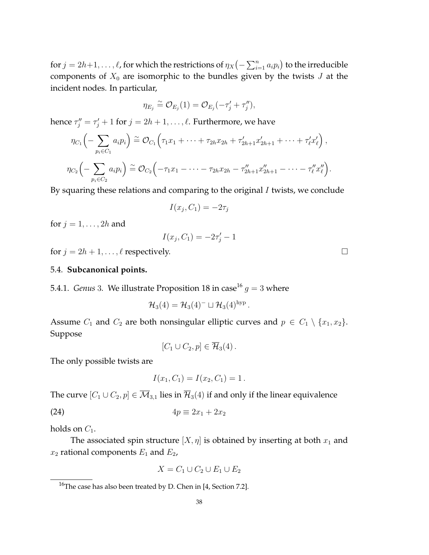for  $j=2h+1,\ldots,\ell$ , for which the restrictions of  $\eta_X\big(\!-\sum_{i=1}^na_ip_i\big)$  to the irreducible components of  $X_0$  are isomorphic to the bundles given by the twists  $J$  at the incident nodes. In particular,

$$
\eta_{E_j} \cong \mathcal{O}_{E_j}(1) = \mathcal{O}_{E_j}(-\tau'_j + \tau''_j),
$$

hence  $\tau''_j = \tau'_j + 1$  for  $j = 2h + 1, \ldots, \ell$ . Furthermore, we have

$$
\eta_{C_1}\left(-\sum_{p_i\in C_1}a_ip_i\right)\stackrel{\sim}{=}\mathcal{O}_{C_1}\left(\tau_1x_1+\cdots+\tau_{2h}x_{2h}+\tau'_{2h+1}x'_{2h+1}+\cdots+\tau'_{\ell}x'_{\ell}\right),
$$
  

$$
\eta_{C_2}\left(-\sum_{p_i\in C_2}a_ip_i\right)\stackrel{\sim}{=}\mathcal{O}_{C_2}\left(-\tau_1x_1-\cdots-\tau_{2h}x_{2h}-\tau''_{2h+1}x''_{2h+1}-\cdots-\tau''_{\ell}x''_{\ell}\right).
$$

By squaring these relations and comparing to the original I twists, we conclude

$$
I(x_j, C_1) = -2\tau_j
$$

for  $j = 1, \ldots, 2h$  and

$$
I(x_j, C_1) = -2\tau_j' - 1
$$

for  $j = 2h + 1, \ldots, \ell$  respectively.

## 5.4. **Subcanonical points.**

5.4.1. *Genus* 3. We illustrate Proposition 18 in case<sup>16</sup>  $g = 3$  where

$$
\mathcal{H}_3(4) = \mathcal{H}_3(4)^- \sqcup \mathcal{H}_3(4)^{\text{hyp}}.
$$

Assume  $C_1$  and  $C_2$  are both nonsingular elliptic curves and  $p \in C_1 \setminus \{x_1, x_2\}.$ Suppose

$$
[C_1 \cup C_2, p] \in \overline{\mathcal{H}}_3(4).
$$

The only possible twists are

$$
I(x_1, C_1) = I(x_2, C_1) = 1.
$$

The curve  $[C_1 \cup C_2, p] \in \overline{\mathcal{M}}_{3,1}$  lies in  $\overline{\mathcal{H}}_3(4)$  if and only if the linear equivalence

$$
(24) \t\t\t 4p \equiv 2x_1 + 2x_2
$$

holds on  $C_1$ .

The associated spin structure  $[X, \eta]$  is obtained by inserting at both  $x_1$  and  $x_2$  rational components  $E_1$  and  $E_2$ ,

$$
X = C_1 \cup C_2 \cup E_1 \cup E_2
$$

<sup>&</sup>lt;sup>16</sup>The case has also been treated by D. Chen in [4, Section 7.2].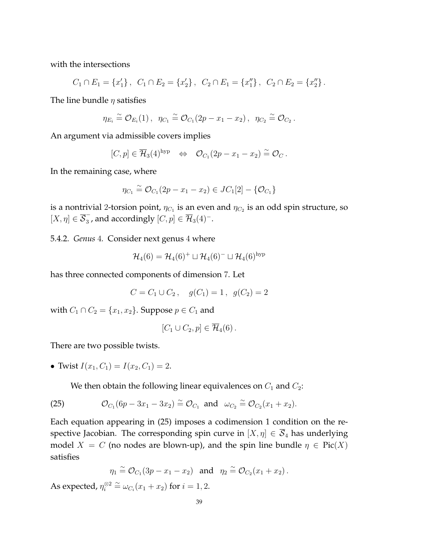with the intersections

$$
C_1 \cap E_1 = \{x'_1\}, C_1 \cap E_2 = \{x'_2\}, C_2 \cap E_1 = \{x''_1\}, C_2 \cap E_2 = \{x''_2\}.
$$

The line bundle  $\eta$  satisfies

$$
\eta_{E_i} \approx \mathcal{O}_{E_i}(1), \ \eta_{C_1} \approx \mathcal{O}_{C_1}(2p - x_1 - x_2), \ \eta_{C_2} \approx \mathcal{O}_{C_2}.
$$

An argument via admissible covers implies

$$
[C,p] \in \overline{\mathcal{H}}_3(4)^{\rm hyp} \quad \Leftrightarrow \quad \mathcal{O}_{C_1}(2p-x_1-x_2) \stackrel{\simeq}{=} \mathcal{O}_C.
$$

In the remaining case, where

$$
\eta_{C_1} \stackrel{\sim}{=} \mathcal{O}_{C_1}(2p - x_1 - x_2) \in JC_1[2] - \{\mathcal{O}_{C_1}\}\
$$

is a nontrivial 2-torsion point,  $\eta_{C_1}$  is an even and  $\eta_{C_2}$  is an odd spin structure, so  $[X, \eta] \in \overline{\mathcal{S}}_3^ _3^-$ , and accordingly  $[C,p]\in \overline{\mathcal{H}}_3(4)^-.$ 

5.4.2. *Genus* 4*.* Consider next genus 4 where

$$
\mathcal{H}_4(6) = \mathcal{H}_4(6)^+ \sqcup \mathcal{H}_4(6)^- \sqcup \mathcal{H}_4(6)^{\text{hyp}}
$$

has three connected components of dimension 7. Let

$$
C = C_1 \cup C_2, \quad g(C_1) = 1, \ g(C_2) = 2
$$

with  $C_1 \cap C_2 = \{x_1, x_2\}$ . Suppose  $p \in C_1$  and

$$
[C_1 \cup C_2, p] \in \overline{\mathcal{H}}_4(6).
$$

There are two possible twists.

• Twist  $I(x_1, C_1) = I(x_2, C_1) = 2$ .

We then obtain the following linear equivalences on  $C_1$  and  $C_2$ :

(25) 
$$
\mathcal{O}_{C_1}(6p - 3x_1 - 3x_2) \cong \mathcal{O}_{C_1}
$$
 and  $\omega_{C_2} \cong \mathcal{O}_{C_2}(x_1 + x_2)$ .

Each equation appearing in (25) imposes a codimension 1 condition on the respective Jacobian. The corresponding spin curve in  $[X, \eta] \in \overline{S}_4$  has underlying model  $X = C$  (no nodes are blown-up), and the spin line bundle  $\eta \in Pic(X)$ satisfies

$$
\eta_1 \stackrel{\sim}{=} \mathcal{O}_{C_1}(3p - x_1 - x_2) \quad \text{and} \quad \eta_2 \stackrel{\sim}{=} \mathcal{O}_{C_2}(x_1 + x_2) \, .
$$

As expected,  $\eta_i^{\otimes 2}$ <sup>⊗2</sup>  $\cong$   $\omega_{C_i}(x_1 + x_2)$  for  $i = 1, 2$ .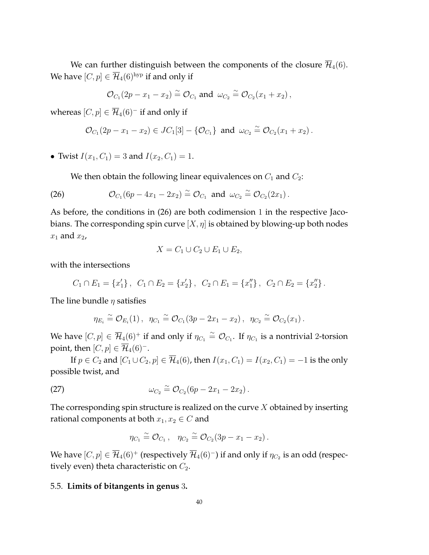We can further distinguish between the components of the closure  $\mathcal{H}_4(6)$ . We have  $[C, p] \in \overline{\mathcal{H}}_4(6)$ <sup>hyp</sup> if and only if

$$
\mathcal{O}_{C_1}(2p-x_1-x_2)\stackrel{\sim}{=}\mathcal{O}_{C_1}\text{ and }\omega_{C_2}\stackrel{\sim}{=}\mathcal{O}_{C_2}(x_1+x_2)\,,
$$

whereas  $[C, p] \in \overline{\mathcal{H}}_4(6)^-$  if and only if

$$
\mathcal{O}_{C_1}(2p-x_1-x_2) \in JC_1[3] - \{\mathcal{O}_{C_1}\}\
$$
 and  $\omega_{C_2} \cong \mathcal{O}_{C_2}(x_1+x_2)$ .

• Twist  $I(x_1, C_1) = 3$  and  $I(x_2, C_1) = 1$ .

We then obtain the following linear equivalences on  $C_1$  and  $C_2$ :

(26) 
$$
\mathcal{O}_{C_1}(6p - 4x_1 - 2x_2) \cong \mathcal{O}_{C_1}
$$
 and  $\omega_{C_2} \cong \mathcal{O}_{C_2}(2x_1)$ .

As before, the conditions in (26) are both codimension 1 in the respective Jacobians. The corresponding spin curve  $[X, \eta]$  is obtained by blowing-up both nodes  $x_1$  and  $x_2$ ,

$$
X = C_1 \cup C_2 \cup E_1 \cup E_2,
$$

with the intersections

$$
C_1 \cap E_1 = \{x'_1\}, C_1 \cap E_2 = \{x'_2\}, C_2 \cap E_1 = \{x''_1\}, C_2 \cap E_2 = \{x''_2\}.
$$

The line bundle  $\eta$  satisfies

$$
\eta_{E_i} \stackrel{\sim}{=} \mathcal{O}_{E_i}(1) , \quad \eta_{C_1} \stackrel{\sim}{=} \mathcal{O}_{C_1}(3p - 2x_1 - x_2) , \quad \eta_{C_2} \stackrel{\sim}{=} \mathcal{O}_{C_2}(x_1) .
$$

We have  $[C,p]\in\overline{\mathcal{H}}_4(6)^+$  if and only if  $\eta_{C_1}\stackrel{\sim}{=}\mathcal{O}_{C_1}.$  If  $\eta_{C_1}$  is a nontrivial 2-torsion point, then  $[C, p] \in \overline{\mathcal{H}}_4(6)^-$ .

If  $p \in C_2$  and  $[C_1 \cup C_2, p] \in \overline{\mathcal{H}}_4(6)$ , then  $I(x_1, C_1) = I(x_2, C_1) = -1$  is the only possible twist, and

$$
\omega_{C_2} \cong \mathcal{O}_{C_2}(6p - 2x_1 - 2x_2).
$$

The corresponding spin structure is realized on the curve  $X$  obtained by inserting rational components at both  $x_1, x_2 \in C$  and

$$
\eta_{C_1} \stackrel{\sim}{=} \mathcal{O}_{C_1} , \quad \eta_{C_2} \stackrel{\sim}{=} \mathcal{O}_{C_2}(3p - x_1 - x_2) .
$$

We have  $[C,p]\in\overline{\mathcal{H}}_4(6)^+$  (respectively  $\overline{\mathcal{H}}_4(6)^-)$  if and only if  $\eta_{C_2}$  is an odd (respectively even) theta characteristic on  $C_2$ .

## 5.5. **Limits of bitangents in genus** 3**.**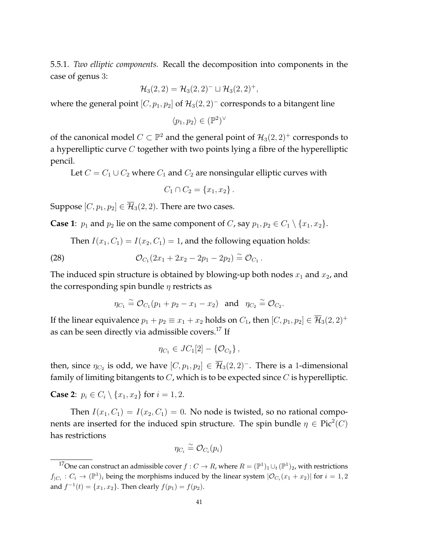5.5.1. *Two elliptic components.* Recall the decomposition into components in the case of genus 3:

$$
\mathcal{H}_3(2,2) = \mathcal{H}_3(2,2)^- \sqcup \mathcal{H}_3(2,2)^+,
$$

where the general point  $[C, p_1, p_2]$  of  $\mathcal{H}_3(2, 2)^-$  corresponds to a bitangent line

$$
\langle p_1, p_2 \rangle \in (\mathbb{P}^2)^{\vee}
$$

of the canonical model  $C \subset \mathbb{P}^2$  and the general point of  $\mathcal{H}_3(2, 2)^+$  corresponds to a hyperelliptic curve  $C$  together with two points lying a fibre of the hyperelliptic pencil.

Let  $C = C_1 \cup C_2$  where  $C_1$  and  $C_2$  are nonsingular elliptic curves with

$$
C_1 \cap C_2 = \{x_1, x_2\}.
$$

Suppose  $[C, p_1, p_2] \in \overline{\mathcal{H}}_3(2, 2)$ . There are two cases.

**Case 1**:  $p_1$  and  $p_2$  lie on the same component of C, say  $p_1, p_2 \in C_1 \setminus \{x_1, x_2\}$ .

Then  $I(x_1, C_1) = I(x_2, C_1) = 1$ , and the following equation holds:

(28) 
$$
\mathcal{O}_{C_1}(2x_1 + 2x_2 - 2p_1 - 2p_2) \cong \mathcal{O}_{C_1}.
$$

The induced spin structure is obtained by blowing-up both nodes  $x_1$  and  $x_2$ , and the corresponding spin bundle  $\eta$  restricts as

$$
\eta_{C_1} \stackrel{\sim}{=} \mathcal{O}_{C_1}(p_1 + p_2 - x_1 - x_2) \quad \text{and} \quad \eta_{C_2} \stackrel{\sim}{=} \mathcal{O}_{C_2}.
$$

If the linear equivalence  $p_1 + p_2 \equiv x_1 + x_2$  holds on  $C_1$ , then  $[C, p_1, p_2] \in \overline{\mathcal{H}}_3(2, 2)^+$ as can be seen directly via admissible covers.<sup>17</sup> If

$$
\eta_{C_1} \in JC_1[2] - \{ \mathcal{O}_{C_2} \},\,
$$

then, since  $\eta_{C_2}$  is odd, we have  $[C, p_1, p_2] \in \overline{\mathcal{H}}_3(2, 2)^-$ . There is a 1-dimensional family of limiting bitangents to  $C$ , which is to be expected since  $C$  is hyperelliptic.

**Case 2:**  $p_i \in C_i \setminus \{x_1, x_2\}$  for  $i = 1, 2$ .

Then  $I(x_1, C_1) = I(x_2, C_1) = 0$ . No node is twisted, so no rational components are inserted for the induced spin structure. The spin bundle  $\eta \in \text{Pic}^2(C)$ has restrictions

$$
\eta_{C_i} \stackrel{\sim}{=} \mathcal{O}_{C_i}(p_i)
$$

<sup>&</sup>lt;sup>17</sup>One can construct an admissible cover  $f: C \to R$ , where  $R = (\mathbb{P}^1)_1 \cup_t (\mathbb{P}^1)_2$ , with restrictions  $f_{|C_i}: C_i \to (\mathbb{P}^1)_i$  being the morphisms induced by the linear system  $|\mathcal{O}_{C_i}(x_1+x_2)|$  for  $i=1,2$ and  $f^{-1}(t) = \{x_1, x_2\}$ . Then clearly  $f(p_1) = f(p_2)$ .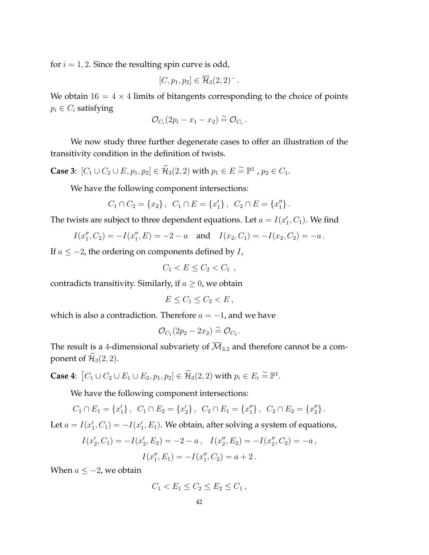for  $i = 1, 2$ . Since the resulting spin curve is odd,

$$
[C, p_1, p_2] \in \overline{\mathcal{H}}_3(2, 2)^-\,.
$$

We obtain  $16 = 4 \times 4$  limits of bitangents corresponding to the choice of points  $p_i \in C_i$  satisfying

$$
\mathcal{O}_{C_i}(2p_i-x_1-x_2)\stackrel{\sim}{=}\mathcal{O}_{C_i}.
$$

We now study three further degenerate cases to offer an illustration of the transitivity condition in the definition of twists.

**Case 3:**  $[C_1 \cup C_2 \cup E, p_1, p_2] \in \widetilde{\mathcal{H}}_3(2, 2)$  with  $p_1 \in E \cong \mathbb{P}^1$ ,  $p_2 \in C_1$ .

We have the following component intersections:

$$
C_1 \cap C_2 = \{x_2\}, \ \ C_1 \cap E = \{x'_1\}, \ \ C_2 \cap E = \{x''_1\}.
$$

The twists are subject to three dependent equations. Let  $a = I(x'_1, C_1)$ . We find

$$
I(x''_1, C_2) = -I(x''_1, E) = -2 - a
$$
 and  $I(x_2, C_1) = -I(x_2, C_2) = -a$ .

If  $a \le -2$ , the ordering on components defined by  $I$ ,

$$
C_1 < E \le C_2 < C_1 \;,
$$

contradicts transitivity. Similarly, if  $a \geq 0$ , we obtain

$$
E \leq C_1 \leq C_2 < E \,,
$$

which is also a contradiction. Therefore  $a = -1$ , and we have

$$
\mathcal{O}_{C_1}(2p_2 - 2x_2) \stackrel{\sim}{=} \mathcal{O}_{C_1}.
$$

The result is a 4-dimensional subvariety of  $\overline{\mathcal{M}}_{3,2}$  and therefore cannot be a component of  $\mathcal{H}_3(2, 2)$ .

**Case 4:**  $[C_1 \cup C_2 \cup E_1 \cup E_2, p_1, p_2] \in \widetilde{\mathcal{H}}_3(2, 2)$  with  $p_i \in E_i \stackrel{\sim}{=} \mathbb{P}^1$ .

We have the following component intersections:

$$
C_1 \cap E_1 = \{x'_1\}, C_1 \cap E_2 = \{x'_2\}, C_2 \cap E_1 = \{x''_1\}, C_2 \cap E_2 = \{x''_2\}.
$$

Let  $a = I(x'_1, C_1) = -I(x'_1, E_1)$ . We obtain, after solving a system of equations,

$$
I(x'_2, C_1) = -I(x'_2, E_2) = -2 - a, \quad I(x''_2, E_2) = -I(x''_2, C_2) = -a,
$$
  

$$
I(x''_1, E_1) = -I(x''_1, C_2) = a + 2.
$$

When  $a \le -2$ , we obtain

$$
C_1 < E_1 \le C_2 \le E_2 \le C_1 \,,
$$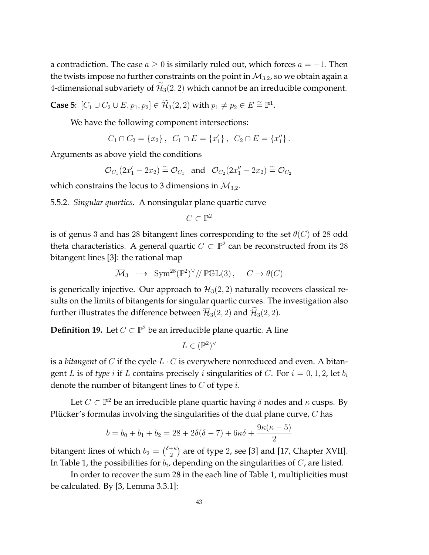a contradiction. The case  $a \geq 0$  is similarly ruled out, which forces  $a = -1$ . Then the twists impose no further constraints on the point in  $\mathcal{M}_{3,2}$ , so we obtain again a 4-dimensional subvariety of  $\mathcal{H}_3(2, 2)$  which cannot be an irreducible component.

**Case 5:**  $[C_1 \cup C_2 \cup E, p_1, p_2] \in \widetilde{\mathcal{H}}_3(2, 2)$  with  $p_1 \neq p_2 \in E \cong \mathbb{P}^1$ .

We have the following component intersections:

$$
C_1 \cap C_2 = \{x_2\}, C_1 \cap E = \{x'_1\}, C_2 \cap E = \{x''_1\}.
$$

Arguments as above yield the conditions

$$
\mathcal{O}_{C_1}(2x'_1-2x_2)\stackrel{\sim}{=}\mathcal{O}_{C_1}\quad \text{and}\quad \mathcal{O}_{C_2}(2x''_1-2x_2)\stackrel{\sim}{=}\mathcal{O}_{C_2}
$$

which constrains the locus to 3 dimensions in  $\overline{\mathcal{M}}_{3,2}$ .

5.5.2. *Singular quartics.* A nonsingular plane quartic curve

$$
C\subset \mathbb{P}^2
$$

is of genus 3 and has 28 bitangent lines corresponding to the set  $\theta(C)$  of 28 odd theta characteristics. A general quartic  $C \subset \mathbb{P}^2$  can be reconstructed from its 28 bitangent lines [3]: the rational map

$$
\overline{\mathcal{M}}_3 \dashrightarrow \text{Sym}^{28}(\mathbb{P}^2)^\vee/\!/\mathbb{P}\mathbb{GL}(3), \quad C \mapsto \theta(C)
$$

is generically injective. Our approach to  $\overline{\mathcal{H}}_3(2, 2)$  naturally recovers classical results on the limits of bitangents for singular quartic curves. The investigation also further illustrates the difference between  $\overline{\mathcal{H}}_3(2, 2)$  and  $\widetilde{\mathcal{H}}_3(2, 2)$ .

**Definition 19.** Let  $C \subset \mathbb{P}^2$  be an irreducible plane quartic. A line

$$
L \in (\mathbb{P}^2)^{\vee}
$$

is a *bitangent* of C if the cycle  $L \cdot C$  is everywhere nonreduced and even. A bitangent L is of *type* i if L contains precisely i singularities of C. For  $i = 0, 1, 2$ , let  $b_i$ denote the number of bitangent lines to  $C$  of type  $i$ .

Let  $C \subset \mathbb{P}^2$  be an irreducible plane quartic having  $\delta$  nodes and  $\kappa$  cusps. By Plücker's formulas involving the singularities of the dual plane curve,  $C$  has

$$
b = b_0 + b_1 + b_2 = 28 + 2\delta(\delta - 7) + 6\kappa\delta + \frac{9\kappa(\kappa - 5)}{2}
$$

bitangent lines of which  $b_2 = \binom{\delta + \kappa}{2}$  $_2^{+\kappa})$  are of type 2, see [3] and [17, Chapter XVII]. In Table 1, the possibilities for  $b_i$ , depending on the singularities of  $C$ , are listed.

In order to recover the sum 28 in the each line of Table 1, multiplicities must be calculated. By [3, Lemma 3.3.1]: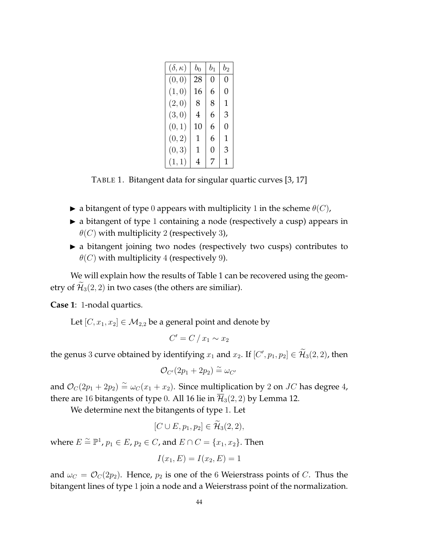| $(\delta,\kappa)$ | $b_0$ | $b_1$ | $b_2$ |
|-------------------|-------|-------|-------|
| (0, 0)            | 28    | 0     | 0     |
| (1,0)             | 16    | 6     | 0     |
| (2,0)             | 8     | 8     | 1     |
| (3,0)             | 4     | 6     | 3     |
| (0, 1)            | 10    | 6     | 0     |
| (0, 2)            | 1     | 6     | 1     |
| (0, 3)            | 1     | 0     | 3     |
| (1, 1)            | 4     | 7     | 1     |

TABLE 1. Bitangent data for singular quartic curves [3, 17]

- $\blacktriangleright$  a bitangent of type 0 appears with multiplicity 1 in the scheme  $\theta(C)$ ,
- $\blacktriangleright$  a bitangent of type 1 containing a node (respectively a cusp) appears in  $\theta$ (C) with multiplicity 2 (respectively 3),
- $\triangleright$  a bitangent joining two nodes (respectively two cusps) contributes to  $\theta$ (*C*) with multiplicity 4 (respectively 9).

We will explain how the results of Table 1 can be recovered using the geometry of  $\widetilde{\mathcal{H}}_3(2, 2)$  in two cases (the others are similiar).

**Case 1**: 1-nodal quartics.

Let  $[C, x_1, x_2] \in M_{2,2}$  be a general point and denote by

$$
C'=C/x_1\sim x_2
$$

the genus 3 curve obtained by identifying  $x_1$  and  $x_2$ . If  $[C', p_1, p_2] \in \tilde{\mathcal{H}}_3(2, 2)$ , then

$$
\mathcal{O}_{C'}(2p_1+2p_2)\stackrel{\sim}{=}\omega_{C'}
$$

and  $\mathcal{O}_C(2p_1 + 2p_2) \cong \omega_C(x_1 + x_2)$ . Since multiplication by 2 on JC has degree 4, there are 16 bitangents of type 0. All 16 lie in  $\overline{\mathcal{H}}_3(2, 2)$  by Lemma 12.

We determine next the bitangents of type 1. Let

$$
[C\cup E, p_1, p_2] \in \widetilde{\mathcal{H}}_3(2,2),
$$

where  $E \stackrel{\sim}{=} \mathbb{P}^1$ ,  $p_1 \in E$ ,  $p_2 \in C$ , and  $E \cap C = \{x_1, x_2\}$ . Then

$$
I(x_1, E) = I(x_2, E) = 1
$$

and  $\omega_C = \mathcal{O}_C(2p_2)$ . Hence,  $p_2$  is one of the 6 Weierstrass points of C. Thus the bitangent lines of type 1 join a node and a Weierstrass point of the normalization.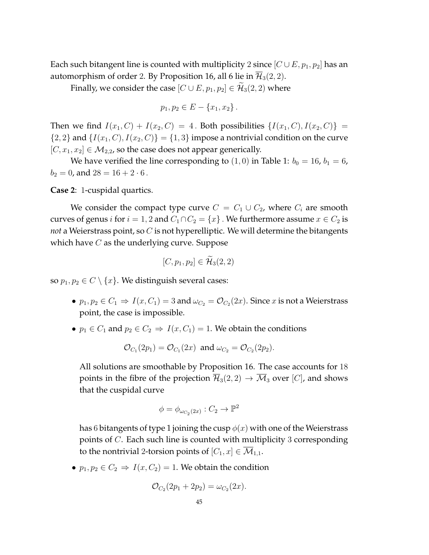Each such bitangent line is counted with multiplicity 2 since  $[C \cup E, p_1, p_2]$  has an automorphism of order 2. By Proposition 16, all 6 lie in  $\overline{\mathcal{H}}_3(2, 2)$ .

Finally, we consider the case  $[C \cup E, p_1, p_2] \in \mathcal{H}_3(2, 2)$  where

$$
p_1, p_2 \in E - \{x_1, x_2\}.
$$

Then we find  $I(x_1, C) + I(x_2, C) = 4$ . Both possibilities  $\{I(x_1, C), I(x_2, C)\} =$  ${2, 2}$  and  ${I(x_1, C), I(x_2, C)} = {1, 3}$  impose a nontrivial condition on the curve  $[C, x_1, x_2] \in M_{2,2}$ , so the case does not appear generically.

We have verified the line corresponding to  $(1, 0)$  in Table 1:  $b_0 = 16$ ,  $b_1 = 6$ ,  $b_2 = 0$ , and  $28 = 16 + 2 \cdot 6$ .

**Case 2**: 1-cuspidal quartics.

We consider the compact type curve  $C = C_1 \cup C_2$ , where  $C_i$  are smooth curves of genus  $i$  for  $i=1,2$  and  $C_1\cap C_2=\{x\}$  . We furthermore assume  $x\in C_2$  is *not* a Weierstrass point, so C is not hyperelliptic. We will determine the bitangents which have  $C$  as the underlying curve. Suppose

$$
[C, p_1, p_2] \in \widetilde{\mathcal{H}}_3(2, 2)
$$

so  $p_1, p_2 \in C \setminus \{x\}$ . We distinguish several cases:

- $p_1, p_2 \in C_1 \Rightarrow I(x, C_1) = 3$  and  $\omega_{C_2} = \mathcal{O}_{C_2}(2x)$ . Since  $x$  is not a Weierstrass point, the case is impossible.
- $p_1 \in C_1$  and  $p_2 \in C_2 \Rightarrow I(x, C_1) = 1$ . We obtain the conditions

$$
\mathcal{O}_{C_1}(2p_1) = \mathcal{O}_{C_1}(2x)
$$
 and  $\omega_{C_2} = \mathcal{O}_{C_2}(2p_2)$ .

All solutions are smoothable by Proposition 16. The case accounts for 18 points in the fibre of the projection  $\overline{\mathcal{H}}_3(2, 2) \rightarrow \overline{\mathcal{M}}_3$  over [C], and shows that the cuspidal curve

$$
\phi = \phi_{\omega_{C_2}(2x)} : C_2 \to \mathbb{P}^2
$$

has 6 bitangents of type 1 joining the cusp  $\phi(x)$  with one of the Weierstrass points of C. Each such line is counted with multiplicity 3 corresponding to the nontrivial 2-torsion points of  $[C_1, x] \in \overline{\mathcal{M}}_{1,1}$ .

•  $p_1, p_2 \in C_2 \Rightarrow I(x, C_2) = 1$ . We obtain the condition

$$
\mathcal{O}_{C_2}(2p_1 + 2p_2) = \omega_{C_2}(2x).
$$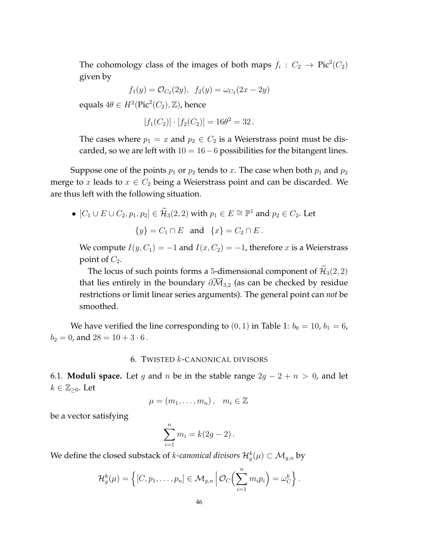The cohomology class of the images of both maps  $f_i : C_2 \to Pic^2(C_2)$ given by

$$
f_1(y) = \mathcal{O}_{C_2}(2y), \ \ f_2(y) = \omega_{C_2}(2x - 2y)
$$

equals  $4\theta \in H^2(\text{Pic}^2(C_2), \mathbb{Z})$ , hence

$$
[f_1(C_2)] \cdot [f_2(C_2)] = 16\theta^2 = 32.
$$

The cases where  $p_1 = x$  and  $p_2 \in C_2$  is a Weierstrass point must be discarded, so we are left with  $10 = 16 - 6$  possibilities for the bitangent lines.

Suppose one of the points  $p_1$  or  $p_2$  tends to x. The case when both  $p_1$  and  $p_2$ merge to x leads to  $x \in C_2$  being a Weierstrass point and can be discarded. We are thus left with the following situation.

• 
$$
[C_1 \cup E \cup C_2, p_1, p_2] \in \widetilde{\mathcal{H}}_3(2, 2)
$$
 with  $p_1 \in E \cong \mathbb{P}^1$  and  $p_2 \in C_2$ . Let  
\n
$$
\{y\} = C_1 \cap E \text{ and } \{x\} = C_2 \cap E.
$$

We compute  $I(y, C_1) = -1$  and  $I(x, C_2) = -1$ , therefore x is a Weierstrass point of  $C_2$ .

The locus of such points forms a 5-dimensional component of  $\widetilde{\mathcal{H}}_3(2,2)$ that lies entirely in the boundary  $\partial \overline{M}_{3,2}$  (as can be checked by residue restrictions or limit linear series arguments). The general point can *not* be smoothed.

We have verified the line corresponding to  $(0, 1)$  in Table 1:  $b_0 = 10$ ,  $b_1 = 6$ ,  $b_2 = 0$ , and  $28 = 10 + 3 \cdot 6$ .

# 6. TWISTED k-CANONICAL DIVISORS

6.1. **Moduli space.** Let g and n be in the stable range  $2g - 2 + n > 0$ , and let  $k \in \mathbb{Z}_{\geq 0}$ . Let

$$
\mu=(m_1,\ldots,m_n),\quad m_i\in\mathbb{Z}
$$

be a vector satisfying

$$
\sum_{i=1}^{n} m_i = k(2g - 2).
$$

We define the closed substack of *k-canonical divisors*  $\mathcal{H}^{k}_g(\mu) \subset \mathcal{M}_{g,n}$  by

$$
\mathcal{H}_g^k(\mu) = \left\{ [C, p_1, \ldots, p_n] \in \mathcal{M}_{g,n} \, \middle| \, \mathcal{O}_C\Big(\sum_{i=1}^n m_i p_i\Big) = \omega_C^k \right\}.
$$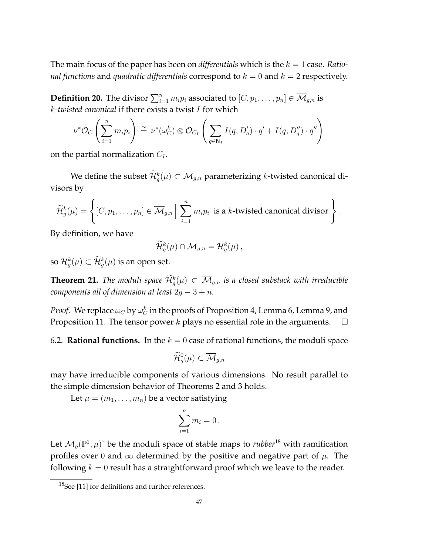The main focus of the paper has been on *differentials* which is the  $k = 1$  case. *Rational functions* and *quadratic differentials* correspond to  $k = 0$  and  $k = 2$  respectively.

**Definition 20.** The divisor  $\sum_{i=1}^n m_i p_i$  associated to  $[C, p_1, \ldots, p_n] \in \overline{\mathcal{M}}_{g,n}$  is k*-twisted canonical* if there exists a twist I for which

$$
\nu^* \mathcal{O}_C\left(\sum_{i=1}^n m_i p_i\right) \stackrel{\sim}{=} \nu^*(\omega_C^k) \otimes \mathcal{O}_{C_I}\left(\sum_{q \in \mathbb{N}_I} I(q, D'_q) \cdot q' + I(q, D''_q) \cdot q''\right)
$$

on the partial normalization  $C_I$ .

We define the subset  $\widetilde{\mathcal{H}}^k_g(\mu) \subset \overline{\mathcal{M}}_{g,n}$  parameterizing  $k$ -twisted canonical divisors by

$$
\widetilde{\mathcal{H}}_g^k(\mu) = \left\{ [C, p_1, \ldots, p_n] \in \overline{\mathcal{M}}_{g,n} \Big| \sum_{i=1}^n m_i p_i \text{ is a } k\text{-twisted canonical divisor} \right\}.
$$

By definition, we have

$$
\widetilde{\mathcal{H}}_g^k(\mu) \cap \mathcal{M}_{g,n} = \mathcal{H}_g^k(\mu) ,
$$

so  $\mathcal{H}^{k}_{g}(\mu) \subset \mathcal{H}^{k}_{g}(\mu)$  is an open set.

**Theorem 21.** The moduli space  $\widetilde{\mathcal{H}}_g^k(\mu) \subset \overline{\mathcal{M}}_{g,n}$  is a closed substack with irreducible *components all of dimension at least*  $2g - 3 + n$ *.* 

*Proof.* We replace  $\omega_C$  by  $\omega_C^k$  in the proofs of Proposition 4, Lemma 6, Lemma 9, and Proposition 11. The tensor power  $k$  plays no essential role in the arguments.  $\Box$ 

6.2. **Rational functions.** In the  $k = 0$  case of rational functions, the moduli space

$$
\widetilde{\mathcal{H}}^0_g(\mu)\subset \overline{\mathcal{M}}_{g,n}
$$

may have irreducible components of various dimensions. No result parallel to the simple dimension behavior of Theorems 2 and 3 holds.

Let  $\mu = (m_1, \ldots, m_n)$  be a vector satisfying

$$
\sum_{i=1}^n m_i = 0.
$$

Let  $\overline{\mathcal{M}}_g(\mathbb{P}^1, \mu)$  be the moduli space of stable maps to *rubber*<sup>18</sup> with ramification profiles over 0 and  $\infty$  determined by the positive and negative part of  $\mu$ . The following  $k = 0$  result has a straightforward proof which we leave to the reader.

<sup>&</sup>lt;sup>18</sup>See [11] for definitions and further references.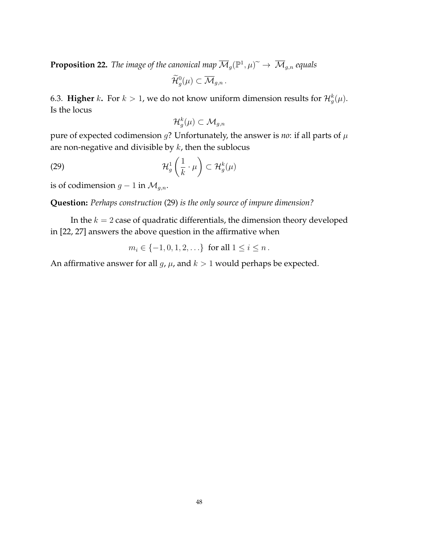**Proposition 22.** *The image of the canonical map*  $\overline{\mathcal{M}}_g(\mathbb{P}^1,\mu)^\sim \to \overline{\mathcal{M}}_{g,n}$  *equals* 

$$
\widetilde{\mathcal{H}}_g^0(\mu) \subset \overline{\mathcal{M}}_{g,n}.
$$

6.3. **Higher** k. For  $k > 1$ , we do not know uniform dimension results for  $\mathcal{H}^k_g(\mu)$ . Is the locus

$$
\mathcal{H}^k_g(\mu)\subset \mathcal{M}_{g,n}
$$

pure of expected codimension  $g$ ? Unfortunately, the answer is *no*: if all parts of  $\mu$ are non-negative and divisible by  $k$ , then the sublocus

(29) 
$$
\mathcal{H}_g^1\left(\frac{1}{k}\cdot\mu\right)\subset\mathcal{H}_g^k(\mu)
$$

is of codimension  $g - 1$  in  $\mathcal{M}_{g,n}$ .

**Question:** *Perhaps construction* (29) *is the only source of impure dimension?*

In the  $k = 2$  case of quadratic differentials, the dimension theory developed in [22, 27] answers the above question in the affirmative when

$$
m_i \in \{-1, 0, 1, 2, \ldots\}
$$
 for all  $1 \le i \le n$ .

An affirmative answer for all  $g$ ,  $\mu$ , and  $k > 1$  would perhaps be expected.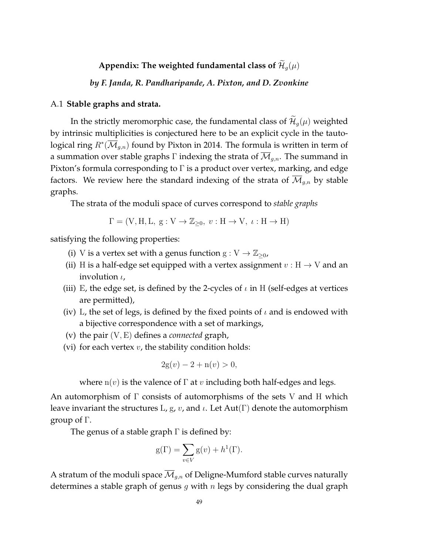# Appendix: The weighted fundamental class of  $\mathcal{H}_g(\mu)$

*by F. Janda, R. Pandharipande, A. Pixton, and D. Zvonkine*

## A.1 **Stable graphs and strata.**

In the strictly meromorphic case, the fundamental class of  $\widetilde{\mathcal{H}}_g(\mu)$  weighted by intrinsic multiplicities is conjectured here to be an explicit cycle in the tautological ring  $R^*(\overline{\mathcal M}_{g,n})$  found by Pixton in 2014. The formula is written in term of a summation over stable graphs  $\Gamma$  indexing the strata of  $\overline{\mathcal{M}}_{g,n}$ . The summand in Pixton's formula corresponding to  $\Gamma$  is a product over vertex, marking, and edge factors. We review here the standard indexing of the strata of  $\mathcal{M}_{g,n}$  by stable graphs.

The strata of the moduli space of curves correspond to *stable graphs*

$$
\Gamma = (V, H, L, g: V \to \mathbb{Z}_{\geq 0}, v: H \to V, \iota: H \to H)
$$

satisfying the following properties:

- (i) V is a vertex set with a genus function  $g: V \to \mathbb{Z}_{\geq 0}$ ,
- (ii) H is a half-edge set equipped with a vertex assignment  $v : H \to V$  and an involution  $\iota$ ,
- (iii) E, the edge set, is defined by the 2-cycles of  $\iota$  in H (self-edges at vertices are permitted),
- (iv) L, the set of legs, is defined by the fixed points of  $\iota$  and is endowed with a bijective correspondence with a set of markings,
- (v) the pair (V, E) defines a *connected* graph,
- (vi) for each vertex  $v$ , the stability condition holds:

$$
2g(v) - 2 + n(v) > 0,
$$

where  $n(v)$  is the valence of  $\Gamma$  at v including both half-edges and legs.

An automorphism of Γ consists of automorphisms of the sets V and H which leave invariant the structures L, g, v, and  $\iota$ . Let Aut(Γ) denote the automorphism group of Γ.

The genus of a stable graph  $\Gamma$  is defined by:

$$
g(\Gamma) = \sum_{v \in V} g(v) + h^{1}(\Gamma).
$$

A stratum of the moduli space  $\overline{\mathcal{M}}_{g,n}$  of Deligne-Mumford stable curves naturally determines a stable graph of genus  $g$  with  $n$  legs by considering the dual graph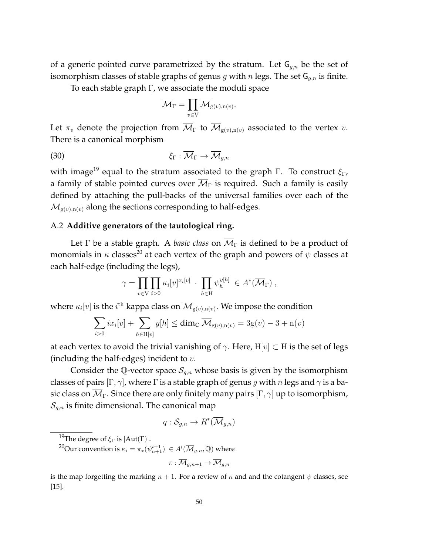of a generic pointed curve parametrized by the stratum. Let  $G_{q,n}$  be the set of isomorphism classes of stable graphs of genus g with n legs. The set  $G_{g,n}$  is finite.

To each stable graph Γ, we associate the moduli space

$$
\overline{\mathcal{M}}_{\Gamma} = \prod_{v \in \mathrm{V}} \overline{\mathcal{M}}_{\mathrm{g}(v),\mathrm{n}(v)}.
$$

Let  $\pi_v$  denote the projection from  $\overline{\mathcal{M}}_{\Gamma}$  to  $\overline{\mathcal{M}}_{g(v),n(v)}$  associated to the vertex v. There is a canonical morphism

$$
\xi_{\Gamma} : \overline{\mathcal{M}}_{\Gamma} \to \overline{\mathcal{M}}_{g,n}
$$

with image<sup>19</sup> equal to the stratum associated to the graph Γ. To construct  $\xi_{\Gamma}$ , a family of stable pointed curves over  $\overline{\mathcal{M}}_{\Gamma}$  is required. Such a family is easily defined by attaching the pull-backs of the universal families over each of the  $\mathcal{M}_{g(v),n(v)}$  along the sections corresponding to half-edges.

# A.2 **Additive generators of the tautological ring.**

Let  $\Gamma$  be a stable graph. A *basic class* on  $\overline{\mathcal{M}}_{\Gamma}$  is defined to be a product of monomials in  $\kappa$  classes<sup>20</sup> at each vertex of the graph and powers of  $\psi$  classes at each half-edge (including the legs),

$$
\gamma = \prod_{v \in V} \prod_{i>0} \kappa_i[v]^{x_i[v]} \cdot \prod_{h \in H} \psi_h^{y[h]} \in A^*(\overline{\mathcal{M}}_{\Gamma}),
$$

where  $\kappa_i[v]$  is the  $i^{\text{th}}$  kappa class on  $\overline{\mathcal M}_{\text{g}(v),\text{n}(v)}.$  We impose the condition

$$
\sum_{i>0} ix_i[v] + \sum_{h \in \mathcal{H}[v]} y[h] \le \dim_{\mathbb{C}} \overline{\mathcal{M}}_{g(v),n(v)} = 3g(v) - 3 + n(v)
$$

at each vertex to avoid the trivial vanishing of  $\gamma$ . Here, H[v]  $\subset$  H is the set of legs (including the half-edges) incident to  $v$ .

Consider the Q-vector space  $S_{q,n}$  whose basis is given by the isomorphism classes of pairs  $[\Gamma, \gamma]$ , where  $\Gamma$  is a stable graph of genus g with n legs and  $\gamma$  is a basic class on  $\overline{\mathcal{M}}_{\Gamma}$ . Since there are only finitely many pairs  $[\Gamma, \gamma]$  up to isomorphism,  $\mathcal{S}_{q,n}$  is finite dimensional. The canonical map

$$
q: \mathcal{S}_{g,n} \to R^*(\overline{\mathcal{M}}_{g,n})
$$

 $^{20}\!{\rm Our}$  convention is  $\kappa_i = \pi_*(\psi_{n+1}^{i+1})\ \in A^i(\overline{\mathcal M}_{g,n},\mathbb Q)$  where

$$
\pi:\overline{\mathcal{M}}_{g,n+1}\to\overline{\mathcal{M}}_{g,n}
$$

is the map forgetting the marking  $n + 1$ . For a review of  $\kappa$  and and the cotangent  $\psi$  classes, see [15].

<sup>&</sup>lt;sup>19</sup>The degree of  $\xi_{\Gamma}$  is  $|Aut(\Gamma)|$ .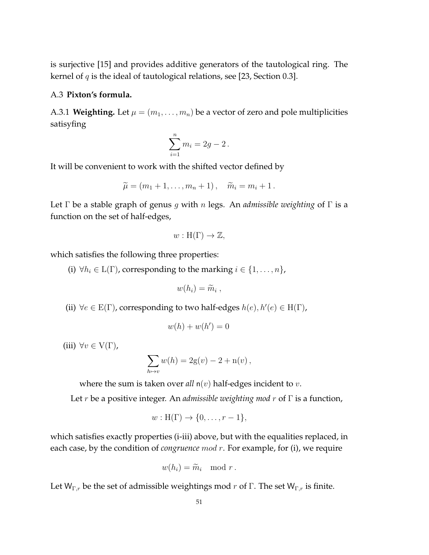is surjective [15] and provides additive generators of the tautological ring. The kernel of  $q$  is the ideal of tautological relations, see [23, Section 0.3].

# A.3 **Pixton's formula.**

A.3.1 **Weighting.** Let  $\mu = (m_1, \dots, m_n)$  be a vector of zero and pole multiplicities satisyfing

$$
\sum_{i=1}^n m_i = 2g - 2.
$$

It will be convenient to work with the shifted vector defined by

$$
\widetilde{\mu} = (m_1 + 1, \dots, m_n + 1), \quad \widetilde{m}_i = m_i + 1.
$$

Let Γ be a stable graph of genus g with n legs. An *admissible weighting* of Γ is a function on the set of half-edges,

$$
w: H(\Gamma) \to \mathbb{Z},
$$

which satisfies the following three properties:

(i)  $\forall h_i \in L(\Gamma)$ , corresponding to the marking  $i \in \{1, \ldots, n\}$ ,

$$
w(h_i)=\widetilde{m}_i,
$$

(ii)  $\forall e \in E(\Gamma)$ , corresponding to two half-edges  $h(e), h'(e) \in H(\Gamma)$ ,

$$
w(h) + w(h') = 0
$$

(iii)  $\forall v \in V(\Gamma)$ ,

$$
\sum_{h \mapsto v} w(h) = 2g(v) - 2 + n(v),
$$

where the sum is taken over  $all \, n(v)$  half-edges incident to  $v$ .

Let r be a positive integer. An *admissible weighting mod* r of Γ is a function,

$$
w: H(\Gamma) \to \{0, \ldots, r-1\},\
$$

which satisfies exactly properties (i-iii) above, but with the equalities replaced, in each case, by the condition of *congruence* mod r. For example, for (i), we require

$$
w(h_i) = \widetilde{m}_i \mod r.
$$

Let  $W_{\Gamma,r}$  be the set of admissible weightings mod r of Γ. The set  $W_{\Gamma,r}$  is finite.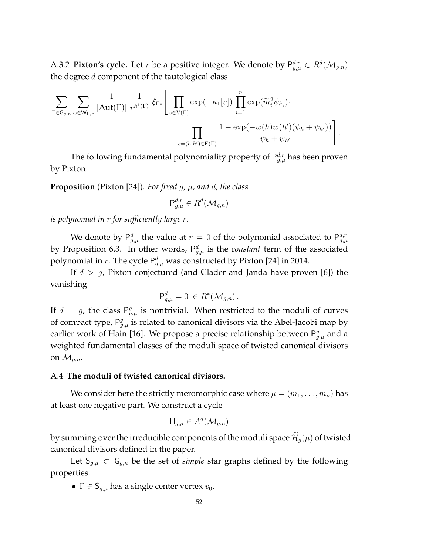A.3.2 **Pixton's cycle.** Let  $r$  be a positive integer. We denote by  $\mathsf{P}^{d,r}_{g,\mu} \in R^d(\overline{\mathcal M}_{g,n})$ the degree  $d$  component of the tautological class

$$
\sum_{\Gamma \in \mathsf{G}_{g,n}} \sum_{w \in \mathsf{W}_{\Gamma,r}} \frac{1}{|\mathrm{Aut}(\Gamma)|} \frac{1}{r^{h^1(\Gamma)}} \, \xi_{\Gamma*} \Bigg[ \prod_{v \in \mathrm{V}(\Gamma)} \exp(-\kappa_1[v]) \prod_{i=1}^n \exp(\widetilde{m}_i^2 \psi_{h_i}) \cdot \prod_{e=(h,h') \in \mathrm{E}(\Gamma)} \frac{1 - \exp(-w(h)w(h')(\psi_h + \psi_{h'}))}{\psi_h + \psi_{h'}} \Bigg].
$$

The following fundamental polynomiality property of  $P_{g,\mu}^{d,r}$  has been proven by Pixton.

**Proposition** (Pixton [24]). *For fixed g,*  $\mu$ *, and d, the class* 

$$
\mathsf{P}^{d,r}_{g,\mu} \in R^d(\overline{\mathcal{M}}_{g,n})
$$

*is polynomial in* r *for sufficiently large* r*.*

We denote by  $P_{g,\mu}^d$  the value at  $r=0$  of the polynomial associated to  $P_{g,\mu}^{d,r}$ by Proposition 6.3. In other words,  $P_{g,\mu}^d$  is the *constant* term of the associated polynomial in r. The cycle  $\mathsf{P}^d_{g,\mu}$  was constructed by Pixton [24] in 2014.

If  $d > g$ , Pixton conjectured (and Clader and Janda have proven [6]) the vanishing

$$
\mathsf{P}^d_{g,\mu} = 0 \, \in R^*(\overline{\mathcal{M}}_{g,n}).
$$

If  $d = g$ , the class  $P_{g,\mu}^g$  is nontrivial. When restricted to the moduli of curves of compact type,  $P_{g,\mu}^g$  is related to canonical divisors via the Abel-Jacobi map by earlier work of Hain [16]. We propose a precise relationship between  $P_{g,\mu}^g$  and a weighted fundamental classes of the moduli space of twisted canonical divisors on  $\mathcal{M}_{g,n}$ .

## A.4 **The moduli of twisted canonical divisors.**

We consider here the strictly meromorphic case where  $\mu = (m_1, \ldots, m_n)$  has at least one negative part. We construct a cycle

$$
\mathsf{H}_{g,\mu} \in A^g(\overline{\mathcal{M}}_{g,n})
$$

by summing over the irreducible components of the moduli space  $\mathcal{H}_q(\mu)$  of twisted canonical divisors defined in the paper.

Let  $S_{g,\mu} \subset G_{g,n}$  be the set of *simple* star graphs defined by the following properties:

•  $\Gamma \in \mathsf{S}_{g,\mu}$  has a single center vertex  $v_0$ ,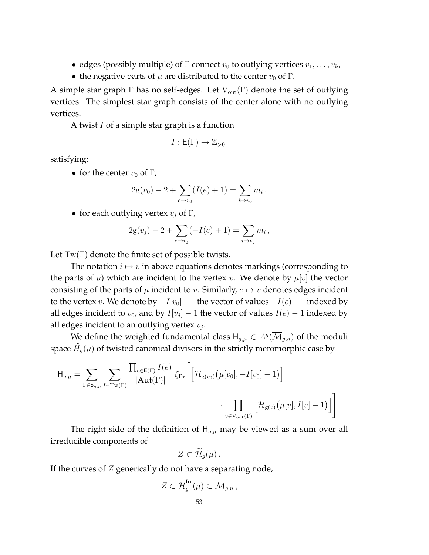- edges (possibly multiple) of  $\Gamma$  connect  $v_0$  to outlying vertices  $v_1, \ldots, v_k$ ,
- the negative parts of  $\mu$  are distributed to the center  $v_0$  of  $\Gamma$ .

A simple star graph  $\Gamma$  has no self-edges. Let  $V_{out}(\Gamma)$  denote the set of outlying vertices. The simplest star graph consists of the center alone with no outlying vertices.

A twist I of a simple star graph is a function

$$
I: \mathsf{E}(\Gamma) \to \mathbb{Z}_{>0}
$$

satisfying:

• for the center  $v_0$  of  $\Gamma$ ,

$$
2g(v_0) - 2 + \sum_{e \mapsto v_0} (I(e) + 1) = \sum_{i \mapsto v_0} m_i,
$$

• for each outlying vertex  $v_j$  of Γ,

$$
2g(v_j) - 2 + \sum_{e \mapsto v_j} (-I(e) + 1) = \sum_{i \mapsto v_j} m_i,
$$

Let  $Tw(\Gamma)$  denote the finite set of possible twists.

The notation  $i \mapsto v$  in above equations denotes markings (corresponding to the parts of  $\mu$ ) which are incident to the vertex v. We denote by  $\mu[v]$  the vector consisting of the parts of  $\mu$  incident to v. Similarly,  $e \mapsto v$  denotes edges incident to the vertex v. We denote by  $-I[v_0]$  − 1 the vector of values  $-I(e)$  − 1 indexed by all edges incident to  $v_0$ , and by  $I[v_j] - 1$  the vector of values  $I(e) - 1$  indexed by all edges incident to an outlying vertex  $v_j$ .

We define the weighted fundamental class  $H_{g,\mu} \in A^g(\overline{\mathcal M}_{g,n})$  of the moduli space  $H_g(\mu)$  of twisted canonical divisors in the strictly meromorphic case by

$$
\mathsf{H}_{g,\mu} = \sum_{\Gamma \in \mathsf{S}_{g,\mu}} \sum_{I \in \mathrm{Tw}(\Gamma)} \frac{\prod_{e \in \mathrm{E}(\Gamma)} I(e)}{|\mathrm{Aut}(\Gamma)|} \xi_{\Gamma*} \left[ \left[ \overline{\mathcal{H}}_{\mathrm{g}(v_0)} \left( \mu[v_0], -I[v_0] - 1 \right) \right] \right. \\ \left. \cdot \prod_{v \in \mathrm{V}_{\mathrm{out}}(\Gamma)} \left[ \overline{\mathcal{H}}_{\mathrm{g}(v)} \left( \mu[v], I[v] - 1 \right) \right] \right].
$$

The right side of the definition of  $H_{g,\mu}$  may be viewed as a sum over all irreducible components of

$$
Z\subset \widetilde{\mathcal{H}}_g(\mu)\,.
$$

If the curves of  $Z$  generically do not have a separating node,

$$
Z\subset\overline{\mathcal{H}}_g^{\mathrm{Irr}}(\mu)\subset\overline{\mathcal{M}}_{g,n},
$$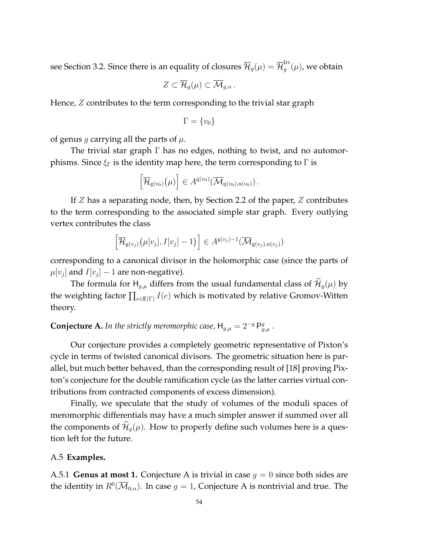see Section 3.2. Since there is an equality of closures  $\overline{\mathcal{H}}_g(\mu)=\overline{\mathcal{H}}_g^{\rm Irr}$  $_{g}^{\mathrm{m}}(\mu)$ , we obtain

$$
Z\subset \overline{\mathcal{H}}_g(\mu)\subset \overline{\mathcal{M}}_{g,n}.
$$

Hence, Z contributes to the term corresponding to the trivial star graph

$$
\Gamma = \{v_0\}
$$

of genus g carrying all the parts of  $\mu$ .

The trivial star graph Γ has no edges, nothing to twist, and no automorphisms. Since  $\xi_{\Gamma}$  is the identity map here, the term corresponding to  $\Gamma$  is

$$
\left[\overline{\mathcal{H}}_{g(v_0)}(\mu)\right] \in A^{g(v_0)}(\overline{\mathcal{M}}_{g(v_0),n(v_0)})\,.
$$

If  $Z$  has a separating node, then, by Section 2.2 of the paper,  $Z$  contributes to the term corresponding to the associated simple star graph. Every outlying vertex contributes the class

$$
\left[\overline{\mathcal{H}}_{g(v_j)}\big(\mu[v_j], I[v_j] - 1\big)\right] \in A^{g(v_j)-1}(\overline{\mathcal{M}}_{g(v_j), n(v_j)})
$$

corresponding to a canonical divisor in the holomorphic case (since the parts of  $\mu[v_j]$  and  $I[v_j] - 1$  are non-negative).

The formula for  $H_{g,\mu}$  differs from the usual fundamental class of  $\widetilde{\mathcal{H}}_g(\mu)$  by the weighting factor  $\prod_{e\in \mathsf{E}(\Gamma)} I(e)$  which is motivated by relative Gromov-Witten theory.

**Conjecture A.** In the strictly meromorphic case,  $H_{g,\mu} = 2^{-g} P_{g,\mu}^g$ .

Our conjecture provides a completely geometric representative of Pixton's cycle in terms of twisted canonical divisors. The geometric situation here is parallel, but much better behaved, than the corresponding result of [18] proving Pixton's conjecture for the double ramification cycle (as the latter carries virtual contributions from contracted components of excess dimension).

Finally, we speculate that the study of volumes of the moduli spaces of meromorphic differentials may have a much simpler answer if summed over all the components of  $\mathcal{H}_q(\mu)$ . How to properly define such volumes here is a question left for the future.

## A.5 **Examples.**

A.5.1 **Genus at most 1.** Conjecture A is trivial in case  $q = 0$  since both sides are the identity in  $R^0(\overline{\mathcal M}_{0,n}).$  In case  $g=1$ , Conjecture A is nontrivial and true. The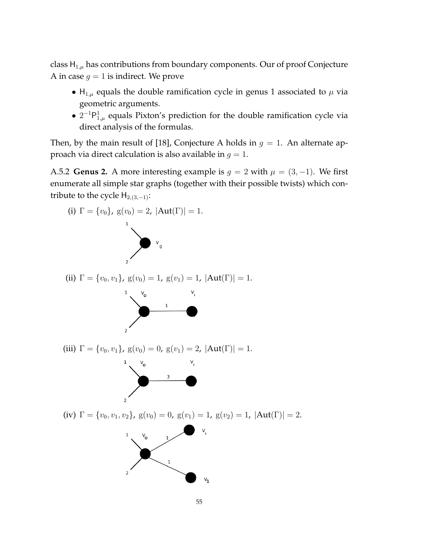class  $H_{1,\mu}$  has contributions from boundary components. Our of proof Conjecture A in case  $g = 1$  is indirect. We prove

- $H_{1,\mu}$  equals the double ramification cycle in genus 1 associated to  $\mu$  via geometric arguments.
- $2^{-1}P_{1,\mu}^1$  equals Pixton's prediction for the double ramification cycle via direct analysis of the formulas.

Then, by the main result of [18], Conjecture A holds in  $q = 1$ . An alternate approach via direct calculation is also available in  $q = 1$ .

A.5.2 **Genus 2.** A more interesting example is  $g = 2$  with  $\mu = (3, -1)$ . We first enumerate all simple star graphs (together with their possible twists) which contribute to the cycle  $H_{2,(3,-1)}$ :

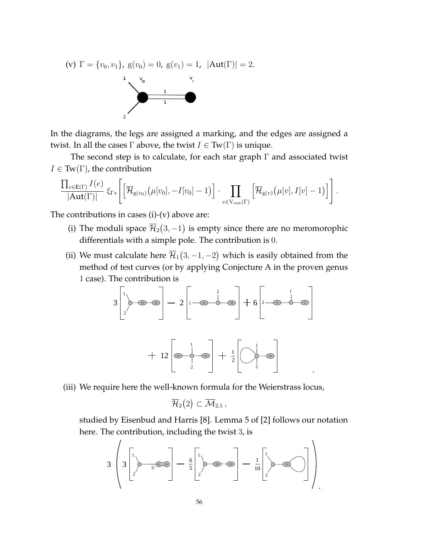(v) 
$$
\Gamma = \{v_0, v_1\}
$$
,  $g(v_0) = 0$ ,  $g(v_1) = 1$ ,  $|\text{Aut}(\Gamma)| = 2$ .

In the diagrams, the legs are assigned a marking, and the edges are assigned a twist. In all the cases  $\Gamma$  above, the twist  $I \in \text{Tw}(\Gamma)$  is unique.

The second step is to calculate, for each star graph  $\Gamma$  and associated twist  $I \in \text{Tw}(\Gamma)$ , the contribution

$$
\frac{\prod_{e\in E(\Gamma)}I(e)}{|Aut(\Gamma)|}\xi_{\Gamma*}\left[\left[\overline{\mathcal{H}}_{g(v_0)}\big(\mu[v_0], -I[v_0]-1\big)\right]\cdot\prod_{v\in V_{out}(\Gamma)}\left[\overline{\mathcal{H}}_{g(v)}\big(\mu[v], I[v]-1\big)\right]\right].
$$

The contributions in cases  $(i)-(v)$  above are:

- (i) The moduli space  $\overline{\mathcal{H}}_2(3,-1)$  is empty since there are no meromorophic differentials with a simple pole. The contribution is 0.
- (ii) We must calculate here  $\overline{\mathcal{H}}_1(3,-1,-2)$  which is easily obtained from the method of test curves (or by applying Conjecture A in the proven genus 1 case). The contribution is

$$
3\begin{bmatrix}1\\2\end{bmatrix} \Rightarrow 3\begin{bmatrix}1\\2\end{bmatrix} \Rightarrow 2\begin{bmatrix}1\\1\end{bmatrix} \Rightarrow 3\begin{bmatrix}2\\3\end{bmatrix} \Rightarrow 2\begin{bmatrix}1\\2\end{bmatrix} \Rightarrow 3\begin{bmatrix}2\\3\end{bmatrix} \Rightarrow 3\begin{bmatrix}1\\2\end{bmatrix} \Rightarrow 3\begin{bmatrix}1\\2\end{bmatrix} \Rightarrow 3\begin{bmatrix}1\\2\end{bmatrix} \Rightarrow 4\begin{bmatrix}1\\2\end{bmatrix} \Rightarrow 4\begin{bmatrix}1\\2\end{bmatrix} \Rightarrow 4\begin{bmatrix}1\\2\end{bmatrix} \Rightarrow 4\begin{bmatrix}1\\2\end{bmatrix} \Rightarrow 4\begin{bmatrix}1\\2\end{bmatrix} \Rightarrow 4\begin{bmatrix}1\\2\end{bmatrix} \Rightarrow 4\begin{bmatrix}1\\2\end{bmatrix} \Rightarrow 4\begin{bmatrix}1\\2\end{bmatrix} \Rightarrow 4\begin{bmatrix}1\\2\end{bmatrix} \Rightarrow 4\begin{bmatrix}1\\2\end{bmatrix} \Rightarrow 4\begin{bmatrix}1\\2\end{bmatrix} \Rightarrow 4\begin{bmatrix}1\\2\end{bmatrix} \Rightarrow 4\begin{bmatrix}1\\2\end{bmatrix} \Rightarrow 4\begin{bmatrix}1\\2\end{bmatrix} \Rightarrow 4\begin{bmatrix}1\\2\end{bmatrix} \Rightarrow 4\begin{bmatrix}1\\2\end{bmatrix} \Rightarrow 4\begin{bmatrix}1\\2\end{bmatrix} \Rightarrow 4\begin{bmatrix}1\\2\end{bmatrix} \Rightarrow 4\begin{bmatrix}1\\2\end{bmatrix} \Rightarrow 4\begin{bmatrix}1\\2\end{bmatrix} \Rightarrow 4\begin{bmatrix}1\\2\end{bmatrix} \Rightarrow 4\begin{bmatrix}1\\2\end{bmatrix} \Rightarrow 4\begin{bmatrix}1\\2\end{bmatrix} \Rightarrow 4\begin{bmatrix}1\\2\end{bmatrix} \Rightarrow 4\begin{bmatrix}1\\2\end{bmatrix} \Rightarrow 4\begin{bmatrix}1\\2\end{bmatrix} \Rightarrow 4\begin{bmatrix}1\\2\end{bmatrix} \Rightarrow 4\begin{bmatrix}1\\2\end{bmatrix} \Rightarrow 4\begin{bmatrix}1\\2\end{bmatrix} \Rightarrow 4\begin{bmatrix}1\\2\end{bmatrix} \Rightarrow 4\begin{bmatrix}1\\2\end{bmatrix} \Rightarrow
$$

(iii) We require here the well-known formula for the Weierstrass locus,

$$
\overline{\mathcal{H}}_2(2)\subset \overline{\mathcal{M}}_{2,1}\,,
$$

studied by Eisenbud and Harris [8]. Lemma 5 of [2] follows our notation here. The contribution, including the twist 3, is

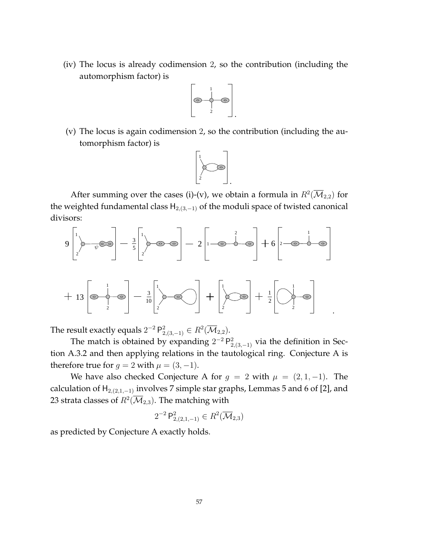(iv) The locus is already codimension 2, so the contribution (including the automorphism factor) is



(v) The locus is again codimension 2, so the contribution (including the automorphism factor) is



After summing over the cases (i)-(v), we obtain a formula in  $R^2(\overline{\mathcal M}_{2,2})$  for the weighted fundamental class  $H_{2,(3,-1)}$  of the moduli space of twisted canonical divisors:



The result exactly equals  $2^{-2}$   $\mathsf{P}^2_{2,(3,-1)} \in R^2(\overline{\mathcal M}_{2,2}).$ 

The match is obtained by expanding  $2^{-2}P_{2,(3,-1)}^2$  via the definition in Section A.3.2 and then applying relations in the tautological ring. Conjecture A is therefore true for  $g = 2$  with  $\mu = (3, -1)$ .

We have also checked Conjecture A for  $g = 2$  with  $\mu = (2, 1, -1)$ . The calculation of  $H_{2,(2,1,-1)}$  involves 7 simple star graphs, Lemmas 5 and 6 of [2], and 23 strata classes of  $R^2(\overline{\mathcal M}_{2,3}).$  The matching with

$$
2^{-2} P_{2,(2,1,-1)}^2 \in R^2(\overline{\mathcal{M}}_{2,3})
$$

as predicted by Conjecture A exactly holds.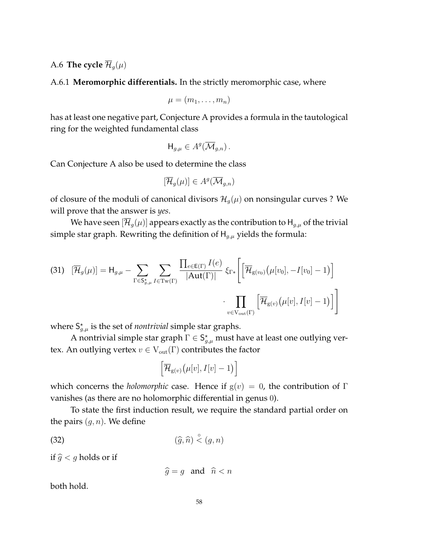A.6 **The cycle**  $\overline{\mathcal{H}}_q(\mu)$ 

A.6.1 **Meromorphic differentials.** In the strictly meromorphic case, where

$$
\mu=(m_1,\ldots,m_n)
$$

has at least one negative part, Conjecture A provides a formula in the tautological ring for the weighted fundamental class

$$
\mathsf{H}_{g,\mu} \in A^g(\overline{\mathcal{M}}_{g,n})\,.
$$

Can Conjecture A also be used to determine the class

$$
[\overline{\mathcal{H}}_g(\mu)] \in A^g(\overline{\mathcal{M}}_{g,n})
$$

of closure of the moduli of canonical divisors  $\mathcal{H}_g(\mu)$  on nonsingular curves ? We will prove that the answer is *yes*.

We have seen  $[\overline{\mathcal{H}}_g(\mu)]$  appears exactly as the contribution to  $\mathsf{H}_{g,\mu}$  of the trivial simple star graph. Rewriting the definition of  $H_{q,\mu}$  yields the formula:

(31) 
$$
[\overline{\mathcal{H}}_g(\mu)] = H_{g,\mu} - \sum_{\Gamma \in S_{g,\mu}^{\star}} \sum_{I \in \text{Tw}(\Gamma)} \frac{\prod_{e \in E(\Gamma)} I(e)}{|\text{Aut}(\Gamma)|} \xi_{\Gamma*} \left[ \left[ \overline{\mathcal{H}}_{g(v_0)}(\mu[v_0], -I[v_0] - 1) \right] \right] \cdot \prod_{v \in \text{V}_{\text{out}}(\Gamma)} \left[ \overline{\mathcal{H}}_{g(v)}(\mu[v], I[v] - 1) \right]
$$

where  $S_{g,\mu}^*$  is the set of *nontrivial* simple star graphs.

A nontrivial simple star graph  $\Gamma \in \mathsf{S}_{g,\mu}^*$  must have at least one outlying vertex. An outlying vertex  $v \in V_{out}(\Gamma)$  contributes the factor

$$
\left[\overline{\mathcal{H}}_{g(v)}\big(\mu[v], I[v] - 1\big)\right]
$$

which concerns the *holomorphic* case. Hence if  $g(v) = 0$ , the contribution of Γ vanishes (as there are no holomorphic differential in genus 0).

To state the first induction result, we require the standard partial order on the pairs  $(g, n)$ . We define

$$
\text{(32)}\qquad \qquad (\widehat{g},\widehat{n}) \stackrel{\circ}{\lt} (g,n)
$$

if  $\hat{g} < g$  holds or if

 $\hat{g} = g$  and  $\hat{n} < n$ 

both hold.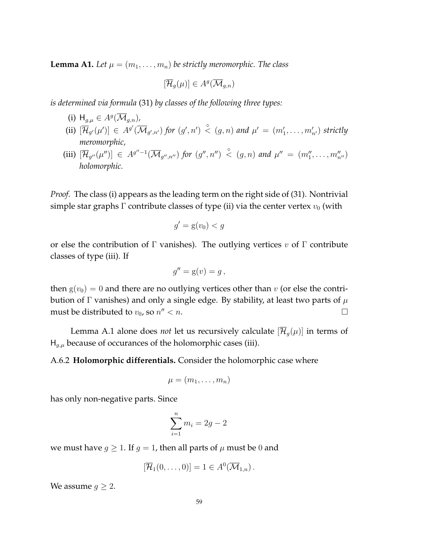**Lemma A1.** Let  $\mu = (m_1, \ldots, m_n)$  be strictly meromorphic. The class

 $[\overline{\mathcal{H}}_g(\mu)] \in A^g(\overline{\mathcal{M}}_{g,n})$ 

*is determined via formula* (31) *by classes of the following three types:*

- (i)  $H_{g,\mu} \in A^g(\overline{\mathcal{M}}_{g,n})$ ,
- (ii)  $[\overline{\mathcal{H}}_{g'}(\mu')] \in A^{g'}(\overline{\mathcal{M}}_{g',n'})$  for  $(g',n') \stackrel{\circ}{\lt} (g,n)$  and  $\mu' = (m'_1,\ldots,m'_{n'})$  strictly *meromorphic,*
- (iii)  $[\overline{\mathcal{H}}_{g''}(\mu'')]\in A^{g''-1}(\overline{\mathcal{M}}_{g'',n''})$  for  $(g'',n'')\overset{\circ}{\prec}(g,n)$  and  $\mu''=(m_1'',\ldots,m_{n''}'')$ *holomorphic.*

*Proof.* The class (i) appears as the leading term on the right side of (31). Nontrivial simple star graphs  $\Gamma$  contribute classes of type (ii) via the center vertex  $v_0$  (with

$$
g' = \mathbf{g}(v_0) < g
$$

or else the contribution of Γ vanishes). The outlying vertices  $v$  of Γ contribute classes of type (iii). If

$$
g'' = g(v) = g,
$$

then  $g(v_0) = 0$  and there are no outlying vertices other than v (or else the contribution of Γ vanishes) and only a single edge. By stability, at least two parts of  $\mu$ must be distributed to  $v_0$ , so  $n'' < n$ .  $\alpha$   $\alpha$ .

Lemma A.1 alone does *not* let us recursively calculate  $[\overline{\mathcal{H}}_q(\mu)]$  in terms of  $H_{q,\mu}$  because of occurances of the holomorphic cases (iii).

A.6.2 **Holomorphic differentials.** Consider the holomorphic case where

$$
\mu=(m_1,\ldots,m_n)
$$

has only non-negative parts. Since

$$
\sum_{i=1}^{n} m_i = 2g - 2
$$

we must have  $g \geq 1$ . If  $g = 1$ , then all parts of  $\mu$  must be 0 and

$$
[\overline{\mathcal{H}}_1(0,\ldots,0)]=1\in A^0(\overline{\mathcal{M}}_{1,n}).
$$

We assume  $g \geq 2$ .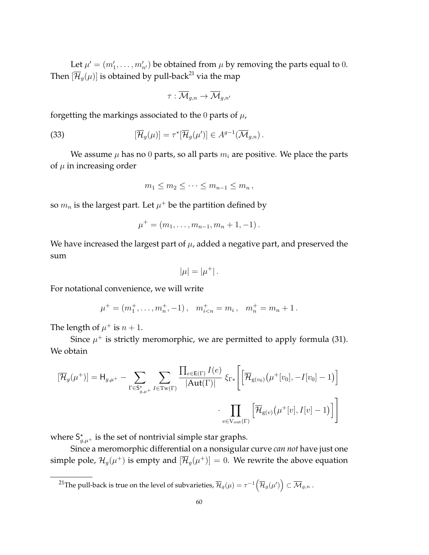Let  $\mu' = (m'_1, \dots, m'_{n'})$  be obtained from  $\mu$  by removing the parts equal to 0. Then  $[\overline{\mathcal{H}}_q(\mu)]$  is obtained by pull-back<sup>21</sup> via the map

$$
\tau: \overline{\mathcal{M}}_{g,n} \to \overline{\mathcal{M}}_{g,n'}
$$

forgetting the markings associated to the 0 parts of  $\mu$ ,

(33) 
$$
[\overline{\mathcal{H}}_g(\mu)] = \tau^* [\overline{\mathcal{H}}_g(\mu')] \in A^{g-1}(\overline{\mathcal{M}}_{g,n}).
$$

We assume  $\mu$  has no 0 parts, so all parts  $m_i$  are positive. We place the parts of  $\mu$  in increasing order

$$
m_1 \leq m_2 \leq \cdots \leq m_{n-1} \leq m_n,
$$

so  $m_n$  is the largest part. Let  $\mu^+$  be the partition defined by

$$
\mu^+ = (m_1, \ldots, m_{n-1}, m_n + 1, -1).
$$

We have increased the largest part of  $\mu$ , added a negative part, and preserved the sum

$$
|\mu|=|\mu^+|.
$$

For notational convenience, we will write

$$
\mu^+ = (m_1^+, \ldots, m_n^+, -1), \quad m_{i
$$

The length of  $\mu^+$  is  $n+1$ .

Since  $\mu^+$  is strictly meromorphic, we are permitted to apply formula (31). We obtain

$$
[\overline{\mathcal{H}}_g(\mu^+)] = \mathsf{H}_{g,\mu^+} - \sum_{\Gamma \in \mathsf{S}_{g,\mu^+}^*} \sum_{I \in \text{Tw}(\Gamma)} \frac{\prod_{e \in \mathsf{E}(\Gamma)} I(e)}{|\text{Aut}(\Gamma)|} \, \xi_{\Gamma*} \Bigg[ \Big[ \overline{\mathcal{H}}_{g(v_0)}(\mu^+[v_0], -I[v_0]-1) \Big] \\ \cdot \prod_{v \in \text{V}_{\text{out}}(\Gamma)} \Big[ \overline{\mathcal{H}}_{g(v)}(\mu^+[v], I[v]-1) \Big] \Bigg]
$$

where  $S_{g,\mu^+}^{\star}$  is the set of nontrivial simple star graphs.

Since a meromorphic differential on a nonsigular curve *can not* have just one simple pole,  $\mathcal{H}_g(\mu^+)$  is empty and  $[\overline{\mathcal{H}}_g(\mu^+)] = 0$ . We rewrite the above equation

<sup>21</sup>The pull-back is true on the level of subvarieties,  $\overline{\mathcal{H}}_g(\mu)=\tau^{-1}\big(\overline{\mathcal{H}}_g(\mu')\big)\subset \overline{\mathcal{M}}_{g,n}$  .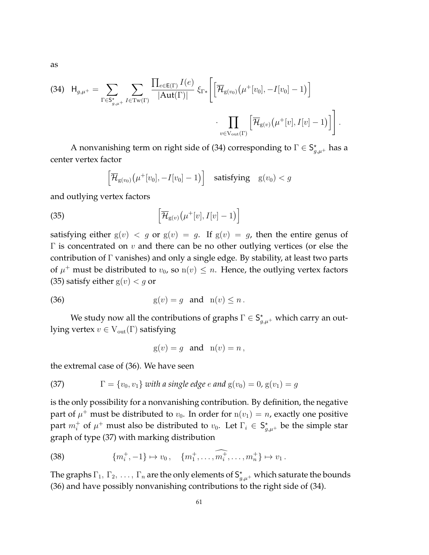as

$$
\text{(34)} \quad \mathsf{H}_{g,\mu^{+}} = \sum_{\Gamma \in \mathsf{S}_{g,\mu^{+}}^{*}} \sum_{I \in \text{Tw}(\Gamma)} \frac{\prod_{e \in \mathsf{E}(\Gamma)} I(e)}{|\text{Aut}(\Gamma)|} \, \xi_{\Gamma*} \Bigg[ \Big[ \overline{\mathcal{H}}_{g(v_{0})} \big( \mu^{+}[v_{0}], -I[v_{0}] - 1 \big) \Big] \\ \cdot \prod_{v \in \text{V}_{\text{out}}(\Gamma)} \Big[ \overline{\mathcal{H}}_{g(v)} \big( \mu^{+}[v], I[v] - 1 \big) \Big] \Bigg].
$$

A nonvanishing term on right side of (34) corresponding to  $\Gamma \in \mathsf{S}_{g,\mu^+}^{\star}$  has a center vertex factor

$$
\left[\overline{\mathcal{H}}_{g(v_0)}\big(\mu^+[v_0], -I[v_0]-1\big)\right] \quad \text{satisfying} \quad g(v_0) < g
$$

and outlying vertex factors

(35) 
$$
\left[\overline{\mathcal{H}}_{g(v)}\left(\mu^+[v], I[v]-1\right)\right]
$$

satisfying either  $g(v) < g$  or  $g(v) = g$ . If  $g(v) = g$ , then the entire genus of  $Γ$  is concentrated on *v* and there can be no other outlying vertices (or else the contribution of Γ vanishes) and only a single edge. By stability, at least two parts of  $\mu^+$  must be distributed to  $v_0$ , so  $n(v) \leq n$ . Hence, the outlying vertex factors (35) satisfy either  $g(v) < g$  or

$$
(36) \t\t\t g(v) = g \t and \t n(v) \le n.
$$

We study now all the contributions of graphs  $\Gamma \in \mathsf{S}^\star_{g,\mu^+}$  which carry an outlying vertex  $v \in V_{out}(\Gamma)$  satisfying

$$
g(v) = g \quad \text{and} \quad n(v) = n \,,
$$

the extremal case of (36). We have seen

(37) 
$$
\Gamma = \{v_0, v_1\} \text{ with a single edge } e \text{ and } g(v_0) = 0, g(v_1) = g
$$

is the only possibility for a nonvanishing contribution. By definition, the negative part of  $\mu^+$  must be distributed to  $v_0$ . In order for  $n(v_1) = n$ , exactly one positive part  $m_i^+$  of  $\mu^+$  must also be distributed to  $v_0$ . Let  $\Gamma_i \in \mathsf{S}^\star_{g,\mu^+}$  be the simple star graph of type (37) with marking distribution

(38) 
$$
\{m_i^+, -1\} \mapsto v_0, \quad \{m_1^+, \ldots, m_i^+, \ldots, m_n^+\} \mapsto v_1.
$$

The graphs  $\Gamma_1, \Gamma_2, \ldots, \Gamma_n$  are the only elements of  $S_{g,\mu^+}^{\star}$  which saturate the bounds (36) and have possibly nonvanishing contributions to the right side of (34).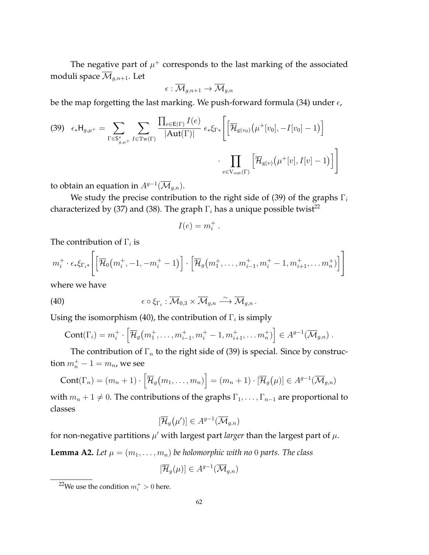The negative part of  $\mu^+$  corresponds to the last marking of the associated moduli space  $\overline{\mathcal{M}}_{g,n+1}$ . Let

$$
\epsilon:\overline{\mathcal{M}}_{g,n+1}\to\overline{\mathcal{M}}_{g,n}
$$

be the map forgetting the last marking. We push-forward formula (34) under  $\epsilon$ ,

$$
(39) \quad \epsilon_* \mathsf{H}_{g,\mu^+} = \sum_{\Gamma \in \mathsf{S}_{g,\mu^+}^*} \sum_{I \in \mathrm{Tw}(\Gamma)} \frac{\prod_{e \in \mathrm{E}(\Gamma)} I(e)}{|\mathrm{Aut}(\Gamma)|} \epsilon_* \xi_{\Gamma*} \left[ \left[ \overline{\mathcal{H}}_{\mathrm{g}(v_0)} \left( \mu^+[v_0], -I[v_0] - 1 \right) \right] \right] \cdot \prod_{v \in \mathrm{V}_{\mathrm{out}}(\Gamma)} \left[ \overline{\mathcal{H}}_{\mathrm{g}(v)} \left( \mu^+[v], I[v] - 1 \right) \right]
$$

to obtain an equation in  $A^{g-1}(\overline{\mathcal M}_{g,n}).$ 

We study the precise contribution to the right side of (39) of the graphs  $\Gamma_i$ characterized by (37) and (38). The graph  $\Gamma_i$  has a unique possible twist<sup>22</sup>

$$
I(e) = m_i^+ \ .
$$

The contribution of  $\Gamma_i$  is

$$
m_i^+ \cdot \epsilon_* \xi_{\Gamma_i*} \left[ \left[ \overline{\mathcal{H}}_0(m_i^+, -1, -m_i^+ - 1) \right] \cdot \left[ \overline{\mathcal{H}}_g(m_1^+, \dots, m_{i-1}^+, m_i^+ - 1, m_{i+1}^+, \dots, m_n^+) \right] \right]
$$

where we have

(40) 
$$
\epsilon \circ \xi_{\Gamma_i} : \overline{\mathcal{M}}_{0,3} \times \overline{\mathcal{M}}_{g,n} \xrightarrow{\sim} \overline{\mathcal{M}}_{g,n}.
$$

Using the isomorphism (40), the contribution of  $\Gamma_i$  is simply

Cont(
$$
\Gamma_i
$$
) =  $m_i^+$   $\cdot$   $\Big[\overline{\mathcal{H}}_g(m_1^+, \ldots, m_{i-1}^+, m_i^+ - 1, m_{i+1}^+, \ldots, m_n^+)\Big] \in A^{g-1}(\overline{\mathcal{M}}_{g,n})$ .

The contribution of  $\Gamma_n$  to the right side of (39) is special. Since by construction  $m_n^+ - 1 = m_n$ , we see

$$
Cont(\Gamma_n) = (m_n + 1) \cdot \left[ \overline{\mathcal{H}}_g(m_1, \dots, m_n) \right] = (m_n + 1) \cdot \left[ \overline{\mathcal{H}}_g(\mu) \right] \in A^{g-1}(\overline{\mathcal{M}}_{g,n})
$$

with  $m_n + 1 \neq 0$ . The contributions of the graphs  $\Gamma_1, \ldots, \Gamma_{n-1}$  are proportional to classes

$$
[\overline{\mathcal{H}}_g(\mu')] \in A^{g-1}(\overline{\mathcal{M}}_{g,n})
$$

for non-negative partitions  $\mu'$  with largest part *larger* than the largest part of  $\mu$ .

**Lemma A2.** Let  $\mu = (m_1, \ldots, m_n)$  be holomorphic with no 0 parts. The class

$$
[\overline{\mathcal{H}}_g(\mu)] \in A^{g-1}(\overline{\mathcal{M}}_{g,n})
$$

<sup>&</sup>lt;sup>22</sup>We use the condition  $m_i^+>0$  here.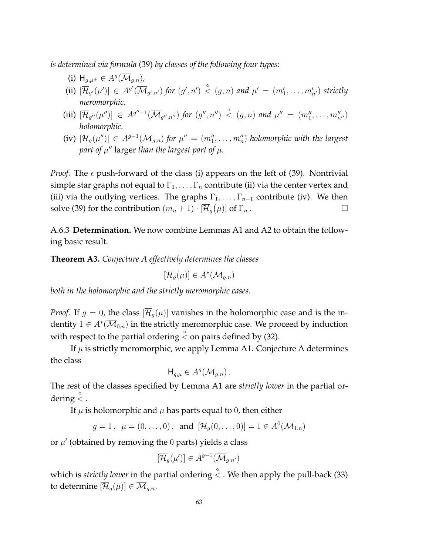*is determined via formula* (39) *by classes of the following four types:*

- (i)  $H_{g,\mu^+} \in A^g(\overline{\mathcal{M}}_{g,n})$ ,
- (ii)  $[\overline{\mathcal{H}}_{g'}(\mu')] \in A^{g'}(\overline{\mathcal{M}}_{g',n'})$  for  $(g',n') \stackrel{\circ}{\lt} (g,n)$  and  $\mu' = (m'_1,\ldots,m'_{n'})$  strictly *meromorphic,*
- (iii)  $[\overline{\mathcal{H}}_{g''}(\mu'')]\in A^{g''-1}(\overline{\mathcal{M}}_{g'',n''})$  for  $(g'',n'')\overset{\circ}{\prec}(g,n)$  and  $\mu''=(m_1'',\ldots,m_{n''}'')$ *holomorphic.*
- (iv)  $[\overline{\mathcal{H}}_g(\mu'')] \in A^{g-1}(\overline{\mathcal{M}}_{g,n})$  for  $\mu'' = (m''_1, \ldots, m''_n)$  holomorphic with the largest part of  $\mu''$  larger *than the largest part of*  $\mu$ *.*

*Proof.* The  $\epsilon$  push-forward of the class (i) appears on the left of (39). Nontrivial simple star graphs not equal to  $\Gamma_1, \ldots, \Gamma_n$  contribute (ii) via the center vertex and (iii) via the outlying vertices. The graphs  $\Gamma_1, \ldots, \Gamma_{n-1}$  contribute (iv). We then solve (39) for the contribution  $(m_n + 1) \cdot [\overline{\mathcal{H}}_g(\mu)]$  of  $\Gamma_n$ .

A.6.3 **Determination.** We now combine Lemmas A1 and A2 to obtain the following basic result.

**Theorem A3.** *Conjecture A effectively determines the classes*

$$
[\overline{\mathcal{H}}_g(\mu)] \in A^*(\overline{\mathcal{M}}_{g,n})
$$

*both in the holomorphic and the strictly meromorphic cases.*

*Proof.* If  $g = 0$ , the class  $[\overline{\mathcal{H}}_g(\mu)]$  vanishes in the holomorphic case and is the indentity  $1 \in A^*(\overline{\mathcal M}_{0,n})$  in the strictly meromorphic case. We proceed by induction with respect to the partial ordering  $\stackrel{\circ}{\le}$  on pairs defined by (32).

If  $\mu$  is strictly meromorphic, we apply Lemma A1. Conjecture A determines the class

$$
\mathsf{H}_{g,\mu} \in A^g(\overline{\mathcal{M}}_{g,n})\,.
$$

The rest of the classes specified by Lemma A1 are *strictly lower* in the partial ordering  $\stackrel{\circ}{<}$  .

If  $\mu$  is holomorphic and  $\mu$  has parts equal to 0, then either

 $g=1, \mu=(0,\ldots,0)$ , and  $[\overline{\mathcal{H}}_g(0,\ldots,0)]=1\in A^0(\overline{\mathcal{M}}_{1,n})$ 

or  $\mu'$  (obtained by removing the 0 parts) yields a class

$$
[\overline{\mathcal{H}}_g(\mu')] \in A^{g-1}(\overline{\mathcal{M}}_{g,n'})
$$

which is *strictly lower* in the partial ordering  $\stackrel{\circ}{\lt}$  . We then apply the pull-back (33) to determine  $[\overline{\mathcal{H}}_q(\mu)] \in \overline{\mathcal{M}}_{q,n}$ .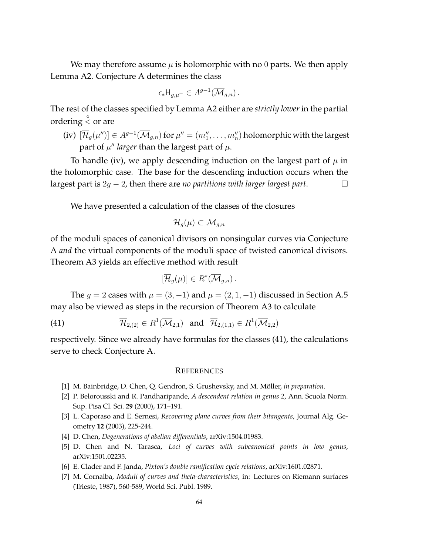We may therefore assume  $\mu$  is holomorphic with no 0 parts. We then apply Lemma A2. Conjecture A determines the class

$$
\epsilon_* \mathsf{H}_{g,\mu^+} \in A^{g-1}(\overline{\mathcal{M}}_{g,n})\,.
$$

The rest of the classes specified by Lemma A2 either are *strictly lower* in the partial ordering  $\stackrel{\circ}{<}$  or are

(iv)  $[\overline{\mathcal{H}}_g(\mu'')]\in A^{g-1}(\overline{\mathcal{M}}_{g,n})$  for  $\mu''=(m_1'',\ldots,m_n'')$  holomorphic with the largest part of  $\mu''$  *larger* than the largest part of  $\mu$ .

To handle (iv), we apply descending induction on the largest part of  $\mu$  in the holomorphic case. The base for the descending induction occurs when the largest part is 2g − 2, then there are *no partitions with larger largest part*.

We have presented a calculation of the classes of the closures

$$
\overline{\mathcal{H}}_g(\mu)\subset \overline{\mathcal{M}}_{g,n}
$$

of the moduli spaces of canonical divisors on nonsingular curves via Conjecture A *and* the virtual components of the moduli space of twisted canonical divisors. Theorem A3 yields an effective method with result

$$
[\overline{\mathcal{H}}_g(\mu)] \in R^*(\overline{\mathcal{M}}_{g,n}).
$$

The  $q = 2$  cases with  $\mu = (3, -1)$  and  $\mu = (2, 1, -1)$  discussed in Section A.5 may also be viewed as steps in the recursion of Theorem A3 to calculate

(41)  $\overline{\mathcal{H}}_{2,(2)} \in R^1(\overline{\mathcal{M}}_{2,1})$  and  $\overline{\mathcal{H}}_{2,(1,1)} \in R^1(\overline{\mathcal{M}}_{2,2})$ 

respectively. Since we already have formulas for the classes (41), the calculations serve to check Conjecture A.

#### **REFERENCES**

- [1] M. Bainbridge, D. Chen, Q. Gendron, S. Grushevsky, and M. Möller, in preparation.
- [2] P. Belorousski and R. Pandharipande, *A descendent relation in genus 2*, Ann. Scuola Norm. Sup. Pisa Cl. Sci. **29** (2000), 171–191.
- [3] L. Caporaso and E. Sernesi, *Recovering plane curves from their bitangents*, Journal Alg. Geometry **12** (2003), 225-244.
- [4] D. Chen, *Degenerations of abelian differentials*, arXiv:1504.01983.
- [5] D. Chen and N. Tarasca, *Loci of curves with subcanonical points in low genus*, arXiv:1501.02235.
- [6] E. Clader and F. Janda, *Pixton's double ramification cycle relations*, arXiv:1601.02871.
- [7] M. Cornalba, *Moduli of curves and theta-characteristics*, in: Lectures on Riemann surfaces (Trieste, 1987), 560-589, World Sci. Publ. 1989.